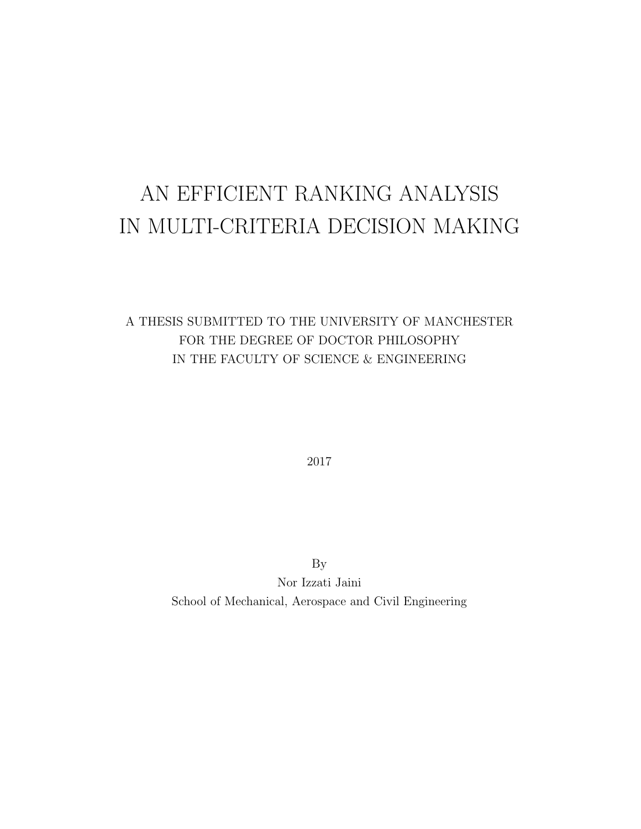# AN EFFICIENT RANKING ANALYSIS IN MULTI-CRITERIA DECISION MAKING

## A THESIS SUBMITTED TO THE UNIVERSITY OF MANCHESTER FOR THE DEGREE OF DOCTOR PHILOSOPHY IN THE FACULTY OF SCIENCE & ENGINEERING

2017

By Nor Izzati Jaini School of Mechanical, Aerospace and Civil Engineering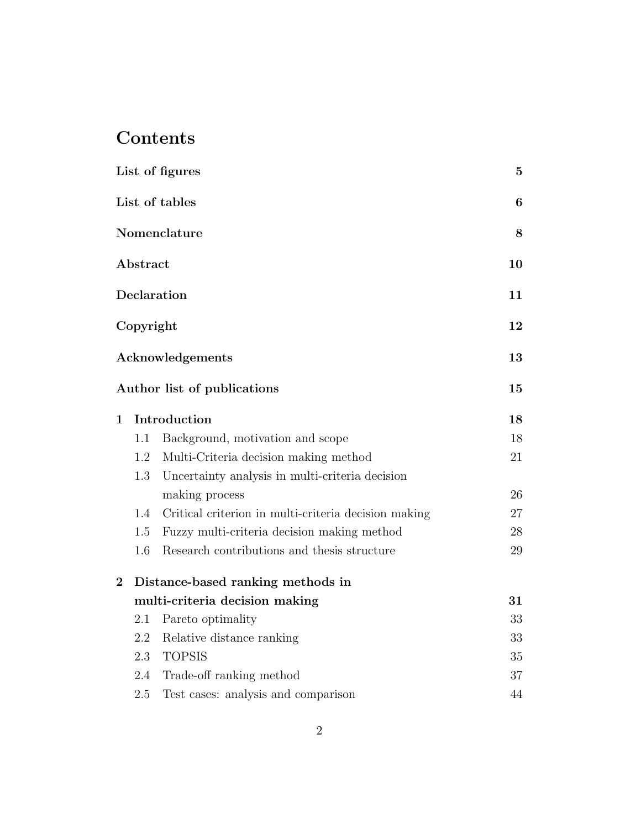## Contents

| List of figures |           |                                                      | $\mathbf{5}$ |
|-----------------|-----------|------------------------------------------------------|--------------|
|                 |           | List of tables                                       | 6            |
|                 |           | Nomenclature                                         | 8            |
|                 | Abstract  |                                                      | 10           |
|                 |           | Declaration                                          | 11           |
|                 | Copyright |                                                      | 12           |
|                 |           | Acknowledgements                                     | 13           |
|                 |           | Author list of publications                          | 15           |
| $\mathbf{1}$    |           | Introduction                                         | 18           |
|                 | 1.1       | Background, motivation and scope                     | 18           |
|                 | 1.2       | Multi-Criteria decision making method                | 21           |
|                 | 1.3       | Uncertainty analysis in multi-criteria decision      |              |
|                 |           | making process                                       | 26           |
|                 | 1.4       | Critical criterion in multi-criteria decision making | 27           |
|                 | 1.5       | Fuzzy multi-criteria decision making method          | 28           |
|                 | 1.6       | Research contributions and thesis structure          | 29           |
| $\bf{2}$        |           | Distance-based ranking methods in                    |              |
|                 |           | multi-criteria decision making                       | 31           |
|                 | 2.1       | Pareto optimality                                    | 33           |
|                 | 2.2       | Relative distance ranking                            | 33           |
|                 | 2.3       | <b>TOPSIS</b>                                        | 35           |
|                 | 2.4       | Trade-off ranking method                             | 37           |
|                 | 2.5       | Test cases: analysis and comparison                  | 44           |
|                 |           |                                                      |              |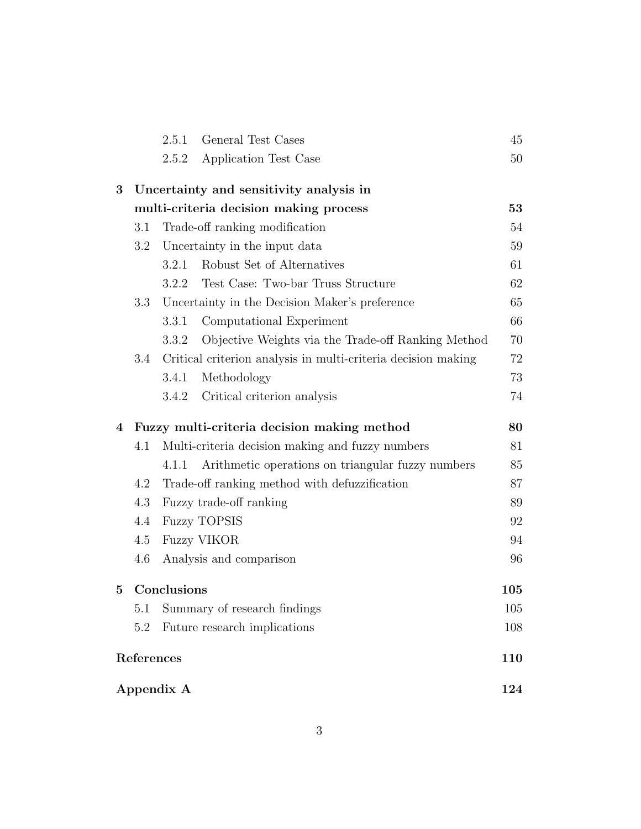|          |                                         | 2.5.1       | General Test Cases                                            | 45       |  |  |
|----------|-----------------------------------------|-------------|---------------------------------------------------------------|----------|--|--|
|          |                                         | 2.5.2       | Application Test Case                                         | 50       |  |  |
| $\bf{3}$ | Uncertainty and sensitivity analysis in |             |                                                               |          |  |  |
|          |                                         |             | multi-criteria decision making process                        | 53       |  |  |
|          | 3.1                                     |             | Trade-off ranking modification                                | 54       |  |  |
|          | Uncertainty in the input data<br>3.2    |             |                                                               |          |  |  |
|          |                                         | 3.2.1       | Robust Set of Alternatives                                    | 59<br>61 |  |  |
|          |                                         | 3.2.2       | Test Case: Two-bar Truss Structure                            | 62       |  |  |
|          | 3.3                                     |             | Uncertainty in the Decision Maker's preference                | 65       |  |  |
|          |                                         | 3.3.1       | Computational Experiment                                      | 66       |  |  |
|          |                                         | 3.3.2       | Objective Weights via the Trade-off Ranking Method            | 70       |  |  |
|          | 3.4                                     |             | Critical criterion analysis in multi-criteria decision making | 72       |  |  |
|          |                                         | 3.4.1       | Methodology                                                   | 73       |  |  |
|          |                                         | 3.4.2       | Critical criterion analysis                                   | 74       |  |  |
| 4        |                                         |             | Fuzzy multi-criteria decision making method                   | 80       |  |  |
|          | 4.1                                     |             | Multi-criteria decision making and fuzzy numbers              | 81       |  |  |
|          |                                         | 4.1.1       | Arithmetic operations on triangular fuzzy numbers             | 85       |  |  |
|          | 4.2                                     |             | Trade-off ranking method with defuzzification                 | 87       |  |  |
|          | 4.3                                     |             | Fuzzy trade-off ranking                                       | 89       |  |  |
|          | 4.4                                     |             | <b>Fuzzy TOPSIS</b>                                           | 92       |  |  |
|          | 4.5<br><b>Fuzzy VIKOR</b>               |             |                                                               | 94       |  |  |
|          | 4.6                                     |             | Analysis and comparison                                       | 96       |  |  |
| $\bf{5}$ |                                         | Conclusions |                                                               | 105      |  |  |
|          | 5.1                                     |             | Summary of research findings                                  | 105      |  |  |
|          | 5.2                                     |             | Future research implications                                  | 108      |  |  |
|          |                                         |             |                                                               |          |  |  |
|          | References                              |             |                                                               | 110      |  |  |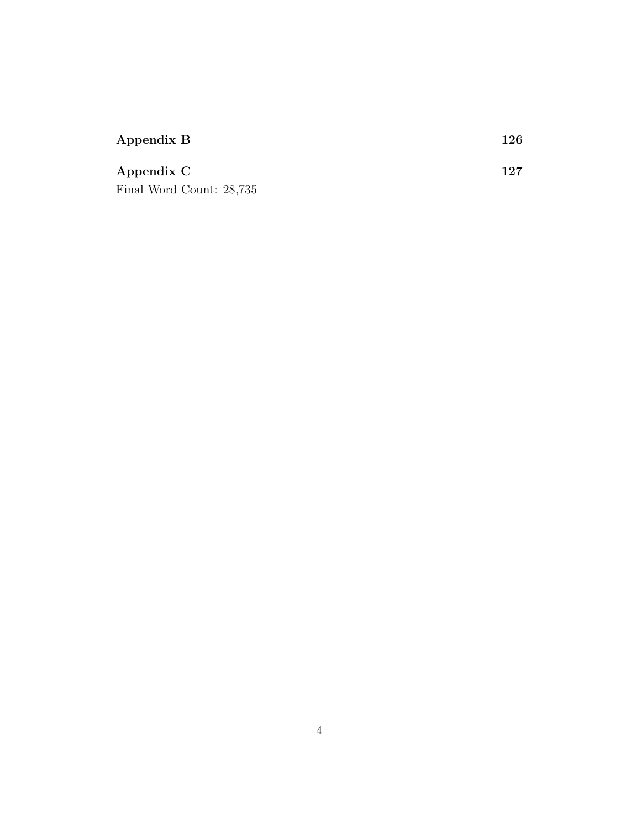| Appendix B               | $126\,$ |
|--------------------------|---------|
| Appendix C               | 127     |
| Final Word Count: 28,735 |         |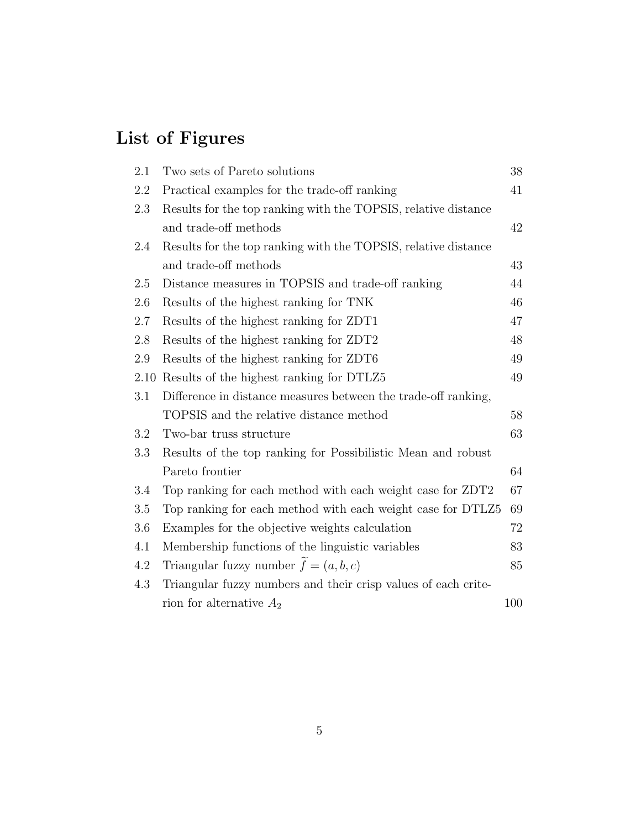## List of Figures

| 2.1  | Two sets of Pareto solutions<br>38                             |     |  |  |  |
|------|----------------------------------------------------------------|-----|--|--|--|
| 2.2  | Practical examples for the trade-off ranking<br>41             |     |  |  |  |
| 2.3  | Results for the top ranking with the TOPSIS, relative distance |     |  |  |  |
|      | and trade-off methods                                          | 42  |  |  |  |
| 2.4  | Results for the top ranking with the TOPSIS, relative distance |     |  |  |  |
|      | and trade-off methods                                          | 43  |  |  |  |
| 2.5  | Distance measures in TOPSIS and trade-off ranking              | 44  |  |  |  |
| 2.6  | Results of the highest ranking for TNK                         | 46  |  |  |  |
| 2.7  | Results of the highest ranking for ZDT1                        | 47  |  |  |  |
| 2.8  | Results of the highest ranking for ZDT2                        | 48  |  |  |  |
| 2.9  | Results of the highest ranking for ZDT6                        | 49  |  |  |  |
| 2.10 | Results of the highest ranking for DTLZ5                       | 49  |  |  |  |
| 3.1  | Difference in distance measures between the trade-off ranking, |     |  |  |  |
|      | TOPSIS and the relative distance method                        | 58  |  |  |  |
| 3.2  | Two-bar truss structure                                        | 63  |  |  |  |
| 3.3  | Results of the top ranking for Possibilistic Mean and robust   |     |  |  |  |
|      | Pareto frontier                                                | 64  |  |  |  |
| 3.4  | Top ranking for each method with each weight case for ZDT2     | 67  |  |  |  |
| 3.5  | Top ranking for each method with each weight case for DTLZ5    | 69  |  |  |  |
| 3.6  | Examples for the objective weights calculation<br>72           |     |  |  |  |
| 4.1  | Membership functions of the linguistic variables<br>83         |     |  |  |  |
| 4.2  | Triangular fuzzy number $\tilde{f} = (a, b, c)$<br>85          |     |  |  |  |
| 4.3  | Triangular fuzzy numbers and their crisp values of each crite- |     |  |  |  |
|      | rion for alternative $A_2$                                     | 100 |  |  |  |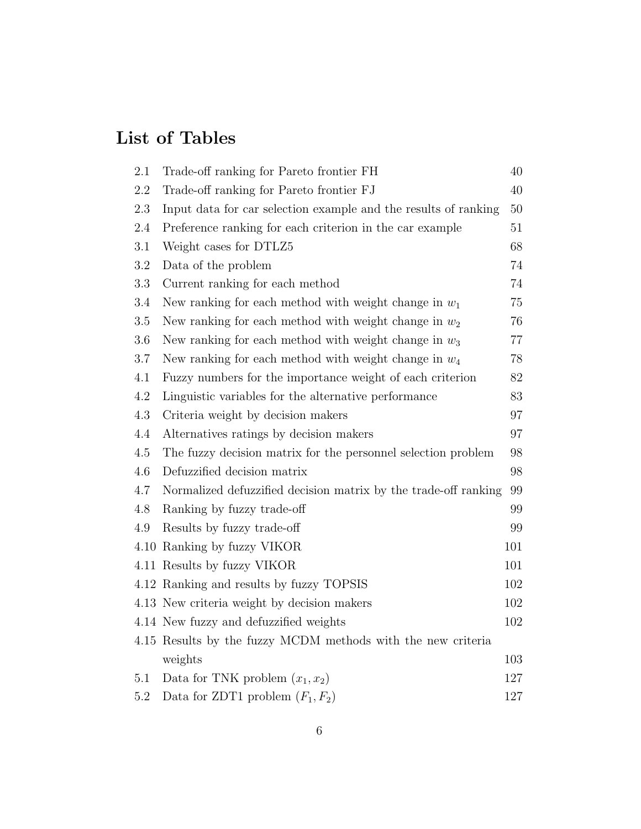## List of Tables

| $2.1\,$ | Trade-off ranking for Pareto frontier FH                        | 40     |
|---------|-----------------------------------------------------------------|--------|
| 2.2     | Trade-off ranking for Pareto frontier FJ                        | 40     |
| 2.3     | Input data for car selection example and the results of ranking | 50     |
| 2.4     | Preference ranking for each criterion in the car example        | 51     |
| 3.1     | Weight cases for DTLZ5                                          | 68     |
| 3.2     | Data of the problem                                             | 74     |
| 3.3     | Current ranking for each method                                 | 74     |
| 3.4     | New ranking for each method with weight change in $w_1$         | 75     |
| 3.5     | New ranking for each method with weight change in $w_2$         | 76     |
| 3.6     | New ranking for each method with weight change in $w_3$         | $77\,$ |
| 3.7     | New ranking for each method with weight change in $w_4$         | 78     |
| 4.1     | Fuzzy numbers for the importance weight of each criterion       | 82     |
| 4.2     | Linguistic variables for the alternative performance            | 83     |
| 4.3     | Criteria weight by decision makers                              | 97     |
| 4.4     | Alternatives ratings by decision makers                         | 97     |
| 4.5     | The fuzzy decision matrix for the personnel selection problem   | 98     |
| 4.6     | Defuzzified decision matrix                                     | 98     |
| 4.7     | Normalized defuzzified decision matrix by the trade-off ranking | 99     |
| 4.8     | Ranking by fuzzy trade-off                                      | 99     |
| $4.9\,$ | Results by fuzzy trade-off                                      | 99     |
|         | 4.10 Ranking by fuzzy VIKOR                                     | 101    |
|         | 4.11 Results by fuzzy VIKOR                                     | 101    |
|         | 4.12 Ranking and results by fuzzy TOPSIS                        | 102    |
|         | 4.13 New criteria weight by decision makers                     | 102    |
|         | 4.14 New fuzzy and defuzzified weights                          | 102    |
|         | 4.15 Results by the fuzzy MCDM methods with the new criteria    |        |
|         | weights                                                         | 103    |
| 5.1     | Data for TNK problem $(x_1, x_2)$                               | 127    |
| 5.2     | Data for ZDT1 problem $(F_1, F_2)$                              | 127    |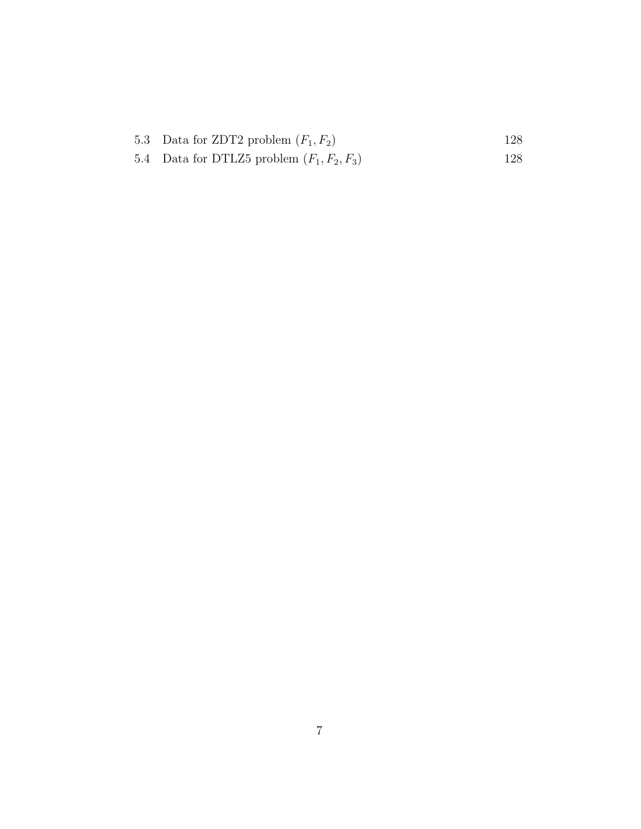| 5.3 Data for ZDT2 problem $(F_1, F_2)$       | 128. |
|----------------------------------------------|------|
| 5.4 Data for DTLZ5 problem $(F_1, F_2, F_3)$ | 128. |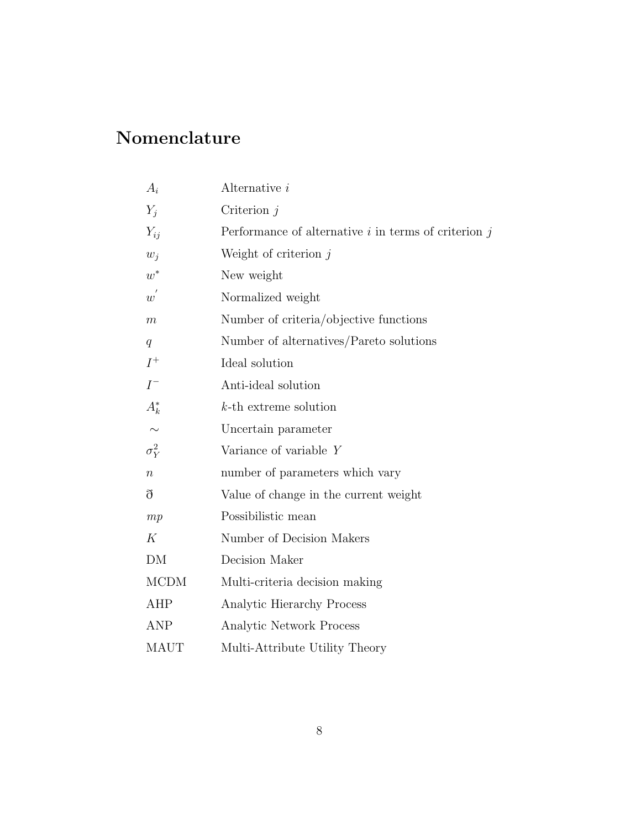## Nomenclature

| $A_i$            | Alternative i                                            |
|------------------|----------------------------------------------------------|
| $Y_i$            | Criterion $j$                                            |
| $Y_{ij}$         | Performance of alternative $i$ in terms of criterion $j$ |
| $w_i$            | Weight of criterion $j$                                  |
| $w^*$            | New weight                                               |
| $w^{'}$          | Normalized weight                                        |
| $\boldsymbol{m}$ | Number of criteria/objective functions                   |
| q                | Number of alternatives/Pareto solutions                  |
| $I^+$            | Ideal solution                                           |
| $I^-$            | Anti-ideal solution                                      |
| $A_k^*$          | $k$ -th extreme solution                                 |
| $\sim$           | Uncertain parameter                                      |
| $\sigma_Y^2$     | Variance of variable Y                                   |
| $\boldsymbol{n}$ | number of parameters which vary                          |
| ð                | Value of change in the current weight                    |
| mp               | Possibilistic mean                                       |
| К                | Number of Decision Makers                                |
| DM               | Decision Maker                                           |
| <b>MCDM</b>      | Multi-criteria decision making                           |
| AHP              | Analytic Hierarchy Process                               |
| <b>ANP</b>       | Analytic Network Process                                 |
| <b>MAUT</b>      | Multi-Attribute Utility Theory                           |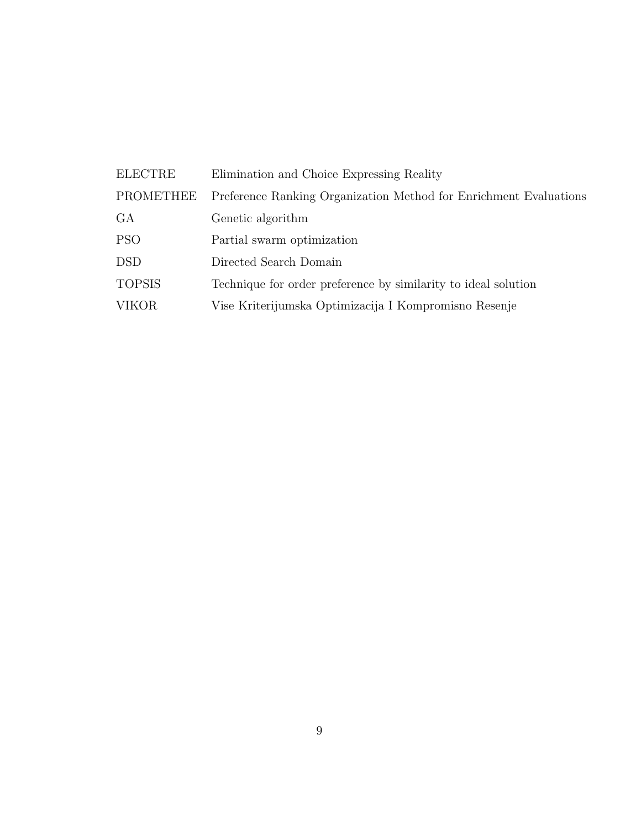| <b>ELECTRE</b> | Elimination and Choice Expressing Reality                         |
|----------------|-------------------------------------------------------------------|
| PROMETHEE      | Preference Ranking Organization Method for Enrichment Evaluations |
| GA.            | Genetic algorithm                                                 |
| <b>PSO</b>     | Partial swarm optimization                                        |
| <b>DSD</b>     | Directed Search Domain                                            |
| <b>TOPSIS</b>  | Technique for order preference by similarity to ideal solution    |
| <b>VIKOR</b>   | Vise Kriterijumska Optimizacija I Kompromisno Resenje             |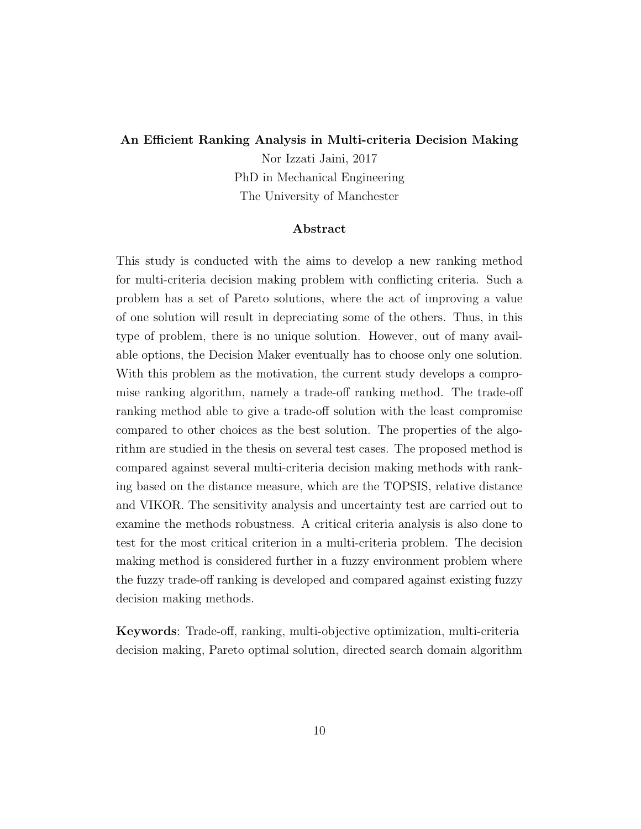#### An Efficient Ranking Analysis in Multi-criteria Decision Making

Nor Izzati Jaini, 2017 PhD in Mechanical Engineering The University of Manchester

#### Abstract

This study is conducted with the aims to develop a new ranking method for multi-criteria decision making problem with conflicting criteria. Such a problem has a set of Pareto solutions, where the act of improving a value of one solution will result in depreciating some of the others. Thus, in this type of problem, there is no unique solution. However, out of many available options, the Decision Maker eventually has to choose only one solution. With this problem as the motivation, the current study develops a compromise ranking algorithm, namely a trade-off ranking method. The trade-off ranking method able to give a trade-off solution with the least compromise compared to other choices as the best solution. The properties of the algorithm are studied in the thesis on several test cases. The proposed method is compared against several multi-criteria decision making methods with ranking based on the distance measure, which are the TOPSIS, relative distance and VIKOR. The sensitivity analysis and uncertainty test are carried out to examine the methods robustness. A critical criteria analysis is also done to test for the most critical criterion in a multi-criteria problem. The decision making method is considered further in a fuzzy environment problem where the fuzzy trade-off ranking is developed and compared against existing fuzzy decision making methods.

Keywords: Trade-off, ranking, multi-objective optimization, multi-criteria decision making, Pareto optimal solution, directed search domain algorithm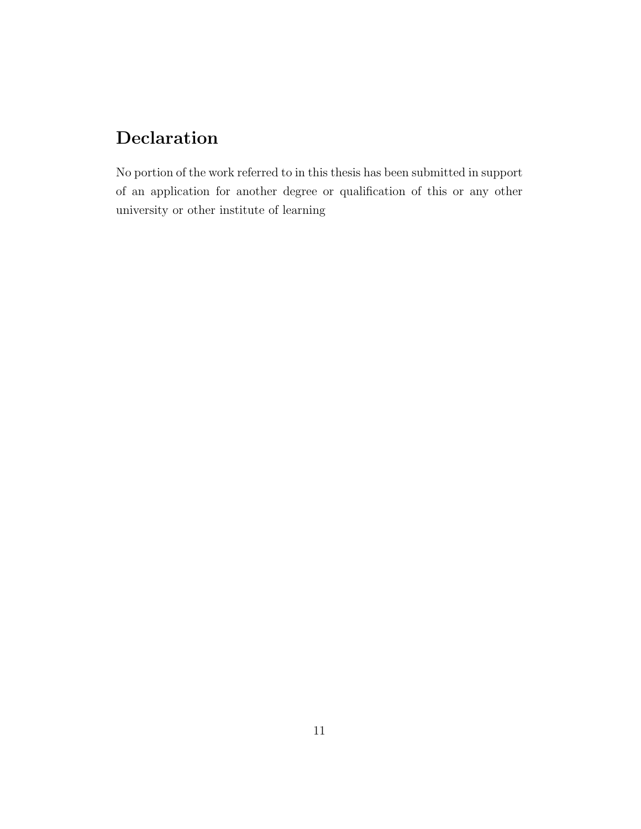## Declaration

No portion of the work referred to in this thesis has been submitted in support of an application for another degree or qualification of this or any other university or other institute of learning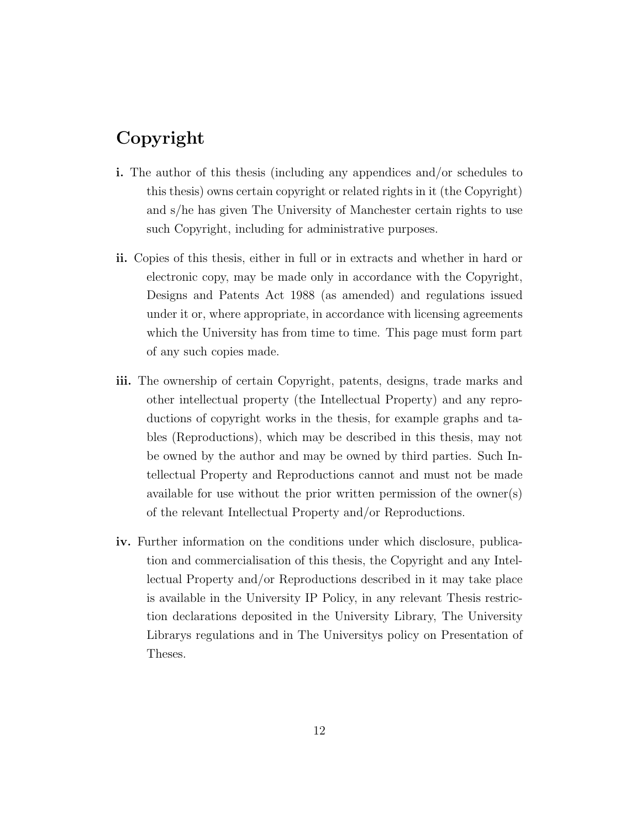## Copyright

- i. The author of this thesis (including any appendices and/or schedules to this thesis) owns certain copyright or related rights in it (the Copyright) and s/he has given The University of Manchester certain rights to use such Copyright, including for administrative purposes.
- ii. Copies of this thesis, either in full or in extracts and whether in hard or electronic copy, may be made only in accordance with the Copyright, Designs and Patents Act 1988 (as amended) and regulations issued under it or, where appropriate, in accordance with licensing agreements which the University has from time to time. This page must form part of any such copies made.
- iii. The ownership of certain Copyright, patents, designs, trade marks and other intellectual property (the Intellectual Property) and any reproductions of copyright works in the thesis, for example graphs and tables (Reproductions), which may be described in this thesis, may not be owned by the author and may be owned by third parties. Such Intellectual Property and Reproductions cannot and must not be made available for use without the prior written permission of the owner(s) of the relevant Intellectual Property and/or Reproductions.
- iv. Further information on the conditions under which disclosure, publication and commercialisation of this thesis, the Copyright and any Intellectual Property and/or Reproductions described in it may take place is available in the University IP Policy, in any relevant Thesis restriction declarations deposited in the University Library, The University Librarys regulations and in The Universitys policy on Presentation of Theses.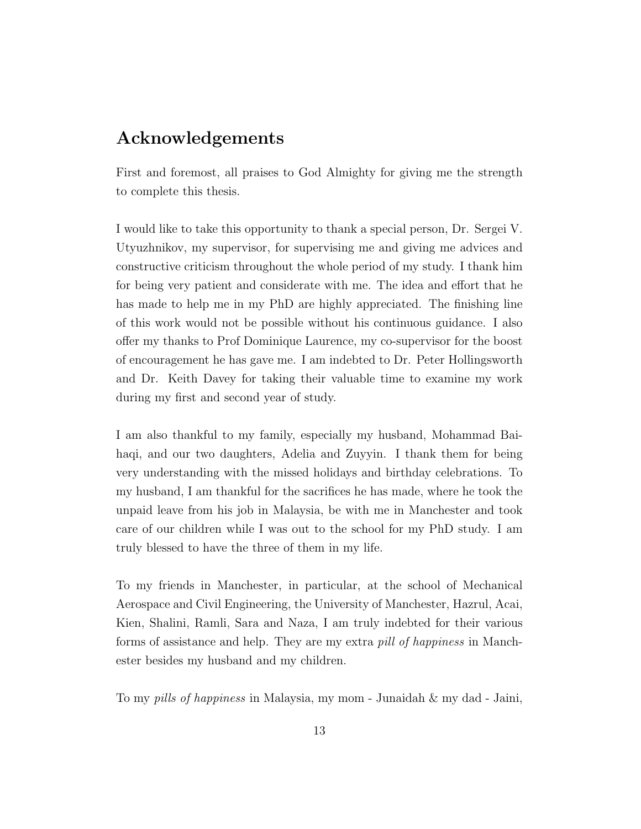## Acknowledgements

First and foremost, all praises to God Almighty for giving me the strength to complete this thesis.

I would like to take this opportunity to thank a special person, Dr. Sergei V. Utyuzhnikov, my supervisor, for supervising me and giving me advices and constructive criticism throughout the whole period of my study. I thank him for being very patient and considerate with me. The idea and effort that he has made to help me in my PhD are highly appreciated. The finishing line of this work would not be possible without his continuous guidance. I also offer my thanks to Prof Dominique Laurence, my co-supervisor for the boost of encouragement he has gave me. I am indebted to Dr. Peter Hollingsworth and Dr. Keith Davey for taking their valuable time to examine my work during my first and second year of study.

I am also thankful to my family, especially my husband, Mohammad Baihaqi, and our two daughters, Adelia and Zuyyin. I thank them for being very understanding with the missed holidays and birthday celebrations. To my husband, I am thankful for the sacrifices he has made, where he took the unpaid leave from his job in Malaysia, be with me in Manchester and took care of our children while I was out to the school for my PhD study. I am truly blessed to have the three of them in my life.

To my friends in Manchester, in particular, at the school of Mechanical Aerospace and Civil Engineering, the University of Manchester, Hazrul, Acai, Kien, Shalini, Ramli, Sara and Naza, I am truly indebted for their various forms of assistance and help. They are my extra pill of happiness in Manchester besides my husband and my children.

To my pills of happiness in Malaysia, my mom - Junaidah & my dad - Jaini,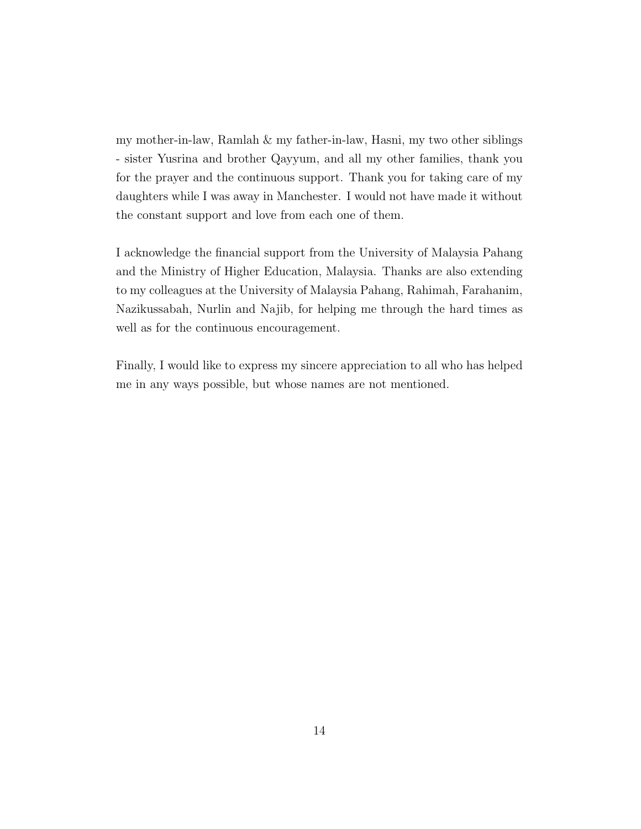my mother-in-law, Ramlah  $\&$  my father-in-law, Hasni, my two other siblings - sister Yusrina and brother Qayyum, and all my other families, thank you for the prayer and the continuous support. Thank you for taking care of my daughters while I was away in Manchester. I would not have made it without the constant support and love from each one of them.

I acknowledge the financial support from the University of Malaysia Pahang and the Ministry of Higher Education, Malaysia. Thanks are also extending to my colleagues at the University of Malaysia Pahang, Rahimah, Farahanim, Nazikussabah, Nurlin and Najib, for helping me through the hard times as well as for the continuous encouragement.

Finally, I would like to express my sincere appreciation to all who has helped me in any ways possible, but whose names are not mentioned.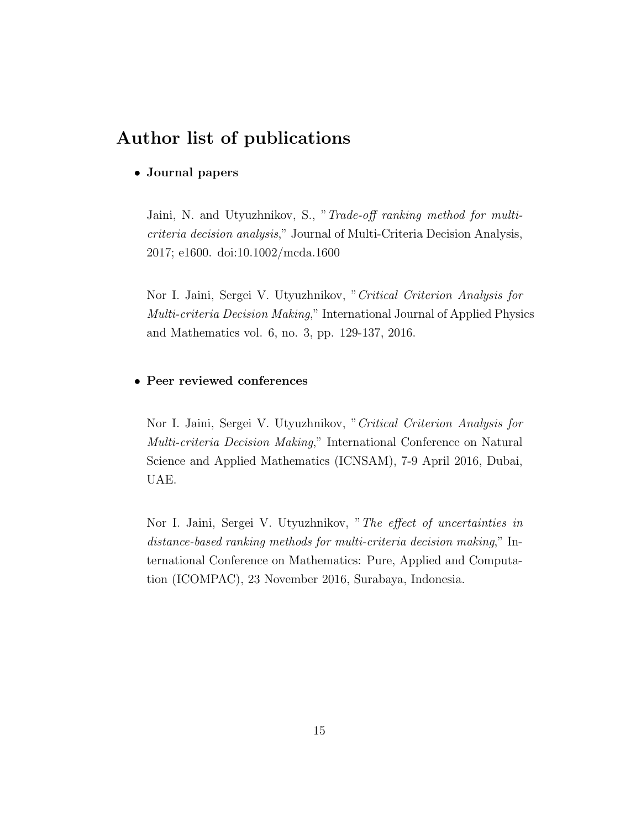## Author list of publications

#### • Journal papers

Jaini, N. and Utyuzhnikov, S., "Trade-off ranking method for multicriteria decision analysis," Journal of Multi-Criteria Decision Analysis, 2017; e1600. doi:10.1002/mcda.1600

Nor I. Jaini, Sergei V. Utyuzhnikov, "Critical Criterion Analysis for Multi-criteria Decision Making," International Journal of Applied Physics and Mathematics vol. 6, no. 3, pp. 129-137, 2016.

#### • Peer reviewed conferences

Nor I. Jaini, Sergei V. Utyuzhnikov, "Critical Criterion Analysis for Multi-criteria Decision Making," International Conference on Natural Science and Applied Mathematics (ICNSAM), 7-9 April 2016, Dubai, UAE.

Nor I. Jaini, Sergei V. Utyuzhnikov, "The effect of uncertainties in distance-based ranking methods for multi-criteria decision making," International Conference on Mathematics: Pure, Applied and Computation (ICOMPAC), 23 November 2016, Surabaya, Indonesia.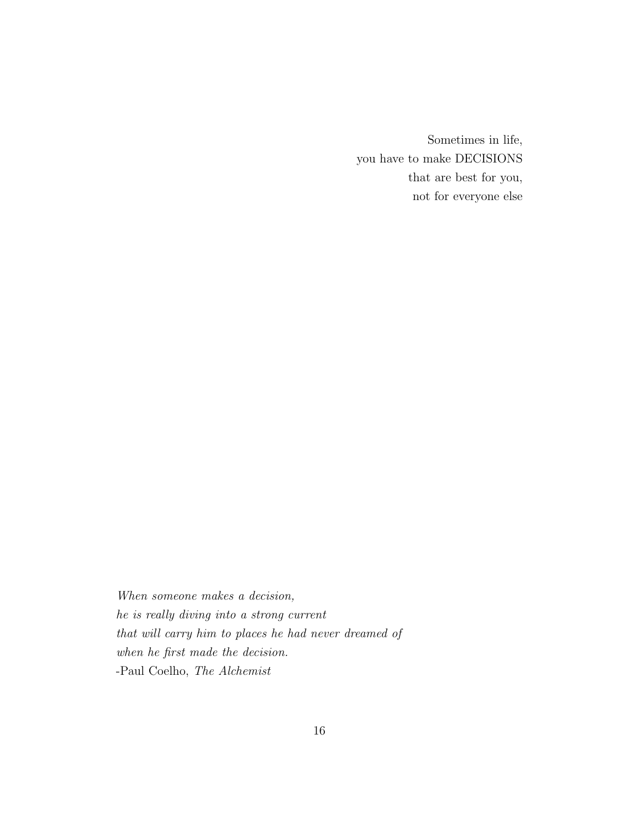Sometimes in life, you have to make DECISIONS that are best for you, not for everyone else

When someone makes a decision, he is really diving into a strong current that will carry him to places he had never dreamed of when he first made the decision. -Paul Coelho, The Alchemist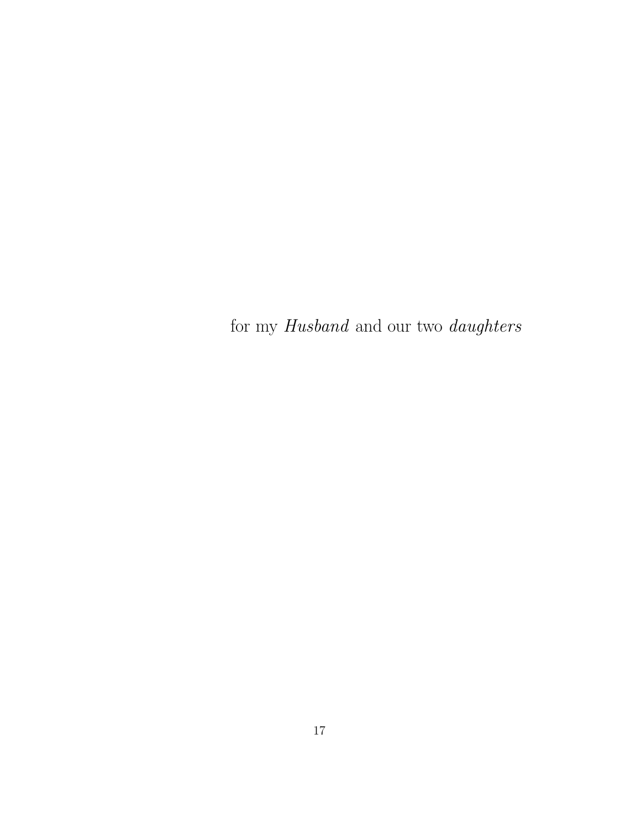for my  $\it Hausband$  and our two  $\it daughters$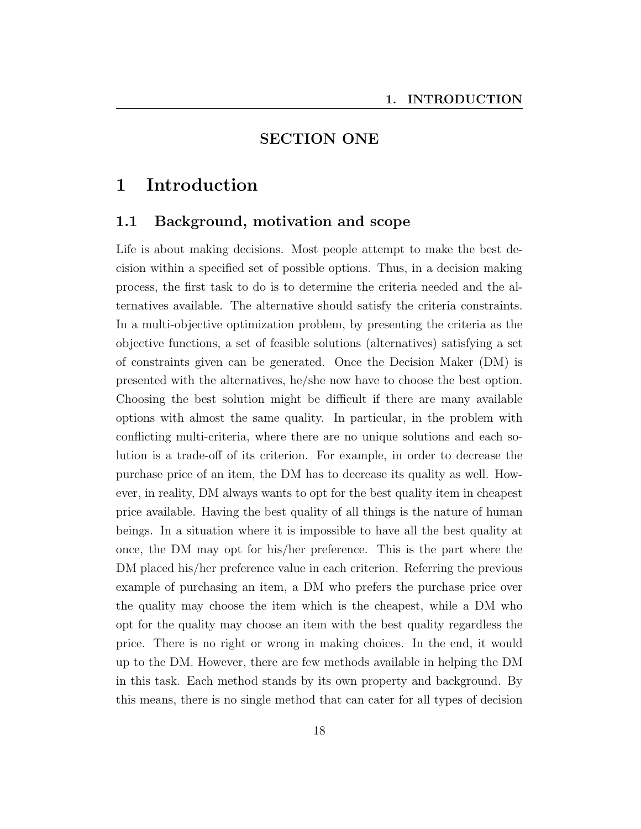## SECTION ONE

## 1 Introduction

## 1.1 Background, motivation and scope

Life is about making decisions. Most people attempt to make the best decision within a specified set of possible options. Thus, in a decision making process, the first task to do is to determine the criteria needed and the alternatives available. The alternative should satisfy the criteria constraints. In a multi-objective optimization problem, by presenting the criteria as the objective functions, a set of feasible solutions (alternatives) satisfying a set of constraints given can be generated. Once the Decision Maker (DM) is presented with the alternatives, he/she now have to choose the best option. Choosing the best solution might be difficult if there are many available options with almost the same quality. In particular, in the problem with conflicting multi-criteria, where there are no unique solutions and each solution is a trade-off of its criterion. For example, in order to decrease the purchase price of an item, the DM has to decrease its quality as well. However, in reality, DM always wants to opt for the best quality item in cheapest price available. Having the best quality of all things is the nature of human beings. In a situation where it is impossible to have all the best quality at once, the DM may opt for his/her preference. This is the part where the DM placed his/her preference value in each criterion. Referring the previous example of purchasing an item, a DM who prefers the purchase price over the quality may choose the item which is the cheapest, while a DM who opt for the quality may choose an item with the best quality regardless the price. There is no right or wrong in making choices. In the end, it would up to the DM. However, there are few methods available in helping the DM in this task. Each method stands by its own property and background. By this means, there is no single method that can cater for all types of decision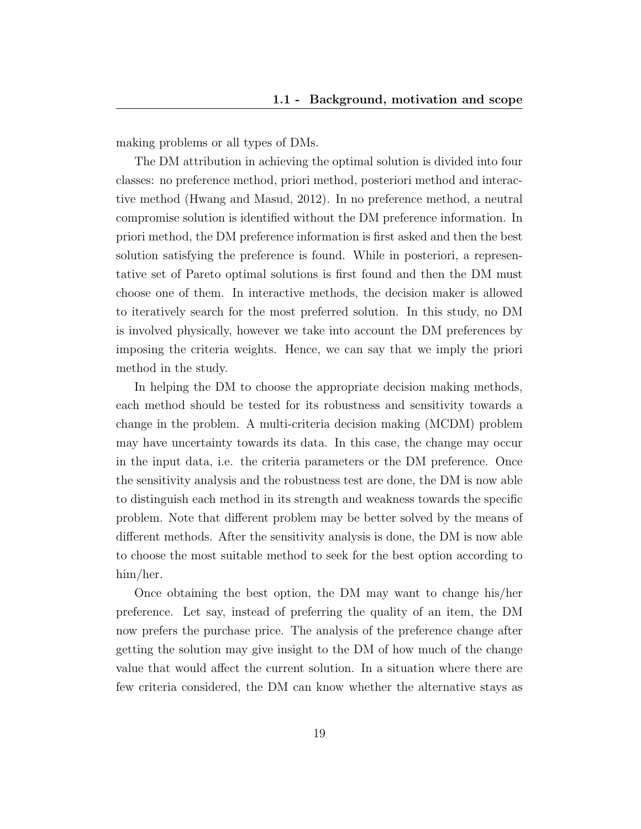making problems or all types of DMs.

The DM attribution in achieving the optimal solution is divided into four classes: no preference method, priori method, posteriori method and interactive method (Hwang and Masud, 2012). In no preference method, a neutral compromise solution is identified without the DM preference information. In priori method, the DM preference information is first asked and then the best solution satisfying the preference is found. While in posteriori, a representative set of Pareto optimal solutions is first found and then the DM must choose one of them. In interactive methods, the decision maker is allowed to iteratively search for the most preferred solution. In this study, no DM is involved physically, however we take into account the DM preferences by imposing the criteria weights. Hence, we can say that we imply the priori method in the study.

In helping the DM to choose the appropriate decision making methods, each method should be tested for its robustness and sensitivity towards a change in the problem. A multi-criteria decision making (MCDM) problem may have uncertainty towards its data. In this case, the change may occur in the input data, i.e. the criteria parameters or the DM preference. Once the sensitivity analysis and the robustness test are done, the DM is now able to distinguish each method in its strength and weakness towards the specific problem. Note that different problem may be better solved by the means of different methods. After the sensitivity analysis is done, the DM is now able to choose the most suitable method to seek for the best option according to him/her.

Once obtaining the best option, the DM may want to change his/her preference. Let say, instead of preferring the quality of an item, the DM now prefers the purchase price. The analysis of the preference change after getting the solution may give insight to the DM of how much of the change value that would affect the current solution. In a situation where there are few criteria considered, the DM can know whether the alternative stays as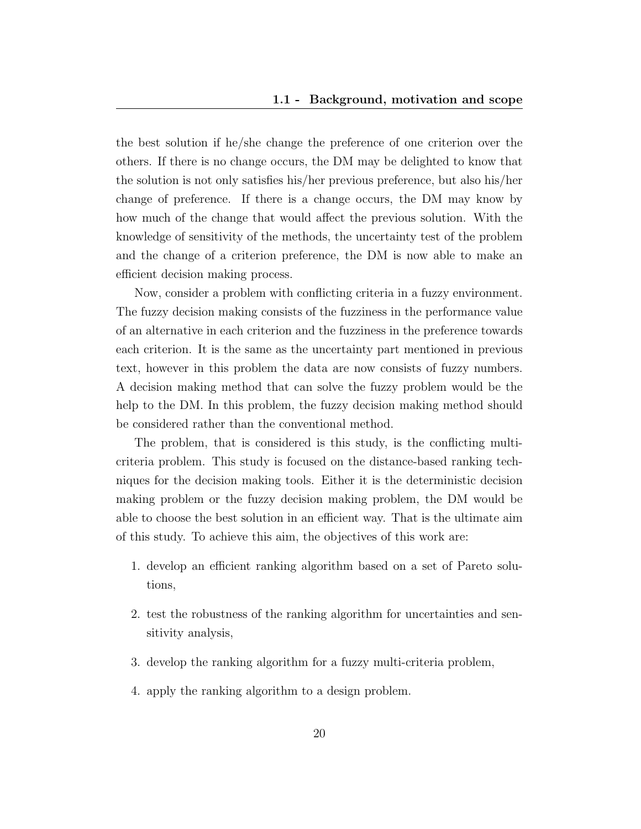the best solution if he/she change the preference of one criterion over the others. If there is no change occurs, the DM may be delighted to know that the solution is not only satisfies his/her previous preference, but also his/her change of preference. If there is a change occurs, the DM may know by how much of the change that would affect the previous solution. With the knowledge of sensitivity of the methods, the uncertainty test of the problem and the change of a criterion preference, the DM is now able to make an efficient decision making process.

Now, consider a problem with conflicting criteria in a fuzzy environment. The fuzzy decision making consists of the fuzziness in the performance value of an alternative in each criterion and the fuzziness in the preference towards each criterion. It is the same as the uncertainty part mentioned in previous text, however in this problem the data are now consists of fuzzy numbers. A decision making method that can solve the fuzzy problem would be the help to the DM. In this problem, the fuzzy decision making method should be considered rather than the conventional method.

The problem, that is considered is this study, is the conflicting multicriteria problem. This study is focused on the distance-based ranking techniques for the decision making tools. Either it is the deterministic decision making problem or the fuzzy decision making problem, the DM would be able to choose the best solution in an efficient way. That is the ultimate aim of this study. To achieve this aim, the objectives of this work are:

- 1. develop an efficient ranking algorithm based on a set of Pareto solutions,
- 2. test the robustness of the ranking algorithm for uncertainties and sensitivity analysis,
- 3. develop the ranking algorithm for a fuzzy multi-criteria problem,
- 4. apply the ranking algorithm to a design problem.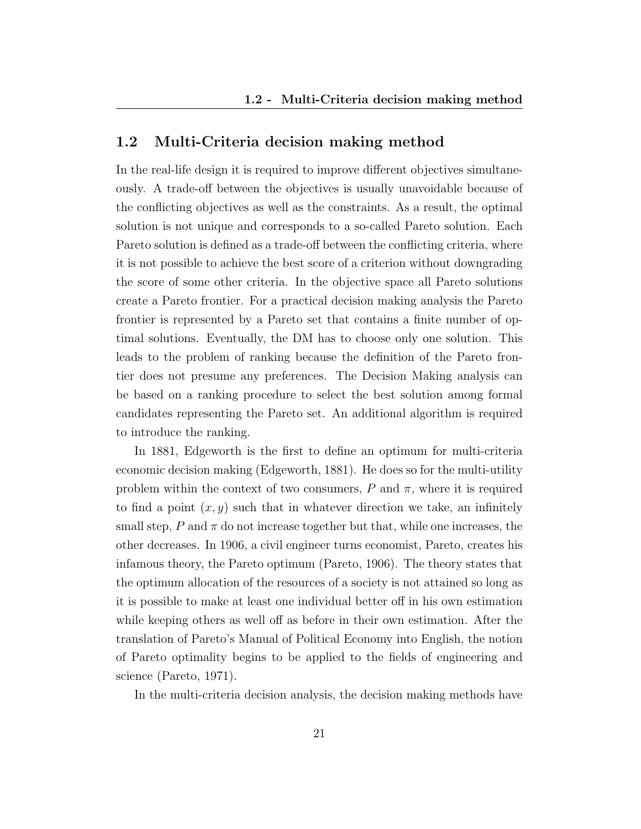### 1.2 Multi-Criteria decision making method

In the real-life design it is required to improve different objectives simultaneously. A trade-off between the objectives is usually unavoidable because of the conflicting objectives as well as the constraints. As a result, the optimal solution is not unique and corresponds to a so-called Pareto solution. Each Pareto solution is defined as a trade-off between the conflicting criteria, where it is not possible to achieve the best score of a criterion without downgrading the score of some other criteria. In the objective space all Pareto solutions create a Pareto frontier. For a practical decision making analysis the Pareto frontier is represented by a Pareto set that contains a finite number of optimal solutions. Eventually, the DM has to choose only one solution. This leads to the problem of ranking because the definition of the Pareto frontier does not presume any preferences. The Decision Making analysis can be based on a ranking procedure to select the best solution among formal candidates representing the Pareto set. An additional algorithm is required to introduce the ranking.

In 1881, Edgeworth is the first to define an optimum for multi-criteria economic decision making (Edgeworth, 1881). He does so for the multi-utility problem within the context of two consumers,  $P$  and  $\pi$ , where it is required to find a point  $(x, y)$  such that in whatever direction we take, an infinitely small step,  $P$  and  $\pi$  do not increase together but that, while one increases, the other decreases. In 1906, a civil engineer turns economist, Pareto, creates his infamous theory, the Pareto optimum (Pareto, 1906). The theory states that the optimum allocation of the resources of a society is not attained so long as it is possible to make at least one individual better off in his own estimation while keeping others as well off as before in their own estimation. After the translation of Pareto's Manual of Political Economy into English, the notion of Pareto optimality begins to be applied to the fields of engineering and science (Pareto, 1971).

In the multi-criteria decision analysis, the decision making methods have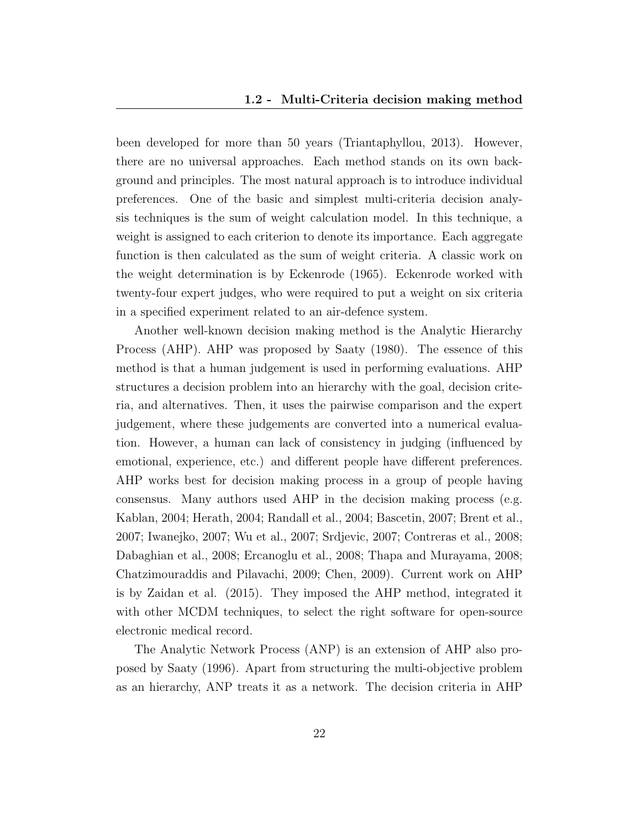been developed for more than 50 years (Triantaphyllou, 2013). However, there are no universal approaches. Each method stands on its own background and principles. The most natural approach is to introduce individual preferences. One of the basic and simplest multi-criteria decision analysis techniques is the sum of weight calculation model. In this technique, a weight is assigned to each criterion to denote its importance. Each aggregate function is then calculated as the sum of weight criteria. A classic work on the weight determination is by Eckenrode (1965). Eckenrode worked with twenty-four expert judges, who were required to put a weight on six criteria in a specified experiment related to an air-defence system.

Another well-known decision making method is the Analytic Hierarchy Process (AHP). AHP was proposed by Saaty (1980). The essence of this method is that a human judgement is used in performing evaluations. AHP structures a decision problem into an hierarchy with the goal, decision criteria, and alternatives. Then, it uses the pairwise comparison and the expert judgement, where these judgements are converted into a numerical evaluation. However, a human can lack of consistency in judging (influenced by emotional, experience, etc.) and different people have different preferences. AHP works best for decision making process in a group of people having consensus. Many authors used AHP in the decision making process (e.g. Kablan, 2004; Herath, 2004; Randall et al., 2004; Bascetin, 2007; Brent et al., 2007; Iwanejko, 2007; Wu et al., 2007; Srdjevic, 2007; Contreras et al., 2008; Dabaghian et al., 2008; Ercanoglu et al., 2008; Thapa and Murayama, 2008; Chatzimouraddis and Pilavachi, 2009; Chen, 2009). Current work on AHP is by Zaidan et al. (2015). They imposed the AHP method, integrated it with other MCDM techniques, to select the right software for open-source electronic medical record.

The Analytic Network Process (ANP) is an extension of AHP also proposed by Saaty (1996). Apart from structuring the multi-objective problem as an hierarchy, ANP treats it as a network. The decision criteria in AHP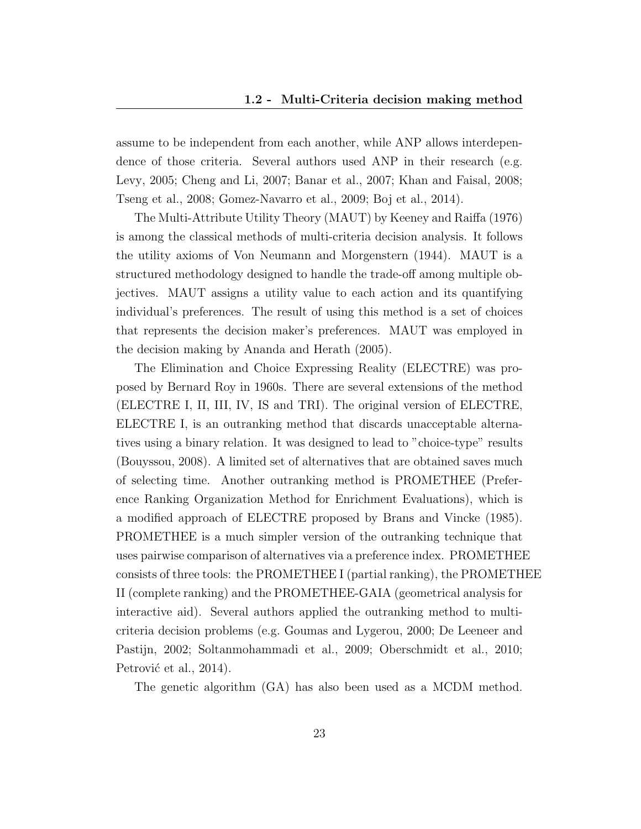assume to be independent from each another, while ANP allows interdependence of those criteria. Several authors used ANP in their research (e.g. Levy, 2005; Cheng and Li, 2007; Banar et al., 2007; Khan and Faisal, 2008; Tseng et al., 2008; Gomez-Navarro et al., 2009; Boj et al., 2014).

The Multi-Attribute Utility Theory (MAUT) by Keeney and Raiffa (1976) is among the classical methods of multi-criteria decision analysis. It follows the utility axioms of Von Neumann and Morgenstern (1944). MAUT is a structured methodology designed to handle the trade-off among multiple objectives. MAUT assigns a utility value to each action and its quantifying individual's preferences. The result of using this method is a set of choices that represents the decision maker's preferences. MAUT was employed in the decision making by Ananda and Herath (2005).

The Elimination and Choice Expressing Reality (ELECTRE) was proposed by Bernard Roy in 1960s. There are several extensions of the method (ELECTRE I, II, III, IV, IS and TRI). The original version of ELECTRE, ELECTRE I, is an outranking method that discards unacceptable alternatives using a binary relation. It was designed to lead to "choice-type" results (Bouyssou, 2008). A limited set of alternatives that are obtained saves much of selecting time. Another outranking method is PROMETHEE (Preference Ranking Organization Method for Enrichment Evaluations), which is a modified approach of ELECTRE proposed by Brans and Vincke (1985). PROMETHEE is a much simpler version of the outranking technique that uses pairwise comparison of alternatives via a preference index. PROMETHEE consists of three tools: the PROMETHEE I (partial ranking), the PROMETHEE II (complete ranking) and the PROMETHEE-GAIA (geometrical analysis for interactive aid). Several authors applied the outranking method to multicriteria decision problems (e.g. Goumas and Lygerou, 2000; De Leeneer and Pastijn, 2002; Soltanmohammadi et al., 2009; Oberschmidt et al., 2010; Petrović et al., 2014).

The genetic algorithm (GA) has also been used as a MCDM method.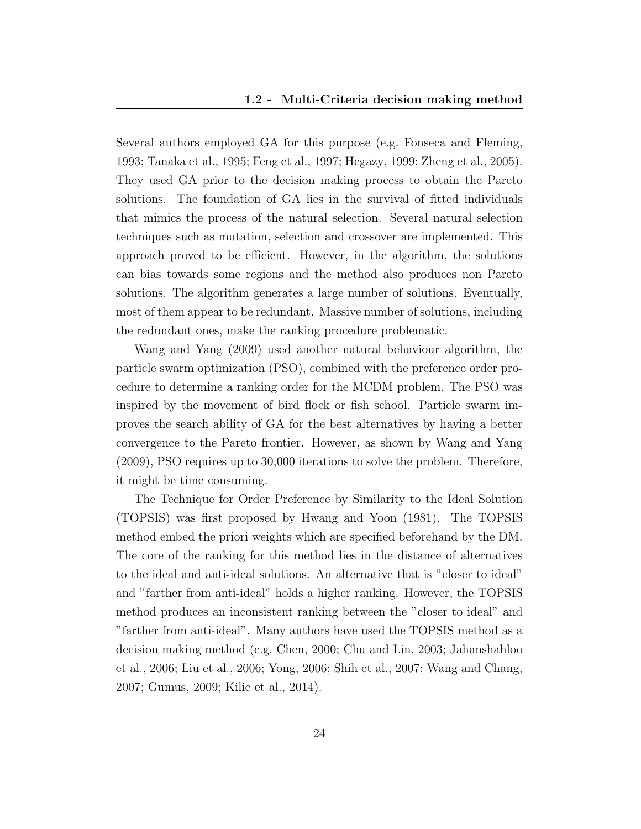Several authors employed GA for this purpose (e.g. Fonseca and Fleming, 1993; Tanaka et al., 1995; Feng et al., 1997; Hegazy, 1999; Zheng et al., 2005). They used GA prior to the decision making process to obtain the Pareto solutions. The foundation of GA lies in the survival of fitted individuals that mimics the process of the natural selection. Several natural selection techniques such as mutation, selection and crossover are implemented. This approach proved to be efficient. However, in the algorithm, the solutions can bias towards some regions and the method also produces non Pareto solutions. The algorithm generates a large number of solutions. Eventually, most of them appear to be redundant. Massive number of solutions, including the redundant ones, make the ranking procedure problematic.

Wang and Yang (2009) used another natural behaviour algorithm, the particle swarm optimization (PSO), combined with the preference order procedure to determine a ranking order for the MCDM problem. The PSO was inspired by the movement of bird flock or fish school. Particle swarm improves the search ability of GA for the best alternatives by having a better convergence to the Pareto frontier. However, as shown by Wang and Yang (2009), PSO requires up to 30,000 iterations to solve the problem. Therefore, it might be time consuming.

The Technique for Order Preference by Similarity to the Ideal Solution (TOPSIS) was first proposed by Hwang and Yoon (1981). The TOPSIS method embed the priori weights which are specified beforehand by the DM. The core of the ranking for this method lies in the distance of alternatives to the ideal and anti-ideal solutions. An alternative that is "closer to ideal" and "farther from anti-ideal" holds a higher ranking. However, the TOPSIS method produces an inconsistent ranking between the "closer to ideal" and "farther from anti-ideal". Many authors have used the TOPSIS method as a decision making method (e.g. Chen, 2000; Chu and Lin, 2003; Jahanshahloo et al., 2006; Liu et al., 2006; Yong, 2006; Shih et al., 2007; Wang and Chang, 2007; Gumus, 2009; Kilic et al., 2014).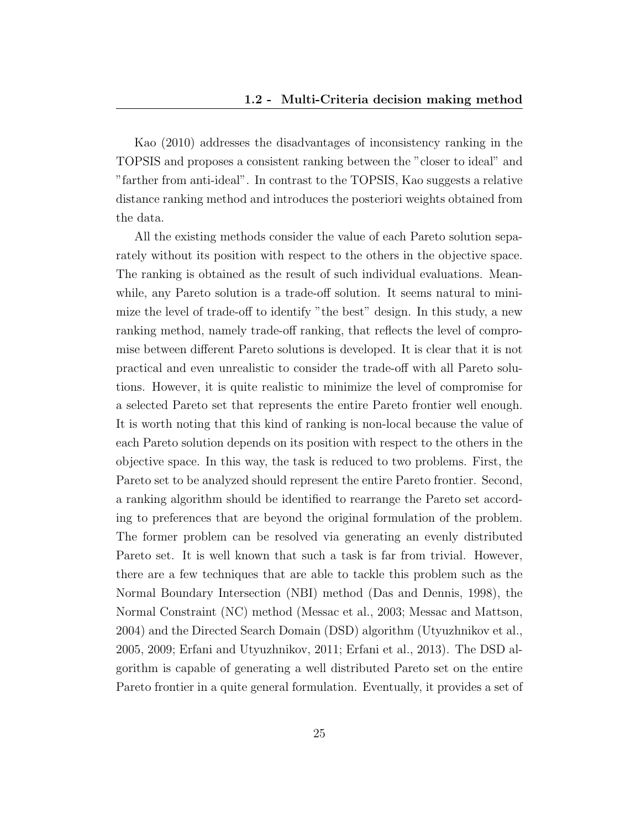Kao (2010) addresses the disadvantages of inconsistency ranking in the TOPSIS and proposes a consistent ranking between the "closer to ideal" and "farther from anti-ideal". In contrast to the TOPSIS, Kao suggests a relative distance ranking method and introduces the posteriori weights obtained from the data.

All the existing methods consider the value of each Pareto solution separately without its position with respect to the others in the objective space. The ranking is obtained as the result of such individual evaluations. Meanwhile, any Pareto solution is a trade-off solution. It seems natural to minimize the level of trade-off to identify "the best" design. In this study, a new ranking method, namely trade-off ranking, that reflects the level of compromise between different Pareto solutions is developed. It is clear that it is not practical and even unrealistic to consider the trade-off with all Pareto solutions. However, it is quite realistic to minimize the level of compromise for a selected Pareto set that represents the entire Pareto frontier well enough. It is worth noting that this kind of ranking is non-local because the value of each Pareto solution depends on its position with respect to the others in the objective space. In this way, the task is reduced to two problems. First, the Pareto set to be analyzed should represent the entire Pareto frontier. Second, a ranking algorithm should be identified to rearrange the Pareto set according to preferences that are beyond the original formulation of the problem. The former problem can be resolved via generating an evenly distributed Pareto set. It is well known that such a task is far from trivial. However, there are a few techniques that are able to tackle this problem such as the Normal Boundary Intersection (NBI) method (Das and Dennis, 1998), the Normal Constraint (NC) method (Messac et al., 2003; Messac and Mattson, 2004) and the Directed Search Domain (DSD) algorithm (Utyuzhnikov et al., 2005, 2009; Erfani and Utyuzhnikov, 2011; Erfani et al., 2013). The DSD algorithm is capable of generating a well distributed Pareto set on the entire Pareto frontier in a quite general formulation. Eventually, it provides a set of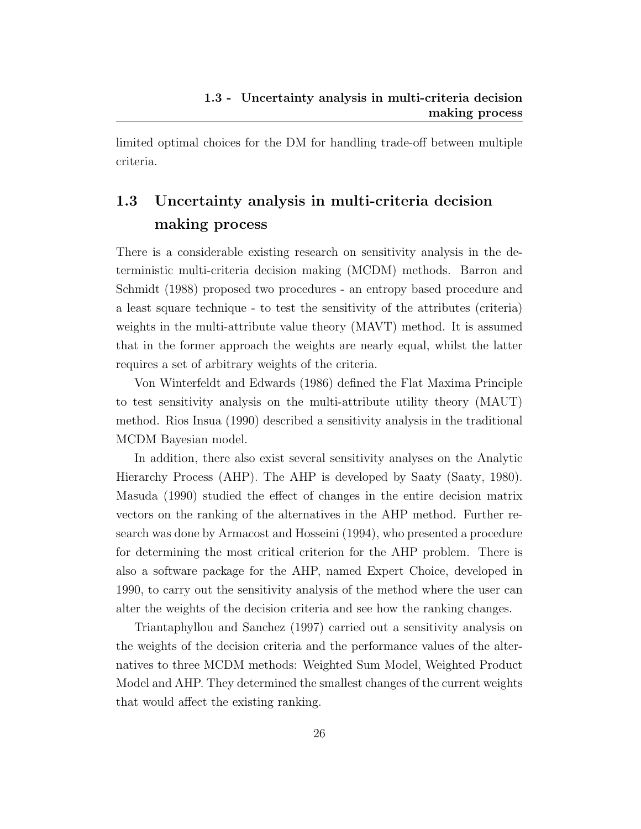limited optimal choices for the DM for handling trade-off between multiple criteria.

## 1.3 Uncertainty analysis in multi-criteria decision making process

There is a considerable existing research on sensitivity analysis in the deterministic multi-criteria decision making (MCDM) methods. Barron and Schmidt (1988) proposed two procedures - an entropy based procedure and a least square technique - to test the sensitivity of the attributes (criteria) weights in the multi-attribute value theory (MAVT) method. It is assumed that in the former approach the weights are nearly equal, whilst the latter requires a set of arbitrary weights of the criteria.

Von Winterfeldt and Edwards (1986) defined the Flat Maxima Principle to test sensitivity analysis on the multi-attribute utility theory (MAUT) method. Rios Insua (1990) described a sensitivity analysis in the traditional MCDM Bayesian model.

In addition, there also exist several sensitivity analyses on the Analytic Hierarchy Process (AHP). The AHP is developed by Saaty (Saaty, 1980). Masuda (1990) studied the effect of changes in the entire decision matrix vectors on the ranking of the alternatives in the AHP method. Further research was done by Armacost and Hosseini (1994), who presented a procedure for determining the most critical criterion for the AHP problem. There is also a software package for the AHP, named Expert Choice, developed in 1990, to carry out the sensitivity analysis of the method where the user can alter the weights of the decision criteria and see how the ranking changes.

Triantaphyllou and Sanchez (1997) carried out a sensitivity analysis on the weights of the decision criteria and the performance values of the alternatives to three MCDM methods: Weighted Sum Model, Weighted Product Model and AHP. They determined the smallest changes of the current weights that would affect the existing ranking.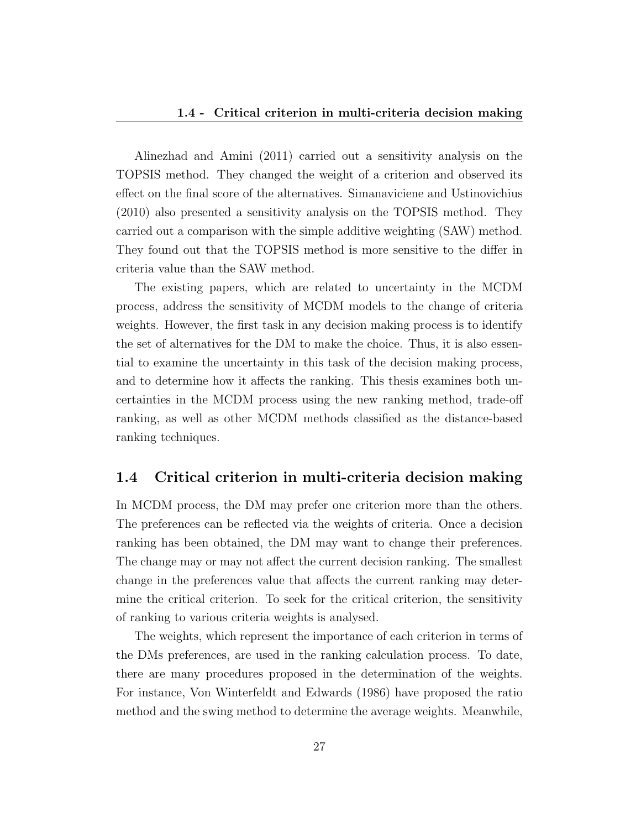#### 1.4 - Critical criterion in multi-criteria decision making

Alinezhad and Amini (2011) carried out a sensitivity analysis on the TOPSIS method. They changed the weight of a criterion and observed its effect on the final score of the alternatives. Simanaviciene and Ustinovichius (2010) also presented a sensitivity analysis on the TOPSIS method. They carried out a comparison with the simple additive weighting (SAW) method. They found out that the TOPSIS method is more sensitive to the differ in criteria value than the SAW method.

The existing papers, which are related to uncertainty in the MCDM process, address the sensitivity of MCDM models to the change of criteria weights. However, the first task in any decision making process is to identify the set of alternatives for the DM to make the choice. Thus, it is also essential to examine the uncertainty in this task of the decision making process, and to determine how it affects the ranking. This thesis examines both uncertainties in the MCDM process using the new ranking method, trade-off ranking, as well as other MCDM methods classified as the distance-based ranking techniques.

### 1.4 Critical criterion in multi-criteria decision making

In MCDM process, the DM may prefer one criterion more than the others. The preferences can be reflected via the weights of criteria. Once a decision ranking has been obtained, the DM may want to change their preferences. The change may or may not affect the current decision ranking. The smallest change in the preferences value that affects the current ranking may determine the critical criterion. To seek for the critical criterion, the sensitivity of ranking to various criteria weights is analysed.

The weights, which represent the importance of each criterion in terms of the DMs preferences, are used in the ranking calculation process. To date, there are many procedures proposed in the determination of the weights. For instance, Von Winterfeldt and Edwards (1986) have proposed the ratio method and the swing method to determine the average weights. Meanwhile,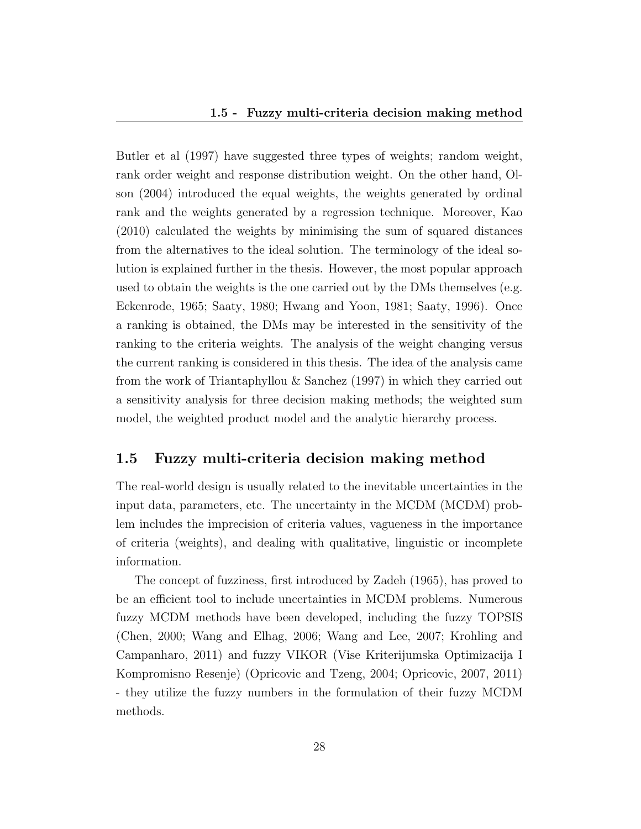Butler et al (1997) have suggested three types of weights; random weight, rank order weight and response distribution weight. On the other hand, Olson (2004) introduced the equal weights, the weights generated by ordinal rank and the weights generated by a regression technique. Moreover, Kao (2010) calculated the weights by minimising the sum of squared distances from the alternatives to the ideal solution. The terminology of the ideal solution is explained further in the thesis. However, the most popular approach used to obtain the weights is the one carried out by the DMs themselves (e.g. Eckenrode, 1965; Saaty, 1980; Hwang and Yoon, 1981; Saaty, 1996). Once a ranking is obtained, the DMs may be interested in the sensitivity of the ranking to the criteria weights. The analysis of the weight changing versus the current ranking is considered in this thesis. The idea of the analysis came from the work of Triantaphyllou & Sanchez (1997) in which they carried out a sensitivity analysis for three decision making methods; the weighted sum model, the weighted product model and the analytic hierarchy process.

### 1.5 Fuzzy multi-criteria decision making method

The real-world design is usually related to the inevitable uncertainties in the input data, parameters, etc. The uncertainty in the MCDM (MCDM) problem includes the imprecision of criteria values, vagueness in the importance of criteria (weights), and dealing with qualitative, linguistic or incomplete information.

The concept of fuzziness, first introduced by Zadeh (1965), has proved to be an efficient tool to include uncertainties in MCDM problems. Numerous fuzzy MCDM methods have been developed, including the fuzzy TOPSIS (Chen, 2000; Wang and Elhag, 2006; Wang and Lee, 2007; Krohling and Campanharo, 2011) and fuzzy VIKOR (Vise Kriterijumska Optimizacija I Kompromisno Resenje) (Opricovic and Tzeng, 2004; Opricovic, 2007, 2011) - they utilize the fuzzy numbers in the formulation of their fuzzy MCDM methods.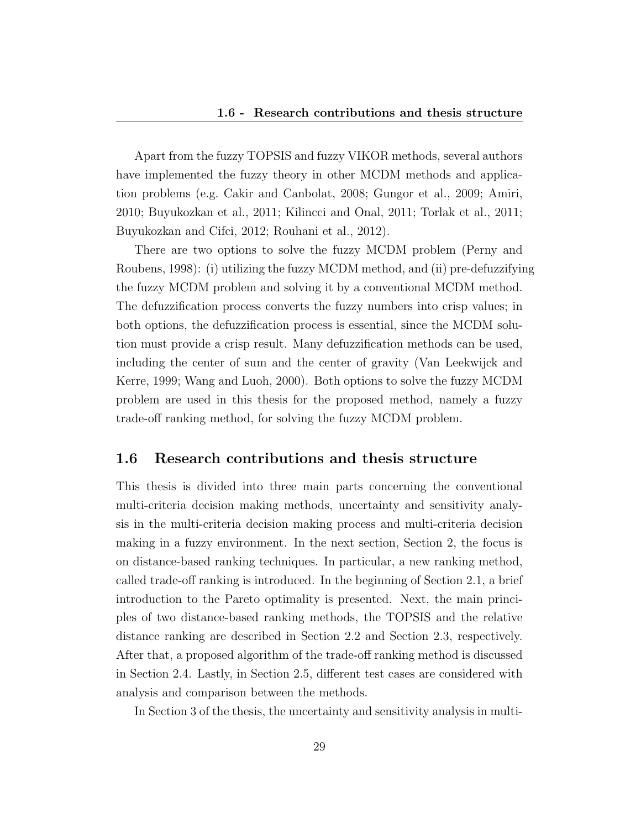Apart from the fuzzy TOPSIS and fuzzy VIKOR methods, several authors have implemented the fuzzy theory in other MCDM methods and application problems (e.g. Cakir and Canbolat, 2008; Gungor et al., 2009; Amiri, 2010; Buyukozkan et al., 2011; Kilincci and Onal, 2011; Torlak et al., 2011; Buyukozkan and Cifci, 2012; Rouhani et al., 2012).

There are two options to solve the fuzzy MCDM problem (Perny and Roubens, 1998): (i) utilizing the fuzzy MCDM method, and (ii) pre-defuzzifying the fuzzy MCDM problem and solving it by a conventional MCDM method. The defuzzification process converts the fuzzy numbers into crisp values; in both options, the defuzzification process is essential, since the MCDM solution must provide a crisp result. Many defuzzification methods can be used, including the center of sum and the center of gravity (Van Leekwijck and Kerre, 1999; Wang and Luoh, 2000). Both options to solve the fuzzy MCDM problem are used in this thesis for the proposed method, namely a fuzzy trade-off ranking method, for solving the fuzzy MCDM problem.

#### 1.6 Research contributions and thesis structure

This thesis is divided into three main parts concerning the conventional multi-criteria decision making methods, uncertainty and sensitivity analysis in the multi-criteria decision making process and multi-criteria decision making in a fuzzy environment. In the next section, Section 2, the focus is on distance-based ranking techniques. In particular, a new ranking method, called trade-off ranking is introduced. In the beginning of Section 2.1, a brief introduction to the Pareto optimality is presented. Next, the main principles of two distance-based ranking methods, the TOPSIS and the relative distance ranking are described in Section 2.2 and Section 2.3, respectively. After that, a proposed algorithm of the trade-off ranking method is discussed in Section 2.4. Lastly, in Section 2.5, different test cases are considered with analysis and comparison between the methods.

In Section 3 of the thesis, the uncertainty and sensitivity analysis in multi-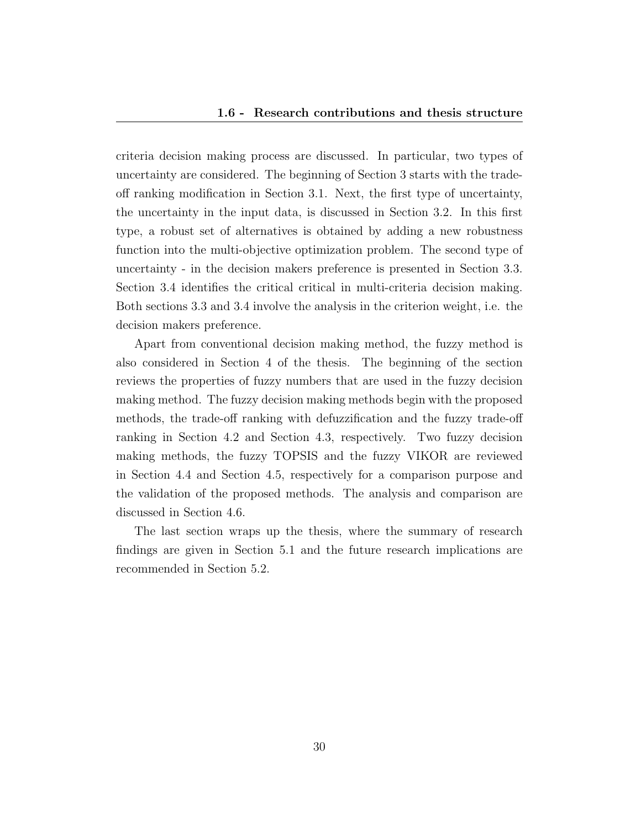criteria decision making process are discussed. In particular, two types of uncertainty are considered. The beginning of Section 3 starts with the tradeoff ranking modification in Section 3.1. Next, the first type of uncertainty, the uncertainty in the input data, is discussed in Section 3.2. In this first type, a robust set of alternatives is obtained by adding a new robustness function into the multi-objective optimization problem. The second type of uncertainty - in the decision makers preference is presented in Section 3.3. Section 3.4 identifies the critical critical in multi-criteria decision making. Both sections 3.3 and 3.4 involve the analysis in the criterion weight, i.e. the decision makers preference.

Apart from conventional decision making method, the fuzzy method is also considered in Section 4 of the thesis. The beginning of the section reviews the properties of fuzzy numbers that are used in the fuzzy decision making method. The fuzzy decision making methods begin with the proposed methods, the trade-off ranking with defuzzification and the fuzzy trade-off ranking in Section 4.2 and Section 4.3, respectively. Two fuzzy decision making methods, the fuzzy TOPSIS and the fuzzy VIKOR are reviewed in Section 4.4 and Section 4.5, respectively for a comparison purpose and the validation of the proposed methods. The analysis and comparison are discussed in Section 4.6.

The last section wraps up the thesis, where the summary of research findings are given in Section 5.1 and the future research implications are recommended in Section 5.2.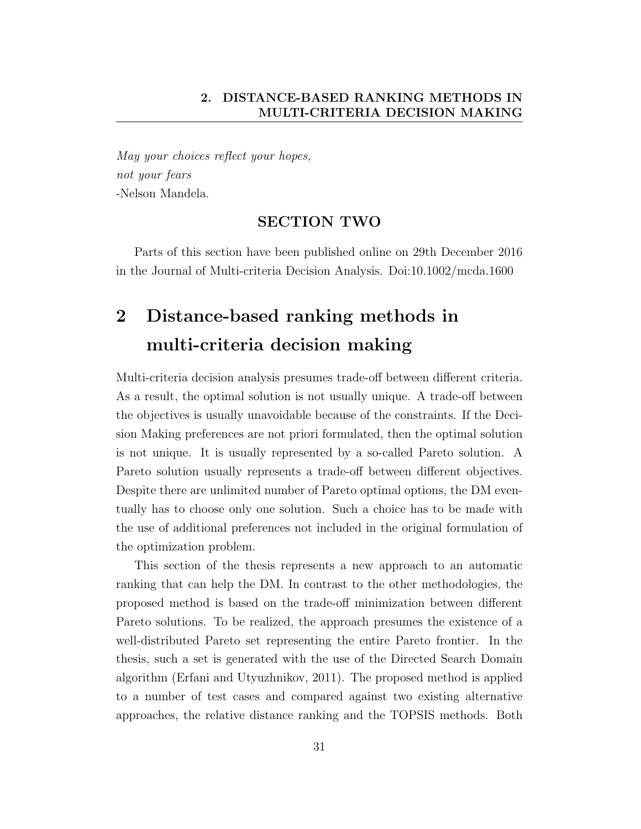May your choices reflect your hopes, not your fears -Nelson Mandela.

### SECTION TWO

Parts of this section have been published online on 29th December 2016 in the Journal of Multi-criteria Decision Analysis. Doi:10.1002/mcda.1600

## 2 Distance-based ranking methods in multi-criteria decision making

Multi-criteria decision analysis presumes trade-off between different criteria. As a result, the optimal solution is not usually unique. A trade-off between the objectives is usually unavoidable because of the constraints. If the Decision Making preferences are not priori formulated, then the optimal solution is not unique. It is usually represented by a so-called Pareto solution. A Pareto solution usually represents a trade-off between different objectives. Despite there are unlimited number of Pareto optimal options, the DM eventually has to choose only one solution. Such a choice has to be made with the use of additional preferences not included in the original formulation of the optimization problem.

This section of the thesis represents a new approach to an automatic ranking that can help the DM. In contrast to the other methodologies, the proposed method is based on the trade-off minimization between different Pareto solutions. To be realized, the approach presumes the existence of a well-distributed Pareto set representing the entire Pareto frontier. In the thesis, such a set is generated with the use of the Directed Search Domain algorithm (Erfani and Utyuzhnikov, 2011). The proposed method is applied to a number of test cases and compared against two existing alternative approaches, the relative distance ranking and the TOPSIS methods. Both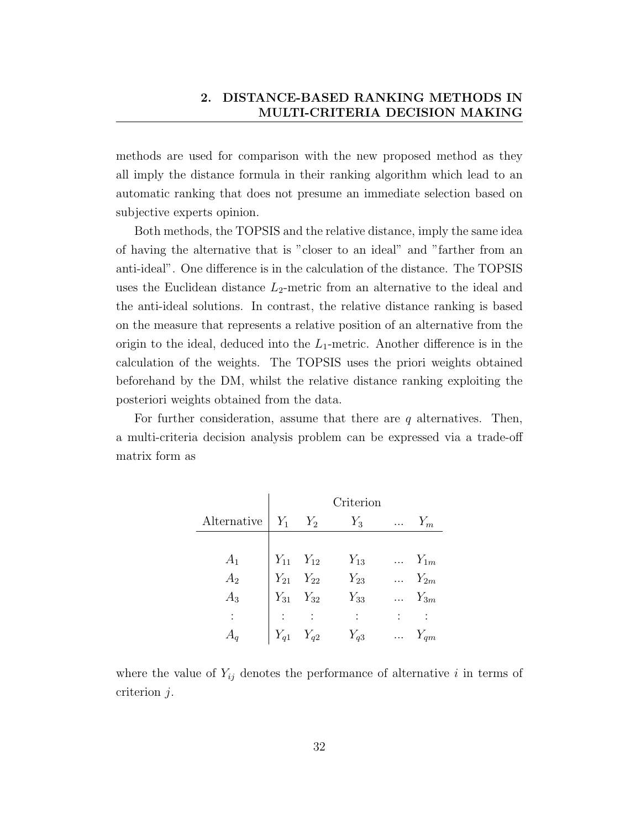methods are used for comparison with the new proposed method as they all imply the distance formula in their ranking algorithm which lead to an automatic ranking that does not presume an immediate selection based on subjective experts opinion.

Both methods, the TOPSIS and the relative distance, imply the same idea of having the alternative that is "closer to an ideal" and "farther from an anti-ideal". One difference is in the calculation of the distance. The TOPSIS uses the Euclidean distance  $L_2$ -metric from an alternative to the ideal and the anti-ideal solutions. In contrast, the relative distance ranking is based on the measure that represents a relative position of an alternative from the origin to the ideal, deduced into the  $L_1$ -metric. Another difference is in the calculation of the weights. The TOPSIS uses the priori weights obtained beforehand by the DM, whilst the relative distance ranking exploiting the posteriori weights obtained from the data.

For further consideration, assume that there are  $q$  alternatives. Then, a multi-criteria decision analysis problem can be expressed via a trade-off matrix form as

|             |                   |                                                             | Criterion |          |                 |
|-------------|-------------------|-------------------------------------------------------------|-----------|----------|-----------------|
| Alternative | $Y_1$             | $Y_2$                                                       | $Y_3$     |          | $Y_m$           |
|             |                   |                                                             |           |          |                 |
| $A_1$       |                   | $Y_{11}$ $Y_{12}$<br>$Y_{21}$ $Y_{22}$<br>$Y_{31}$ $Y_{32}$ | $Y_{13}$  |          | $\ldots Y_{1m}$ |
| $A_2$       |                   |                                                             | $Y_{23}$  |          | $Y_{2m}$        |
| $A_3$       |                   |                                                             | $Y_{33}$  |          | $\ldots Y_{3m}$ |
|             |                   |                                                             |           |          |                 |
|             | $Y_{q1}$ $Y_{q2}$ |                                                             | $Y_{q3}$  | $\cdots$ | $Y_{qm}$        |

where the value of  $Y_{ij}$  denotes the performance of alternative i in terms of criterion j.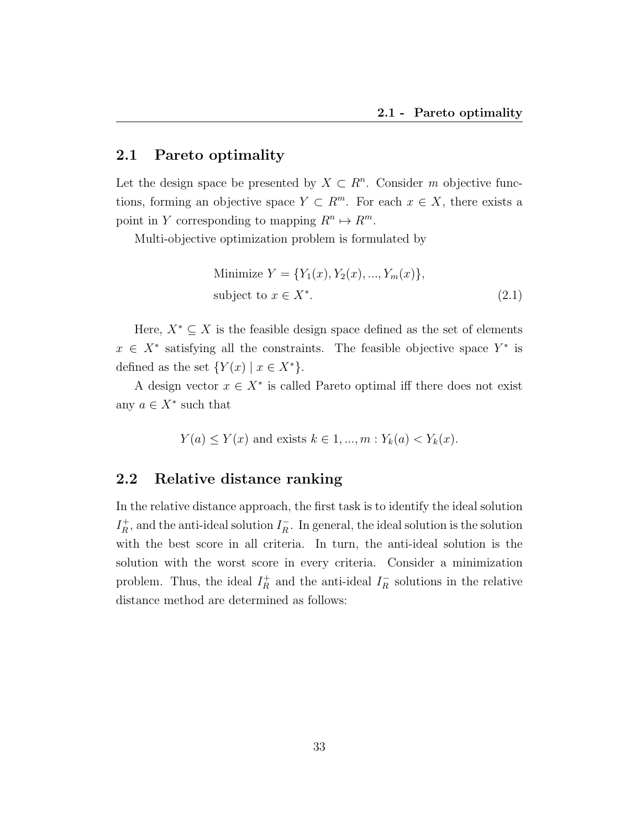## 2.1 Pareto optimality

Let the design space be presented by  $X \subset \mathbb{R}^n$ . Consider m objective functions, forming an objective space  $Y \subset R^m$ . For each  $x \in X$ , there exists a point in Y corresponding to mapping  $R^n \mapsto R^m$ .

Multi-objective optimization problem is formulated by

Minimize 
$$
Y = \{Y_1(x), Y_2(x), ..., Y_m(x)\},
$$
  
subject to  $x \in X^*$ . (2.1)

Here,  $X^* \subseteq X$  is the feasible design space defined as the set of elements  $x \in X^*$  satisfying all the constraints. The feasible objective space  $Y^*$  is defined as the set  $\{Y(x) \mid x \in X^*\}.$ 

A design vector  $x \in X^*$  is called Pareto optimal iff there does not exist any  $a \in X^*$  such that

$$
Y(a) \le Y(x)
$$
 and exists  $k \in 1, ..., m : Y_k(a) < Y_k(x)$ .

### 2.2 Relative distance ranking

In the relative distance approach, the first task is to identify the ideal solution  $I_R^+$  $I_R^+$ , and the anti-ideal solution  $I_R^ \bar{R}$ . In general, the ideal solution is the solution with the best score in all criteria. In turn, the anti-ideal solution is the solution with the worst score in every criteria. Consider a minimization problem. Thus, the ideal  $I_R^+$  $\frac{1}{R}$  and the anti-ideal  $I_R^ R_R$  solutions in the relative distance method are determined as follows: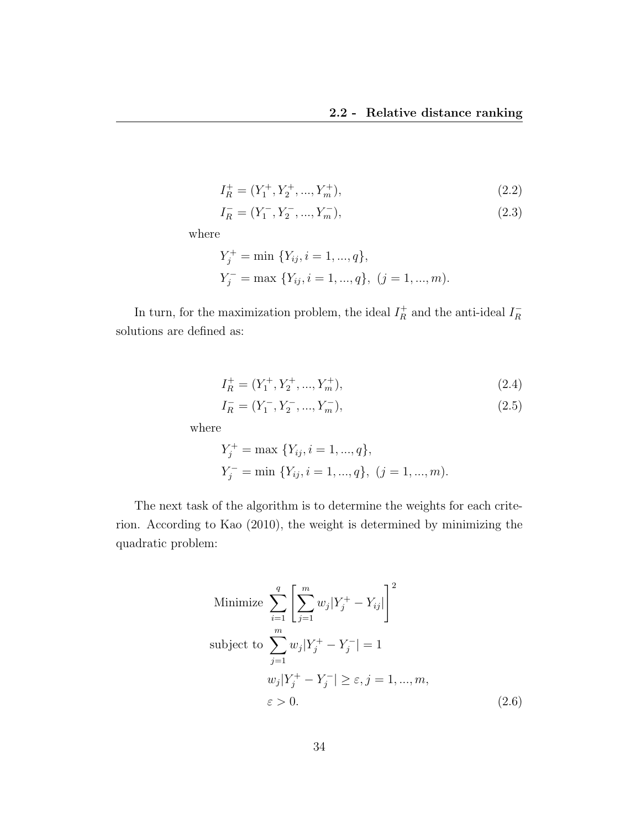$$
I_R^+ = (Y_1^+, Y_2^+, ..., Y_m^+),
$$
\n(2.2)

$$
I_R^- = (Y_1^-, Y_2^-, ..., Y_m^-),
$$
\n(2.3)

where

$$
Y_j^+ = \min \{ Y_{ij}, i = 1, ..., q \},
$$
  

$$
Y_j^- = \max \{ Y_{ij}, i = 1, ..., q \}, (j = 1, ..., m).
$$

In turn, for the maximization problem, the ideal  $I_R^+$  $I_R^+$  and the anti-ideal  $I_R^-$ R solutions are defined as:

$$
I_R^+ = (Y_1^+, Y_2^+, ..., Y_m^+),
$$
\n(2.4)

$$
I_R^- = (Y_1^-, Y_2^-, ..., Y_m^-),
$$
\n(2.5)

where

$$
Y_j^+ = \max \{ Y_{ij}, i = 1, ..., q \},
$$
  

$$
Y_j^- = \min \{ Y_{ij}, i = 1, ..., q \}, (j = 1, ..., m).
$$

The next task of the algorithm is to determine the weights for each criterion. According to Kao (2010), the weight is determined by minimizing the quadratic problem:

Minimize 
$$
\sum_{i=1}^{q} \left[ \sum_{j=1}^{m} w_j |Y_j^+ - Y_{ij}| \right]^2
$$
  
subject to 
$$
\sum_{j=1}^{m} w_j |Y_j^+ - Y_j^-| = 1
$$

$$
w_j |Y_j^+ - Y_j^-| \ge \varepsilon, j = 1, ..., m,
$$

$$
\varepsilon > 0.
$$
 (2.6)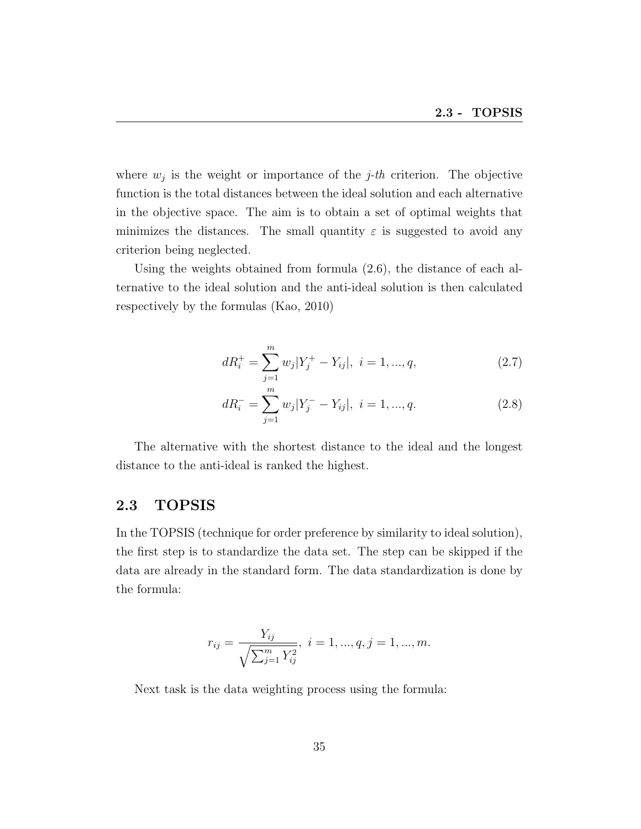where  $w_j$  is the weight or importance of the *j*-th criterion. The objective function is the total distances between the ideal solution and each alternative in the objective space. The aim is to obtain a set of optimal weights that minimizes the distances. The small quantity  $\varepsilon$  is suggested to avoid any criterion being neglected.

Using the weights obtained from formula (2.6), the distance of each alternative to the ideal solution and the anti-ideal solution is then calculated respectively by the formulas (Kao, 2010)

$$
dR_i^+ = \sum_{j=1}^m w_j |Y_j^+ - Y_{ij}|, \ i = 1, ..., q,
$$
\n(2.7)

$$
dR_i^- = \sum_{j=1}^m w_j |Y_j^- - Y_{ij}|, \ i = 1, ..., q.
$$
 (2.8)

The alternative with the shortest distance to the ideal and the longest distance to the anti-ideal is ranked the highest.

## 2.3 TOPSIS

In the TOPSIS (technique for order preference by similarity to ideal solution), the first step is to standardize the data set. The step can be skipped if the data are already in the standard form. The data standardization is done by the formula:

$$
r_{ij} = \frac{Y_{ij}}{\sqrt{\sum_{j=1}^{m} Y_{ij}^2}}, \quad i = 1, ..., q, j = 1, ..., m.
$$

Next task is the data weighting process using the formula: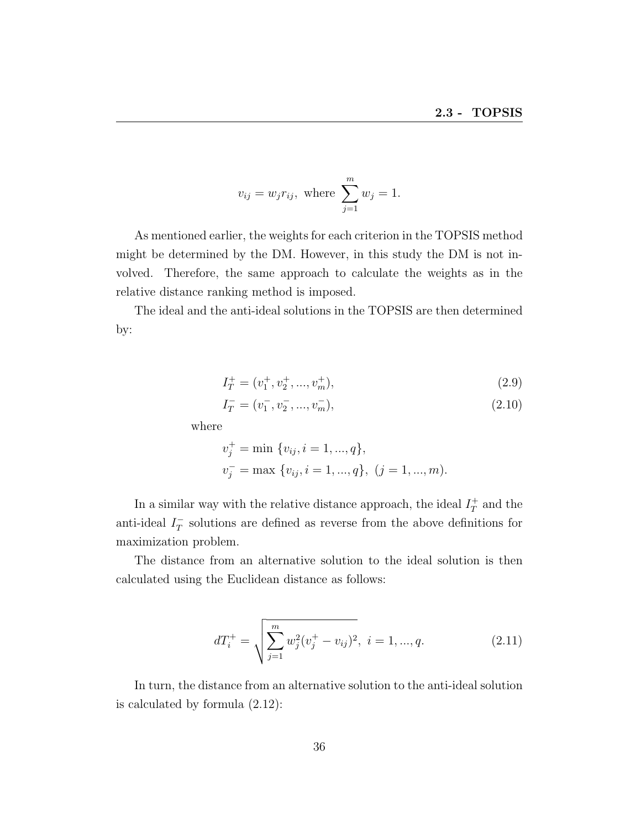$$
v_{ij} = w_j r_{ij}
$$
, where  $\sum_{j=1}^{m} w_j = 1$ .

As mentioned earlier, the weights for each criterion in the TOPSIS method might be determined by the DM. However, in this study the DM is not involved. Therefore, the same approach to calculate the weights as in the relative distance ranking method is imposed.

The ideal and the anti-ideal solutions in the TOPSIS are then determined by:

$$
I_T^+ = (v_1^+, v_2^+, ..., v_m^+),
$$
\n(2.9)

$$
I_T^- = (v_1^-, v_2^-, ..., v_m^-),
$$
\n(2.10)

where

$$
v_j^+ = \min \{v_{ij}, i = 1, ..., q\},
$$
  

$$
v_j^- = \max \{v_{ij}, i = 1, ..., q\}, (j = 1, ..., m).
$$

In a similar way with the relative distance approach, the ideal  $I_T^+$  $T^+$  and the anti-ideal  $I_T^ \overline{T}$  solutions are defined as reverse from the above definitions for maximization problem.

The distance from an alternative solution to the ideal solution is then calculated using the Euclidean distance as follows:

$$
dT_i^+ = \sqrt{\sum_{j=1}^m w_j^2 (v_j^+ - v_{ij})^2}, \ i = 1, ..., q.
$$
 (2.11)

In turn, the distance from an alternative solution to the anti-ideal solution is calculated by formula (2.12):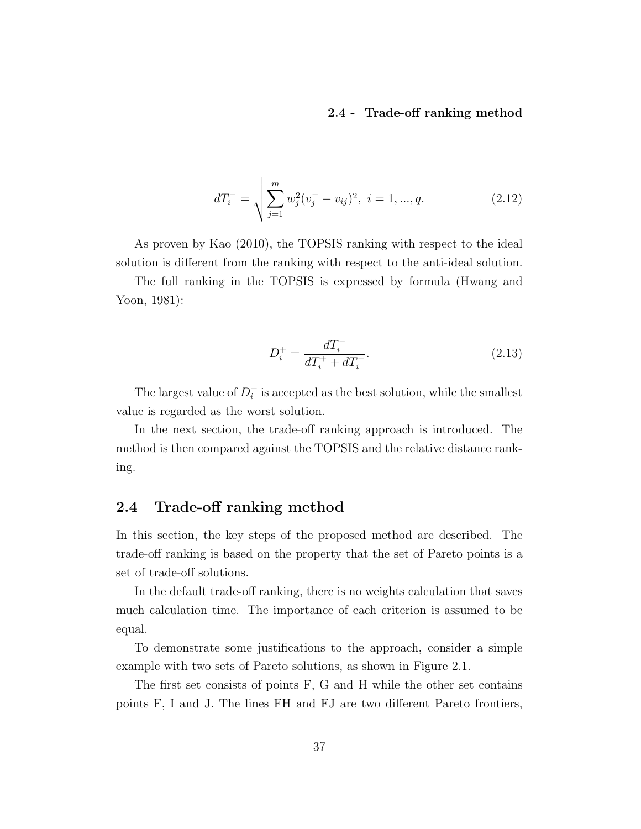$$
dT_i^- = \sqrt{\sum_{j=1}^m w_j^2 (v_j^- - v_{ij})^2}, \ i = 1, ..., q.
$$
 (2.12)

As proven by Kao (2010), the TOPSIS ranking with respect to the ideal solution is different from the ranking with respect to the anti-ideal solution.

The full ranking in the TOPSIS is expressed by formula (Hwang and Yoon, 1981):

$$
D_i^+ = \frac{dT_i^-}{dT_i^+ + dT_i^-}.\tag{2.13}
$$

The largest value of  $D_i^+$  $i$ <sup> $\dagger$ </sup> is accepted as the best solution, while the smallest value is regarded as the worst solution.

In the next section, the trade-off ranking approach is introduced. The method is then compared against the TOPSIS and the relative distance ranking.

## 2.4 Trade-off ranking method

In this section, the key steps of the proposed method are described. The trade-off ranking is based on the property that the set of Pareto points is a set of trade-off solutions.

In the default trade-off ranking, there is no weights calculation that saves much calculation time. The importance of each criterion is assumed to be equal.

To demonstrate some justifications to the approach, consider a simple example with two sets of Pareto solutions, as shown in Figure 2.1.

The first set consists of points F, G and H while the other set contains points F, I and J. The lines FH and FJ are two different Pareto frontiers,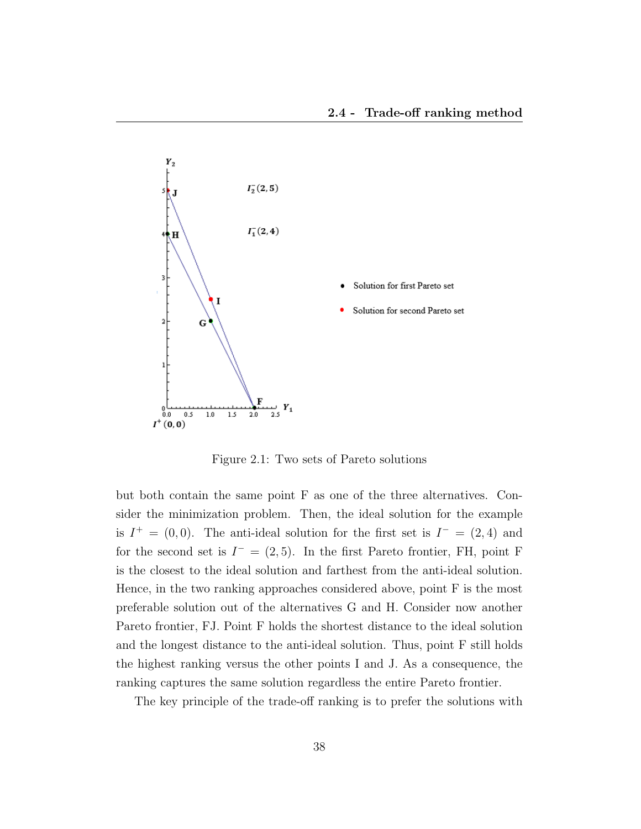

Figure 2.1: Two sets of Pareto solutions

but both contain the same point F as one of the three alternatives. Consider the minimization problem. Then, the ideal solution for the example is  $I^+ = (0,0)$ . The anti-ideal solution for the first set is  $I^- = (2,4)$  and for the second set is  $I^- = (2, 5)$ . In the first Pareto frontier, FH, point F is the closest to the ideal solution and farthest from the anti-ideal solution. Hence, in the two ranking approaches considered above, point F is the most preferable solution out of the alternatives G and H. Consider now another Pareto frontier, FJ. Point F holds the shortest distance to the ideal solution and the longest distance to the anti-ideal solution. Thus, point F still holds the highest ranking versus the other points I and J. As a consequence, the ranking captures the same solution regardless the entire Pareto frontier.

The key principle of the trade-off ranking is to prefer the solutions with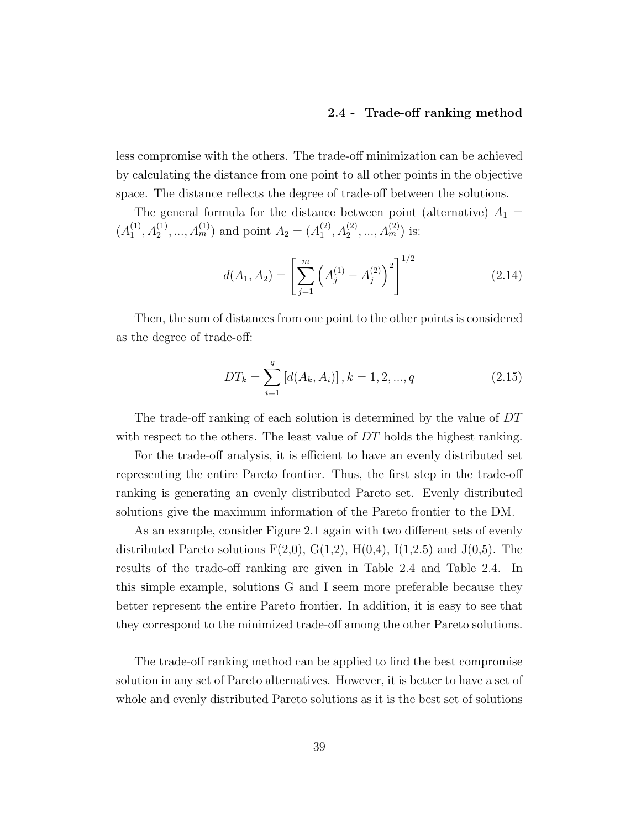less compromise with the others. The trade-off minimization can be achieved by calculating the distance from one point to all other points in the objective space. The distance reflects the degree of trade-off between the solutions.

The general formula for the distance between point (alternative)  $A_1 =$  $(A_1^{(1)}$  $A_1^{(1)}, A_2^{(1)}, \ldots, A_m^{(1)}$  and point  $A_2 = (A_1^{(2)})$  $A_1^{(2)}, A_2^{(2)}, \ldots, A_m^{(2)}$  is:

$$
d(A_1, A_2) = \left[\sum_{j=1}^{m} \left(A_j^{(1)} - A_j^{(2)}\right)^2\right]^{1/2}
$$
\n(2.14)

Then, the sum of distances from one point to the other points is considered as the degree of trade-off:

$$
DT_k = \sum_{i=1}^{q} [d(A_k, A_i)], k = 1, 2, ..., q
$$
 (2.15)

The trade-off ranking of each solution is determined by the value of DT with respect to the others. The least value of DT holds the highest ranking.

For the trade-off analysis, it is efficient to have an evenly distributed set representing the entire Pareto frontier. Thus, the first step in the trade-off ranking is generating an evenly distributed Pareto set. Evenly distributed solutions give the maximum information of the Pareto frontier to the DM.

As an example, consider Figure 2.1 again with two different sets of evenly distributed Pareto solutions  $F(2,0), G(1,2), H(0,4), I(1,2.5)$  and  $J(0,5)$ . The results of the trade-off ranking are given in Table 2.4 and Table 2.4. In this simple example, solutions G and I seem more preferable because they better represent the entire Pareto frontier. In addition, it is easy to see that they correspond to the minimized trade-off among the other Pareto solutions.

The trade-off ranking method can be applied to find the best compromise solution in any set of Pareto alternatives. However, it is better to have a set of whole and evenly distributed Pareto solutions as it is the best set of solutions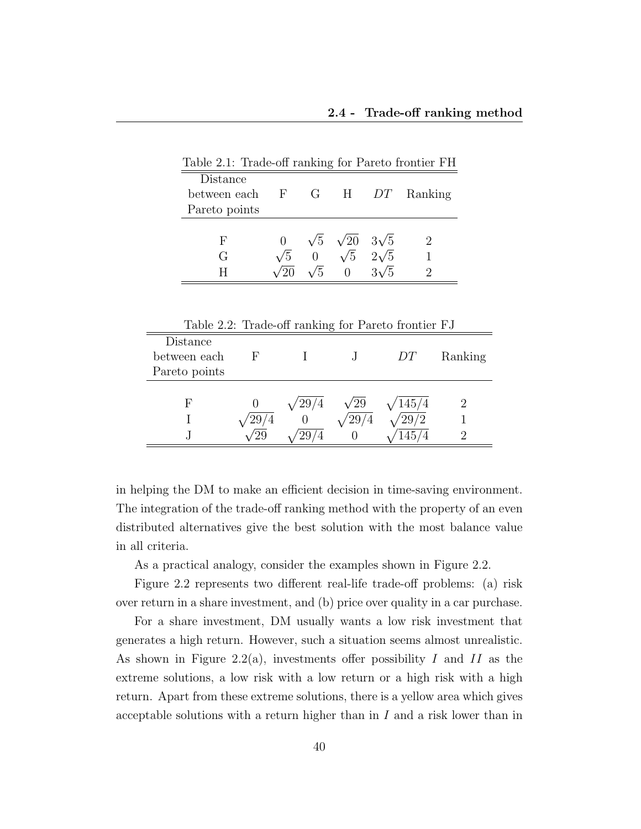| Table 2.1: Trade-off ranking for Pareto frontier FH |            |    |                                    |                         |                             |
|-----------------------------------------------------|------------|----|------------------------------------|-------------------------|-----------------------------|
| Distance                                            |            |    |                                    |                         |                             |
| between each F                                      |            |    |                                    |                         | G H <i>DT</i> Ranking       |
| Pareto points                                       |            |    |                                    |                         |                             |
|                                                     |            |    |                                    |                         |                             |
| F                                                   |            |    | $\sqrt{5}$ $\sqrt{20}$ $3\sqrt{5}$ |                         | $\mathcal{D}_{\mathcal{L}}$ |
| G                                                   | $\sqrt{5}$ |    |                                    | $\sqrt{5}$ 2 $\sqrt{5}$ |                             |
|                                                     |            | /5 | $\Omega$                           | $3\sqrt{5}$             |                             |

Table 2.2: Trade-off ranking for Pareto frontier FJ

|     |     | DТ       | Ranking |
|-----|-----|----------|---------|
|     |     |          |         |
|     |     |          |         |
| 729 | ′29 | /145/4   |         |
|     |     | 29<br>/2 |         |
|     |     | 145      |         |
|     |     | $\circ$  |         |

in helping the DM to make an efficient decision in time-saving environment. The integration of the trade-off ranking method with the property of an even distributed alternatives give the best solution with the most balance value in all criteria.

As a practical analogy, consider the examples shown in Figure 2.2.

Figure 2.2 represents two different real-life trade-off problems: (a) risk over return in a share investment, and (b) price over quality in a car purchase.

For a share investment, DM usually wants a low risk investment that generates a high return. However, such a situation seems almost unrealistic. As shown in Figure 2.2(a), investments offer possibility I and II as the extreme solutions, a low risk with a low return or a high risk with a high return. Apart from these extreme solutions, there is a yellow area which gives acceptable solutions with a return higher than in  $I$  and a risk lower than in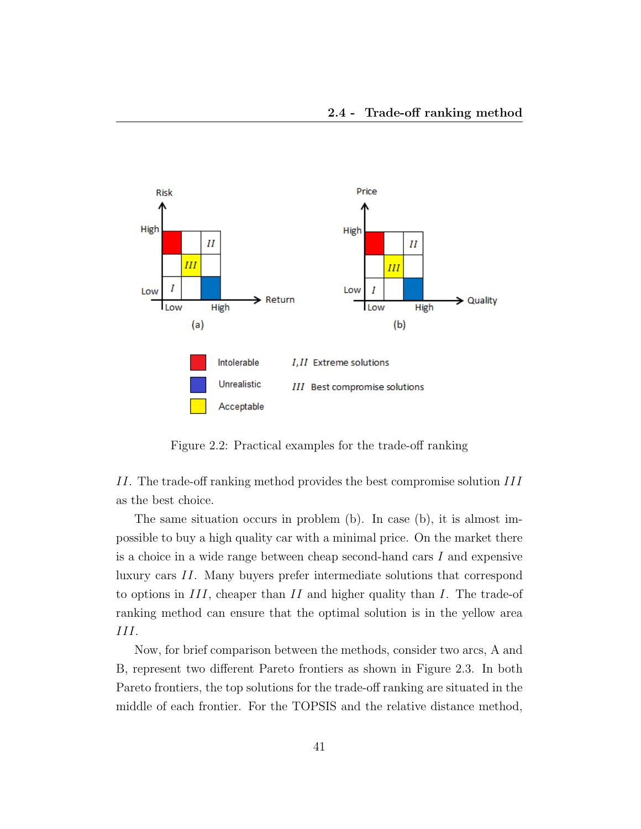

Figure 2.2: Practical examples for the trade-off ranking

II. The trade-off ranking method provides the best compromise solution III as the best choice.

The same situation occurs in problem (b). In case (b), it is almost impossible to buy a high quality car with a minimal price. On the market there is a choice in a wide range between cheap second-hand cars  $I$  and expensive luxury cars II. Many buyers prefer intermediate solutions that correspond to options in  $III$ , cheaper than II and higher quality than I. The trade-of ranking method can ensure that the optimal solution is in the yellow area III.

Now, for brief comparison between the methods, consider two arcs, A and B, represent two different Pareto frontiers as shown in Figure 2.3. In both Pareto frontiers, the top solutions for the trade-off ranking are situated in the middle of each frontier. For the TOPSIS and the relative distance method,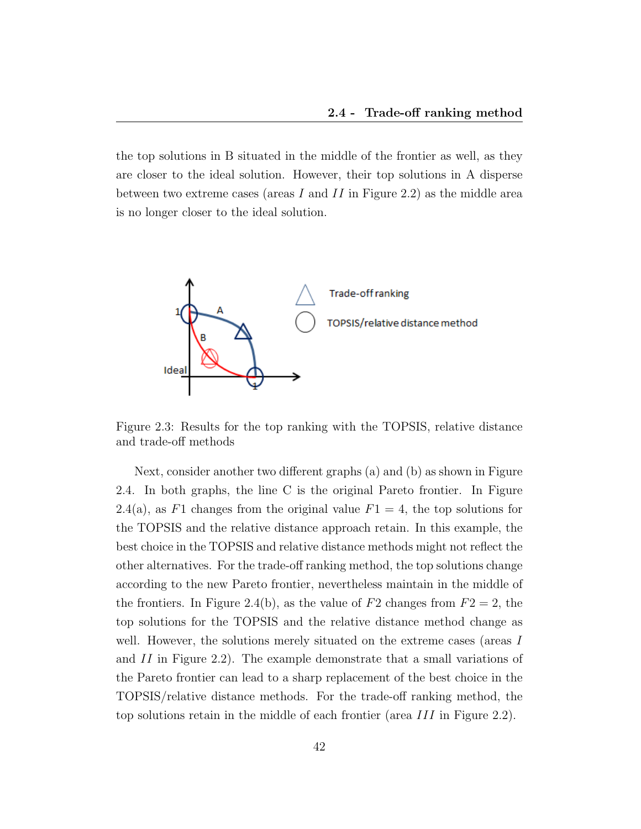the top solutions in B situated in the middle of the frontier as well, as they are closer to the ideal solution. However, their top solutions in A disperse between two extreme cases (areas I and II in Figure 2.2) as the middle area is no longer closer to the ideal solution.



Figure 2.3: Results for the top ranking with the TOPSIS, relative distance and trade-off methods

Next, consider another two different graphs (a) and (b) as shown in Figure 2.4. In both graphs, the line C is the original Pareto frontier. In Figure 2.4(a), as F1 changes from the original value  $F1 = 4$ , the top solutions for the TOPSIS and the relative distance approach retain. In this example, the best choice in the TOPSIS and relative distance methods might not reflect the other alternatives. For the trade-off ranking method, the top solutions change according to the new Pareto frontier, nevertheless maintain in the middle of the frontiers. In Figure 2.4(b), as the value of  $F2$  changes from  $F2 = 2$ , the top solutions for the TOPSIS and the relative distance method change as well. However, the solutions merely situated on the extreme cases (areas I and II in Figure 2.2). The example demonstrate that a small variations of the Pareto frontier can lead to a sharp replacement of the best choice in the TOPSIS/relative distance methods. For the trade-off ranking method, the top solutions retain in the middle of each frontier (area III in Figure 2.2).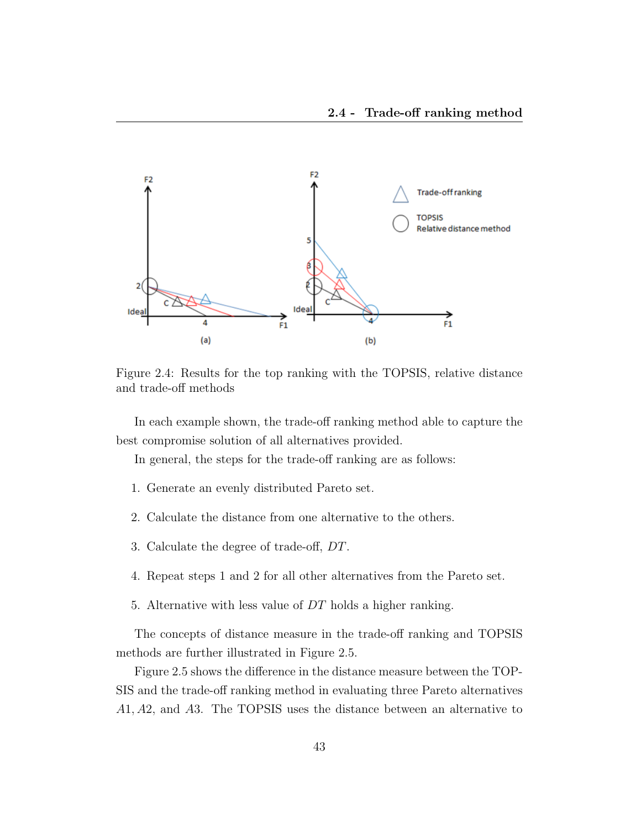

Figure 2.4: Results for the top ranking with the TOPSIS, relative distance and trade-off methods

In each example shown, the trade-off ranking method able to capture the best compromise solution of all alternatives provided.

In general, the steps for the trade-off ranking are as follows:

- 1. Generate an evenly distributed Pareto set.
- 2. Calculate the distance from one alternative to the others.
- 3. Calculate the degree of trade-off, DT.
- 4. Repeat steps 1 and 2 for all other alternatives from the Pareto set.
- 5. Alternative with less value of DT holds a higher ranking.

The concepts of distance measure in the trade-off ranking and TOPSIS methods are further illustrated in Figure 2.5.

Figure 2.5 shows the difference in the distance measure between the TOP-SIS and the trade-off ranking method in evaluating three Pareto alternatives A1, A2, and A3. The TOPSIS uses the distance between an alternative to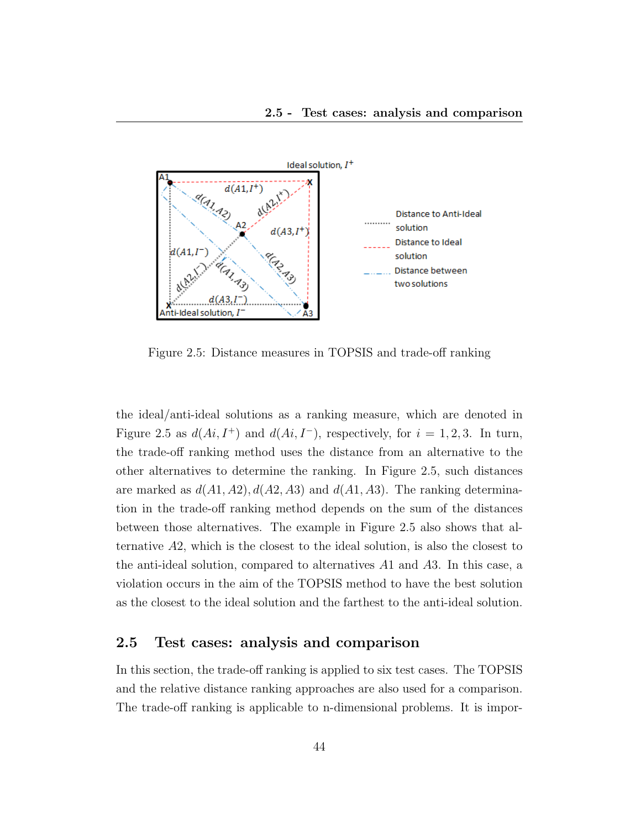

Figure 2.5: Distance measures in TOPSIS and trade-off ranking

the ideal/anti-ideal solutions as a ranking measure, which are denoted in Figure 2.5 as  $d(Ai, I^+)$  and  $d(Ai, I^-)$ , respectively, for  $i = 1, 2, 3$ . In turn, the trade-off ranking method uses the distance from an alternative to the other alternatives to determine the ranking. In Figure 2.5, such distances are marked as  $d(A1, A2), d(A2, A3)$  and  $d(A1, A3)$ . The ranking determination in the trade-off ranking method depends on the sum of the distances between those alternatives. The example in Figure 2.5 also shows that alternative A2, which is the closest to the ideal solution, is also the closest to the anti-ideal solution, compared to alternatives A1 and A3. In this case, a violation occurs in the aim of the TOPSIS method to have the best solution as the closest to the ideal solution and the farthest to the anti-ideal solution.

## 2.5 Test cases: analysis and comparison

In this section, the trade-off ranking is applied to six test cases. The TOPSIS and the relative distance ranking approaches are also used for a comparison. The trade-off ranking is applicable to n-dimensional problems. It is impor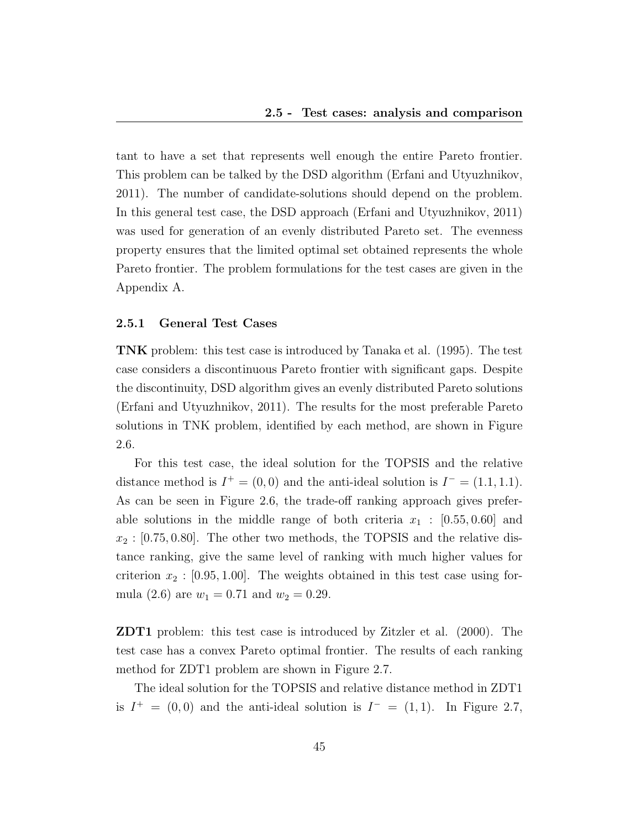tant to have a set that represents well enough the entire Pareto frontier. This problem can be talked by the DSD algorithm (Erfani and Utyuzhnikov, 2011). The number of candidate-solutions should depend on the problem. In this general test case, the DSD approach (Erfani and Utyuzhnikov, 2011) was used for generation of an evenly distributed Pareto set. The evenness property ensures that the limited optimal set obtained represents the whole Pareto frontier. The problem formulations for the test cases are given in the Appendix A.

#### 2.5.1 General Test Cases

TNK problem: this test case is introduced by Tanaka et al. (1995). The test case considers a discontinuous Pareto frontier with significant gaps. Despite the discontinuity, DSD algorithm gives an evenly distributed Pareto solutions (Erfani and Utyuzhnikov, 2011). The results for the most preferable Pareto solutions in TNK problem, identified by each method, are shown in Figure 2.6.

For this test case, the ideal solution for the TOPSIS and the relative distance method is  $I^+ = (0,0)$  and the anti-ideal solution is  $I^- = (1.1, 1.1)$ . As can be seen in Figure 2.6, the trade-off ranking approach gives preferable solutions in the middle range of both criteria  $x_1$  :  $[0.55, 0.60]$  and  $x_2$ : [0.75, 0.80]. The other two methods, the TOPSIS and the relative distance ranking, give the same level of ranking with much higher values for criterion  $x_2$ : [0.95, 1.00]. The weights obtained in this test case using formula (2.6) are  $w_1 = 0.71$  and  $w_2 = 0.29$ .

ZDT1 problem: this test case is introduced by Zitzler et al. (2000). The test case has a convex Pareto optimal frontier. The results of each ranking method for ZDT1 problem are shown in Figure 2.7.

The ideal solution for the TOPSIS and relative distance method in ZDT1 is  $I^+ = (0,0)$  and the anti-ideal solution is  $I^- = (1,1)$ . In Figure 2.7,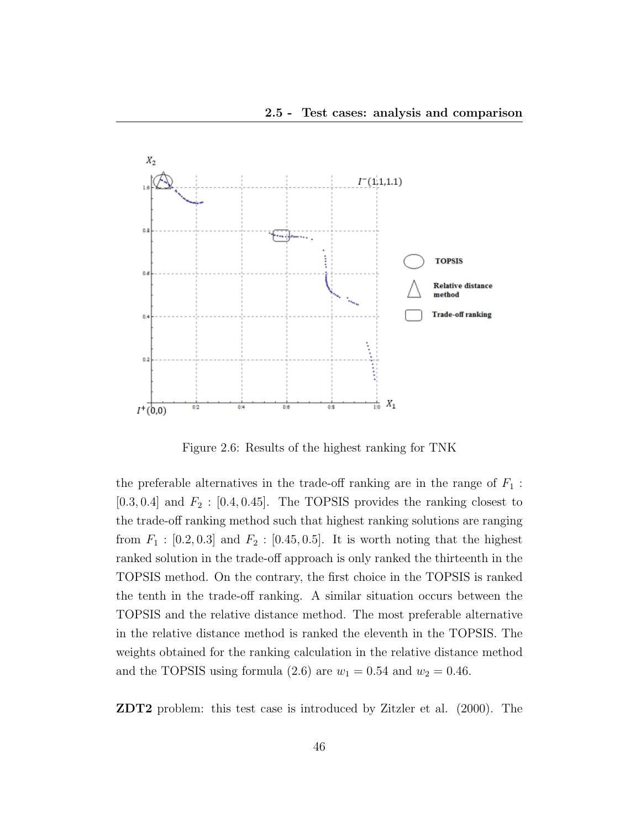

Figure 2.6: Results of the highest ranking for TNK

the preferable alternatives in the trade-off ranking are in the range of  $F_1$ :  $[0.3, 0.4]$  and  $F_2$ :  $[0.4, 0.45]$ . The TOPSIS provides the ranking closest to the trade-off ranking method such that highest ranking solutions are ranging from  $F_1$  : [0.2, 0.3] and  $F_2$  : [0.45, 0.5]. It is worth noting that the highest ranked solution in the trade-off approach is only ranked the thirteenth in the TOPSIS method. On the contrary, the first choice in the TOPSIS is ranked the tenth in the trade-off ranking. A similar situation occurs between the TOPSIS and the relative distance method. The most preferable alternative in the relative distance method is ranked the eleventh in the TOPSIS. The weights obtained for the ranking calculation in the relative distance method and the TOPSIS using formula (2.6) are  $w_1 = 0.54$  and  $w_2 = 0.46$ .

ZDT2 problem: this test case is introduced by Zitzler et al. (2000). The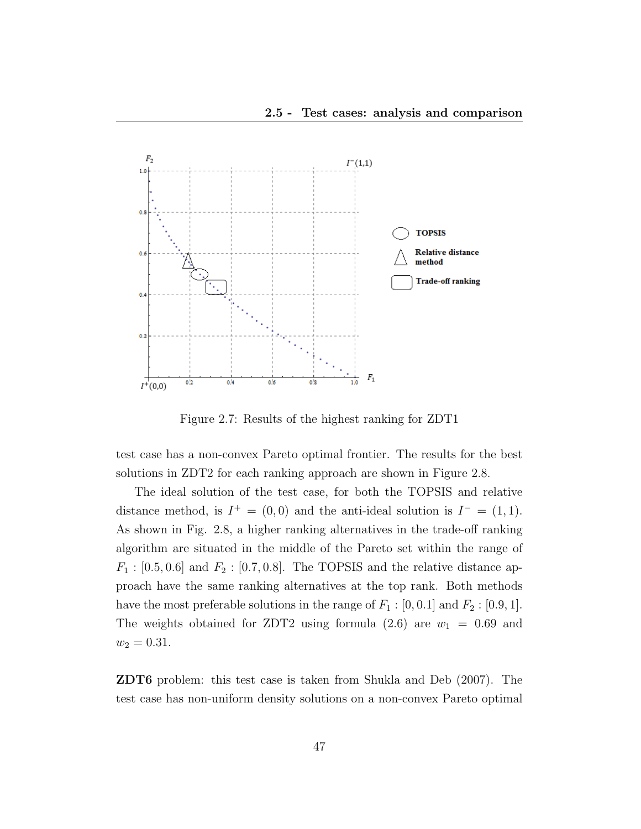

Figure 2.7: Results of the highest ranking for ZDT1

test case has a non-convex Pareto optimal frontier. The results for the best solutions in ZDT2 for each ranking approach are shown in Figure 2.8.

The ideal solution of the test case, for both the TOPSIS and relative distance method, is  $I^+ = (0,0)$  and the anti-ideal solution is  $I^- = (1,1)$ . As shown in Fig. 2.8, a higher ranking alternatives in the trade-off ranking algorithm are situated in the middle of the Pareto set within the range of  $F_1 : [0.5, 0.6]$  and  $F_2 : [0.7, 0.8]$ . The TOPSIS and the relative distance approach have the same ranking alternatives at the top rank. Both methods have the most preferable solutions in the range of  $F_1 : [0, 0.1]$  and  $F_2 : [0.9, 1]$ . The weights obtained for ZDT2 using formula  $(2.6)$  are  $w_1 = 0.69$  and  $w_2 = 0.31.$ 

ZDT6 problem: this test case is taken from Shukla and Deb (2007). The test case has non-uniform density solutions on a non-convex Pareto optimal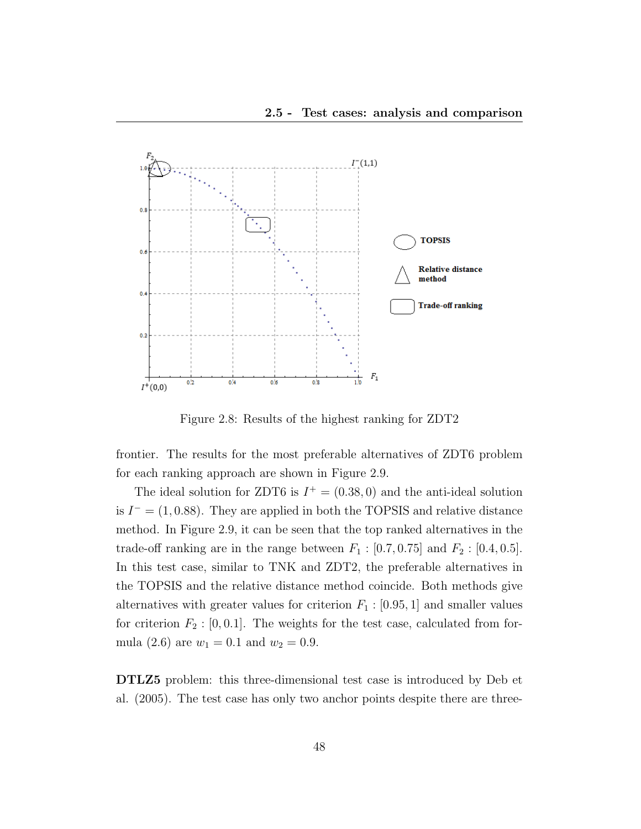

Figure 2.8: Results of the highest ranking for ZDT2

frontier. The results for the most preferable alternatives of ZDT6 problem for each ranking approach are shown in Figure 2.9.

The ideal solution for ZDT6 is  $I^+ = (0.38, 0)$  and the anti-ideal solution is  $I^- = (1, 0.88)$ . They are applied in both the TOPSIS and relative distance method. In Figure 2.9, it can be seen that the top ranked alternatives in the trade-off ranking are in the range between  $F_1 : [0.7, 0.75]$  and  $F_2 : [0.4, 0.5]$ . In this test case, similar to TNK and ZDT2, the preferable alternatives in the TOPSIS and the relative distance method coincide. Both methods give alternatives with greater values for criterion  $F_1$  : [0.95, 1] and smaller values for criterion  $F_2$ : [0, 0.1]. The weights for the test case, calculated from formula (2.6) are  $w_1 = 0.1$  and  $w_2 = 0.9$ .

DTLZ5 problem: this three-dimensional test case is introduced by Deb et al. (2005). The test case has only two anchor points despite there are three-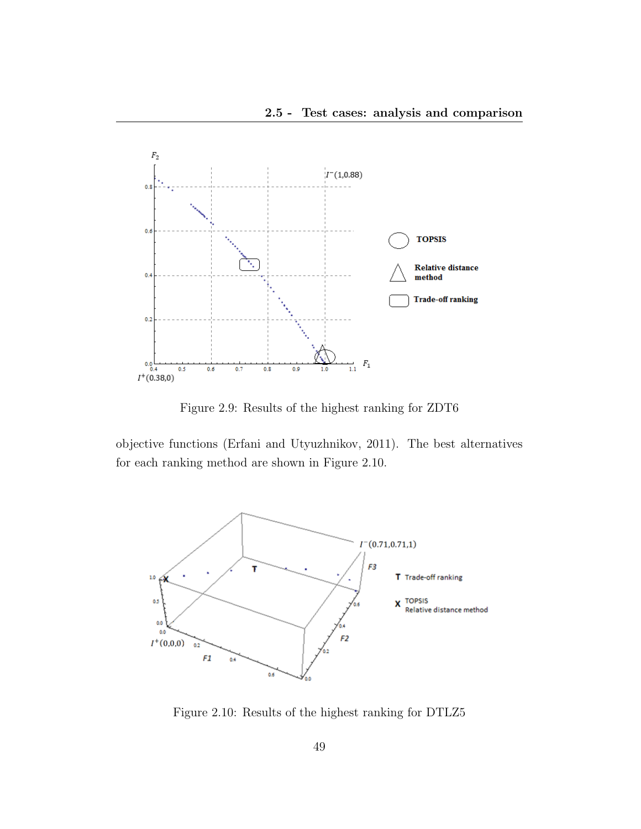

Figure 2.9: Results of the highest ranking for ZDT6

objective functions (Erfani and Utyuzhnikov, 2011). The best alternatives for each ranking method are shown in Figure 2.10.



Figure 2.10: Results of the highest ranking for DTLZ5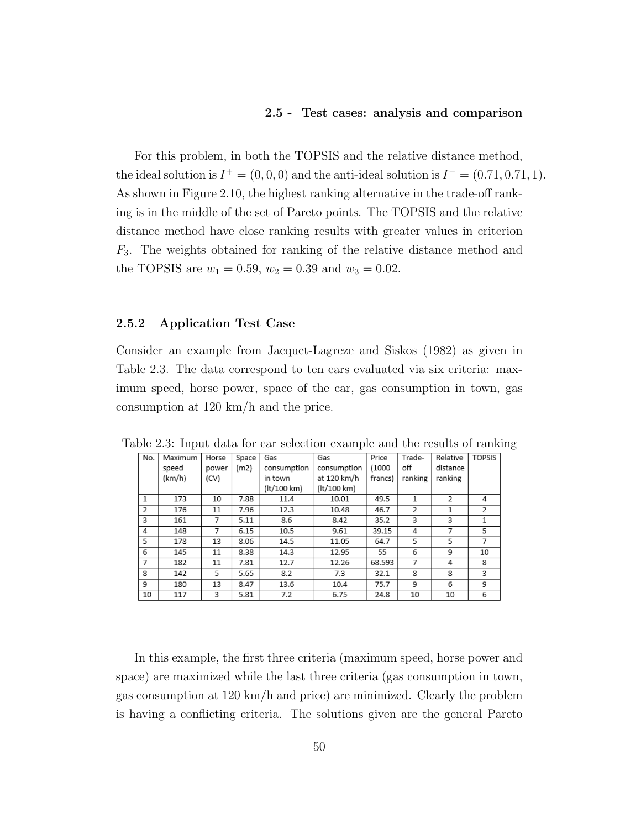For this problem, in both the TOPSIS and the relative distance method, the ideal solution is  $I^+ = (0, 0, 0)$  and the anti-ideal solution is  $I^- = (0.71, 0.71, 1)$ . As shown in Figure 2.10, the highest ranking alternative in the trade-off ranking is in the middle of the set of Pareto points. The TOPSIS and the relative distance method have close ranking results with greater values in criterion F3. The weights obtained for ranking of the relative distance method and the TOPSIS are  $w_1 = 0.59$ ,  $w_2 = 0.39$  and  $w_3 = 0.02$ .

#### 2.5.2 Application Test Case

Consider an example from Jacquet-Lagreze and Siskos (1982) as given in Table 2.3. The data correspond to ten cars evaluated via six criteria: maximum speed, horse power, space of the car, gas consumption in town, gas consumption at 120 km/h and the price.

| No. | Maximum | Horse | Space | Gas         | Gas         | Price   | Trade-         | Relative | <b>TOPSIS</b>  |
|-----|---------|-------|-------|-------------|-------------|---------|----------------|----------|----------------|
|     | speed   | power | (m2)  | consumption | consumption | (1000)  | off            | distance |                |
|     | (km/h)  | (CV)  |       | in town     | at 120 km/h | francs) | ranking        | ranking  |                |
|     |         |       |       | (lt/100 km) | (lt/100 km) |         |                |          |                |
| 1   | 173     | 10    | 7.88  | 11.4        | 10.01       | 49.5    | 1              | 2        | 4              |
| 2   | 176     | 11    | 7.96  | 12.3        | 10.48       | 46.7    | $\overline{2}$ | 1        | $\overline{2}$ |
| 3   | 161     | 7     | 5.11  | 8.6         | 8.42        | 35.2    | 3              | 3        | 1              |
| 4   | 148     | 7     | 6.15  | 10.5        | 9.61        | 39.15   | 4              | 7        | 5              |
| 5   | 178     | 13    | 8.06  | 14.5        | 11.05       | 64.7    | 5              | 5        | 7              |
| 6   | 145     | 11    | 8.38  | 14.3        | 12.95       | 55      | 6              | 9        | 10             |
| 7   | 182     | 11    | 7.81  | 12.7        | 12.26       | 68.593  | 7              | 4        | 8              |
| 8   | 142     | 5     | 5.65  | 8.2         | 7.3         | 32.1    | 8              | 8        | 3              |
| 9   | 180     | 13    | 8.47  | 13.6        | 10.4        | 75.7    | 9              | 6        | 9              |
| 10  | 117     | 3     | 5.81  | 7.2         | 6.75        | 24.8    | 10             | 10       | 6              |

Table 2.3: Input data for car selection example and the results of ranking

In this example, the first three criteria (maximum speed, horse power and space) are maximized while the last three criteria (gas consumption in town, gas consumption at 120 km/h and price) are minimized. Clearly the problem is having a conflicting criteria. The solutions given are the general Pareto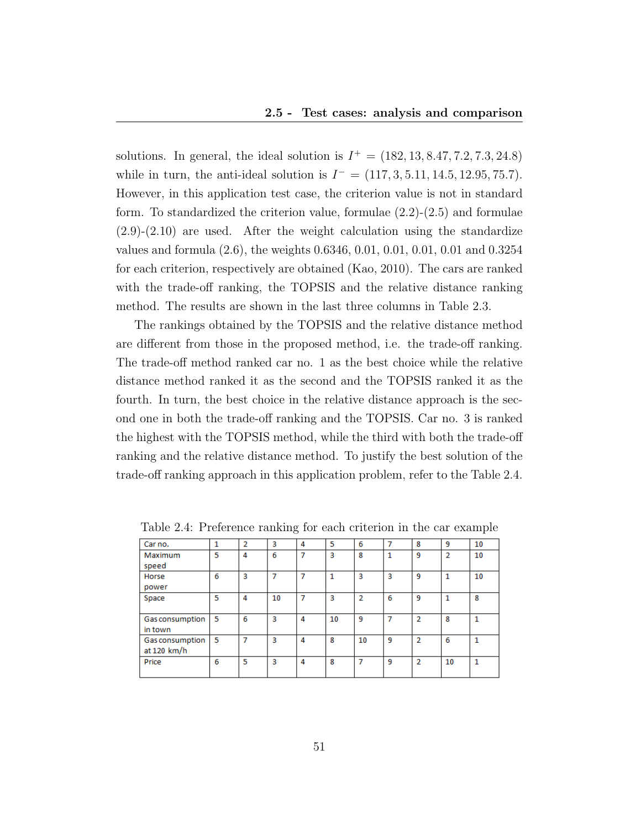solutions. In general, the ideal solution is  $I^+ = (182, 13, 8.47, 7.2, 7.3, 24.8)$ while in turn, the anti-ideal solution is  $I^- = (117, 3, 5.11, 14.5, 12.95, 75.7)$ . However, in this application test case, the criterion value is not in standard form. To standardized the criterion value, formulae  $(2.2)-(2.5)$  and formulae (2.9)-(2.10) are used. After the weight calculation using the standardize values and formula (2.6), the weights 0.6346, 0.01, 0.01, 0.01, 0.01 and 0.3254 for each criterion, respectively are obtained (Kao, 2010). The cars are ranked with the trade-off ranking, the TOPSIS and the relative distance ranking method. The results are shown in the last three columns in Table 2.3.

The rankings obtained by the TOPSIS and the relative distance method are different from those in the proposed method, i.e. the trade-off ranking. The trade-off method ranked car no. 1 as the best choice while the relative distance method ranked it as the second and the TOPSIS ranked it as the fourth. In turn, the best choice in the relative distance approach is the second one in both the trade-off ranking and the TOPSIS. Car no. 3 is ranked the highest with the TOPSIS method, while the third with both the trade-off ranking and the relative distance method. To justify the best solution of the trade-off ranking approach in this application problem, refer to the Table 2.4.

| Car no.         | 1  | 2 | 3  | 4 | 5  | 6              | 7 | 8              | 9              | 10 |
|-----------------|----|---|----|---|----|----------------|---|----------------|----------------|----|
| Maximum         | 5  | 4 | 6  | 7 | 3  | 8              | 1 | 9              | $\overline{2}$ | 10 |
| speed           |    |   |    |   |    |                |   |                |                |    |
| Horse           | 6  | 3 | 7  | 7 | 1  | 3              | 3 | 9              | 1              | 10 |
| power           |    |   |    |   |    |                |   |                |                |    |
| Space           | 5  | 4 | 10 | 7 | 3  | $\overline{2}$ | 6 | 9              | 1              | 8  |
|                 |    |   |    |   |    |                |   |                |                |    |
| Gas consumption | -5 | 6 | 3  | 4 | 10 | 9              | 7 | $\overline{2}$ | 8              | 1  |
| in town         |    |   |    |   |    |                |   |                |                |    |
| Gas consumption | 5  | 7 | 3  | 4 | 8  | 10             | 9 | $\overline{2}$ | 6              | 1  |
| at 120 km/h     |    |   |    |   |    |                |   |                |                |    |
| Price           | 6  | 5 | 3  | 4 | 8  | 7              | 9 | $\overline{2}$ | 10             | 1  |
|                 |    |   |    |   |    |                |   |                |                |    |

Table 2.4: Preference ranking for each criterion in the car example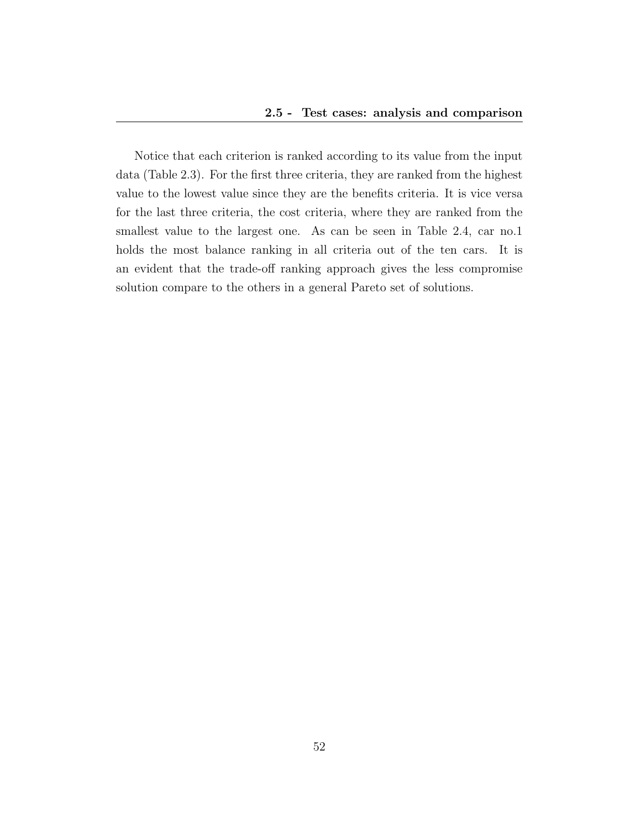Notice that each criterion is ranked according to its value from the input data (Table 2.3). For the first three criteria, they are ranked from the highest value to the lowest value since they are the benefits criteria. It is vice versa for the last three criteria, the cost criteria, where they are ranked from the smallest value to the largest one. As can be seen in Table 2.4, car no.1 holds the most balance ranking in all criteria out of the ten cars. It is an evident that the trade-off ranking approach gives the less compromise solution compare to the others in a general Pareto set of solutions.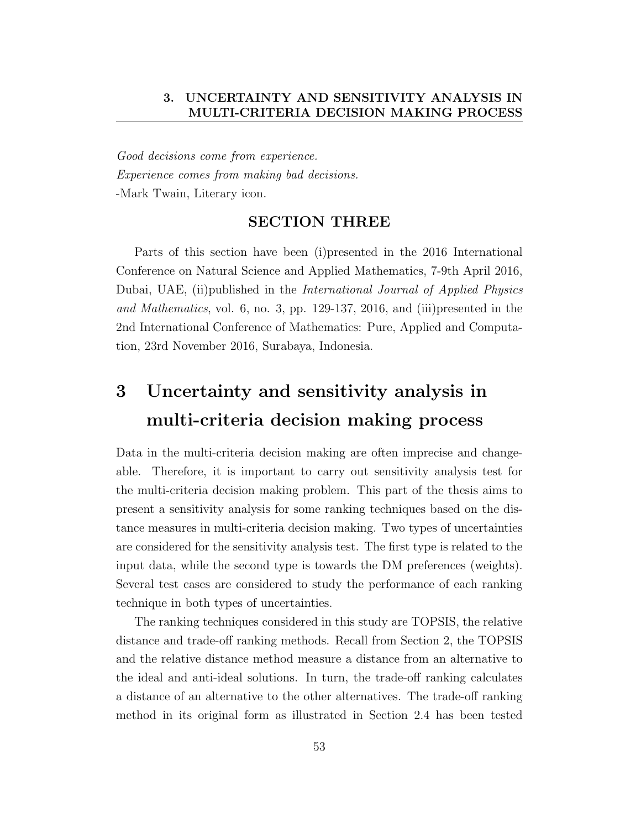Good decisions come from experience. Experience comes from making bad decisions. -Mark Twain, Literary icon.

## SECTION THREE

Parts of this section have been (i)presented in the 2016 International Conference on Natural Science and Applied Mathematics, 7-9th April 2016, Dubai, UAE, (ii)published in the International Journal of Applied Physics and Mathematics, vol. 6, no. 3, pp. 129-137, 2016, and (iii)presented in the 2nd International Conference of Mathematics: Pure, Applied and Computation, 23rd November 2016, Surabaya, Indonesia.

# 3 Uncertainty and sensitivity analysis in multi-criteria decision making process

Data in the multi-criteria decision making are often imprecise and changeable. Therefore, it is important to carry out sensitivity analysis test for the multi-criteria decision making problem. This part of the thesis aims to present a sensitivity analysis for some ranking techniques based on the distance measures in multi-criteria decision making. Two types of uncertainties are considered for the sensitivity analysis test. The first type is related to the input data, while the second type is towards the DM preferences (weights). Several test cases are considered to study the performance of each ranking technique in both types of uncertainties.

The ranking techniques considered in this study are TOPSIS, the relative distance and trade-off ranking methods. Recall from Section 2, the TOPSIS and the relative distance method measure a distance from an alternative to the ideal and anti-ideal solutions. In turn, the trade-off ranking calculates a distance of an alternative to the other alternatives. The trade-off ranking method in its original form as illustrated in Section 2.4 has been tested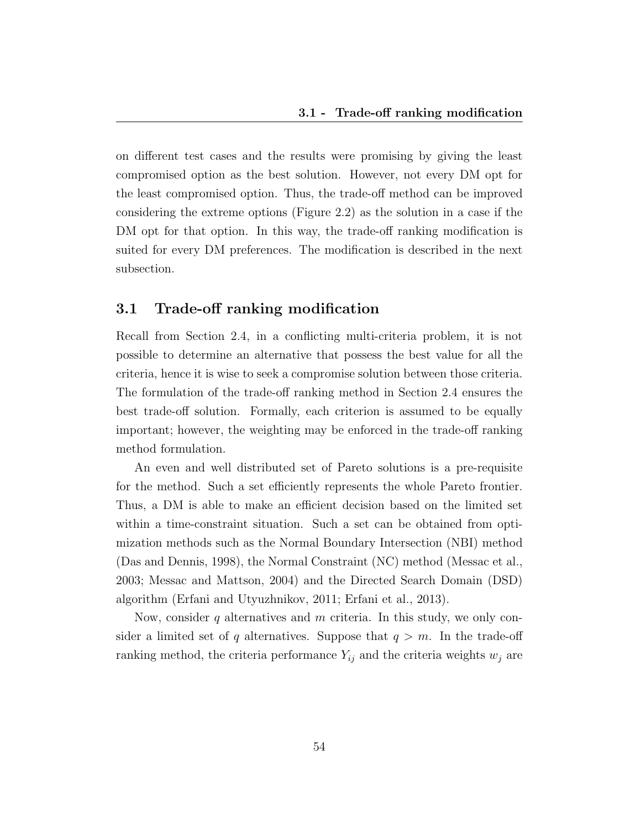on different test cases and the results were promising by giving the least compromised option as the best solution. However, not every DM opt for the least compromised option. Thus, the trade-off method can be improved considering the extreme options (Figure 2.2) as the solution in a case if the DM opt for that option. In this way, the trade-off ranking modification is suited for every DM preferences. The modification is described in the next subsection.

## 3.1 Trade-off ranking modification

Recall from Section 2.4, in a conflicting multi-criteria problem, it is not possible to determine an alternative that possess the best value for all the criteria, hence it is wise to seek a compromise solution between those criteria. The formulation of the trade-off ranking method in Section 2.4 ensures the best trade-off solution. Formally, each criterion is assumed to be equally important; however, the weighting may be enforced in the trade-off ranking method formulation.

An even and well distributed set of Pareto solutions is a pre-requisite for the method. Such a set efficiently represents the whole Pareto frontier. Thus, a DM is able to make an efficient decision based on the limited set within a time-constraint situation. Such a set can be obtained from optimization methods such as the Normal Boundary Intersection (NBI) method (Das and Dennis, 1998), the Normal Constraint (NC) method (Messac et al., 2003; Messac and Mattson, 2004) and the Directed Search Domain (DSD) algorithm (Erfani and Utyuzhnikov, 2011; Erfani et al., 2013).

Now, consider  $q$  alternatives and  $m$  criteria. In this study, we only consider a limited set of q alternatives. Suppose that  $q > m$ . In the trade-off ranking method, the criteria performance  $Y_{ij}$  and the criteria weights  $w_j$  are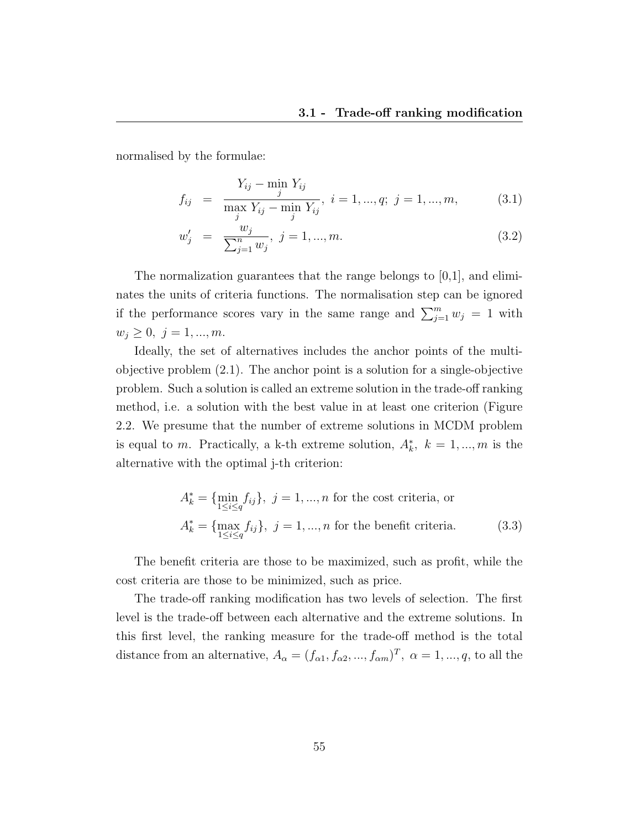normalised by the formulae:

$$
f_{ij} = \frac{Y_{ij} - \min_{j} Y_{ij}}{\max_{j} Y_{ij} - \min_{j} Y_{ij}}, \quad i = 1, ..., q; \quad j = 1, ..., m,
$$
 (3.1)

$$
w'_{j} = \frac{w_{j}}{\sum_{j=1}^{n} w_{j}}, \ j = 1, ..., m.
$$
\n(3.2)

The normalization guarantees that the range belongs to [0,1], and eliminates the units of criteria functions. The normalisation step can be ignored if the performance scores vary in the same range and  $\sum_{j=1}^{m} w_j = 1$  with  $w_j\geq 0,~j=1,...,m.$ 

Ideally, the set of alternatives includes the anchor points of the multiobjective problem (2.1). The anchor point is a solution for a single-objective problem. Such a solution is called an extreme solution in the trade-off ranking method, i.e. a solution with the best value in at least one criterion (Figure 2.2. We presume that the number of extreme solutions in MCDM problem is equal to m. Practically, a k-th extreme solution,  $A_k^*$ ,  $k = 1, ..., m$  is the alternative with the optimal j-th criterion:

$$
A_k^* = \{\min_{1 \le i \le q} f_{ij}\}, \ j = 1, ..., n \text{ for the cost criteria, or}
$$

$$
A_k^* = \{\max_{1 \le i \le q} f_{ij}\}, \ j = 1, ..., n \text{ for the benefit criteria.} \tag{3.3}
$$

The benefit criteria are those to be maximized, such as profit, while the cost criteria are those to be minimized, such as price.

The trade-off ranking modification has two levels of selection. The first level is the trade-off between each alternative and the extreme solutions. In this first level, the ranking measure for the trade-off method is the total distance from an alternative,  $A_{\alpha} = (f_{\alpha 1}, f_{\alpha 2}, ..., f_{\alpha m})^T$ ,  $\alpha = 1, ..., q$ , to all the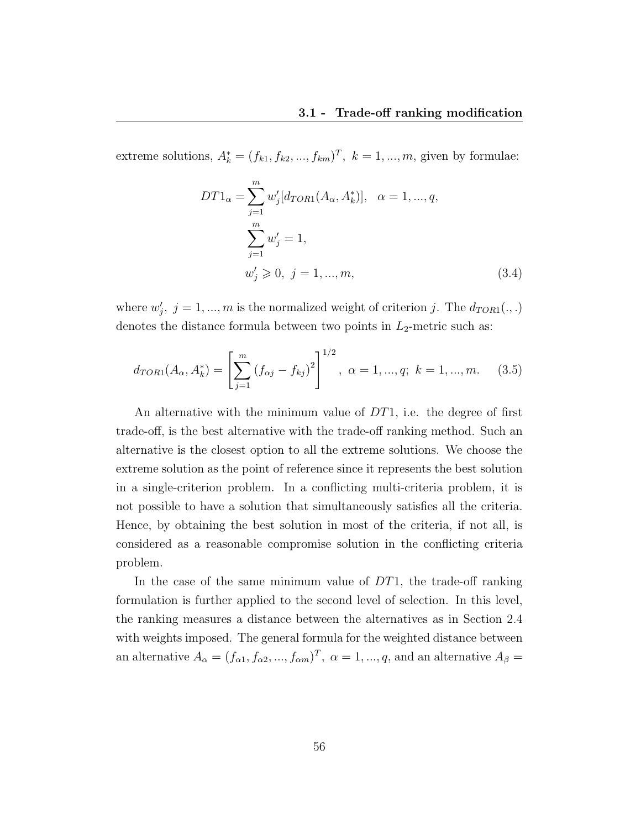extreme solutions,  $A_k^* = (f_{k1}, f_{k2}, ..., f_{km})^T$ ,  $k = 1, ..., m$ , given by formulae:

$$
DT1_{\alpha} = \sum_{j=1}^{m} w'_{j} [d_{TOR1}(A_{\alpha}, A_{k}^{*})], \quad \alpha = 1, ..., q,
$$
  

$$
\sum_{j=1}^{m} w'_{j} = 1,
$$
  

$$
w'_{j} \geq 0, \quad j = 1, ..., m,
$$
 (3.4)

where  $w'_j$ ,  $j = 1, ..., m$  is the normalized weight of criterion j. The  $d_{TOR1}(.,.)$ denotes the distance formula between two points in  $L_2$ -metric such as:

$$
d_{TOR1}(A_{\alpha}, A_{k}^{*}) = \left[\sum_{j=1}^{m} (f_{\alpha j} - f_{kj})^{2}\right]^{1/2}, \ \alpha = 1, ..., q; \ k = 1, ..., m.
$$
 (3.5)

An alternative with the minimum value of  $DT1$ , i.e. the degree of first trade-off, is the best alternative with the trade-off ranking method. Such an alternative is the closest option to all the extreme solutions. We choose the extreme solution as the point of reference since it represents the best solution in a single-criterion problem. In a conflicting multi-criteria problem, it is not possible to have a solution that simultaneously satisfies all the criteria. Hence, by obtaining the best solution in most of the criteria, if not all, is considered as a reasonable compromise solution in the conflicting criteria problem.

In the case of the same minimum value of  $DT1$ , the trade-off ranking formulation is further applied to the second level of selection. In this level, the ranking measures a distance between the alternatives as in Section 2.4 with weights imposed. The general formula for the weighted distance between an alternative  $A_{\alpha} = (f_{\alpha 1}, f_{\alpha 2}, ..., f_{\alpha m})^T$ ,  $\alpha = 1, ..., q$ , and an alternative  $A_{\beta} =$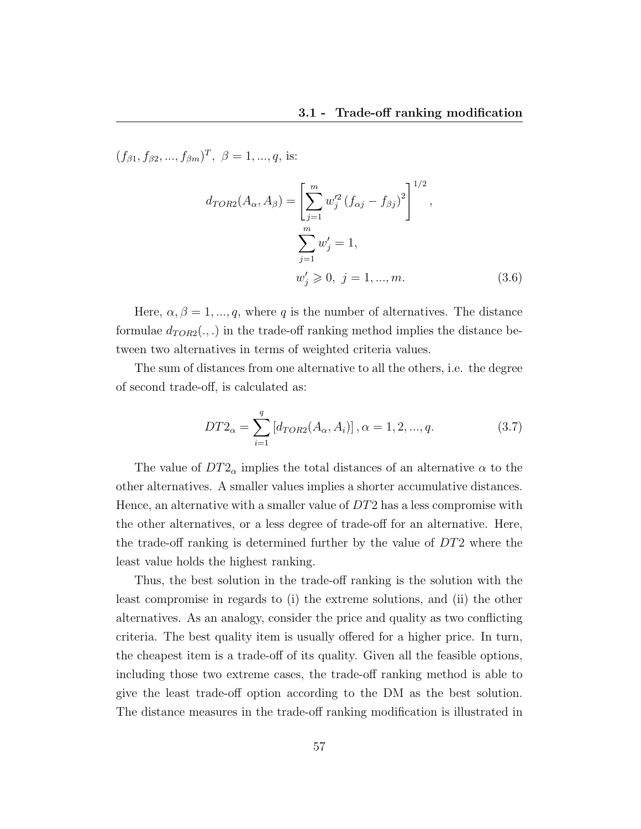$(f_{\beta 1}, f_{\beta 2}, ..., f_{\beta m})^T$ ,  $\beta = 1, ..., q$ , is:

$$
d_{TOR2}(A_{\alpha}, A_{\beta}) = \left[\sum_{j=1}^{m} w_{j}^{'2} (f_{\alpha j} - f_{\beta j})^{2}\right]^{1/2},
$$
  

$$
\sum_{j=1}^{m} w_{j}' = 1,
$$
  

$$
w_{j}' \ge 0, \ j = 1, ..., m.
$$
 (3.6)

Here,  $\alpha, \beta = 1, ..., q$ , where q is the number of alternatives. The distance formulae  $d_{TOR2}(.,.)$  in the trade-off ranking method implies the distance between two alternatives in terms of weighted criteria values.

The sum of distances from one alternative to all the others, i.e. the degree of second trade-off, is calculated as:

$$
DT2_{\alpha} = \sum_{i=1}^{q} \left[ d_{TOR2}(A_{\alpha}, A_{i}) \right], \alpha = 1, 2, ..., q.
$$
 (3.7)

The value of  $DT2_{\alpha}$  implies the total distances of an alternative  $\alpha$  to the other alternatives. A smaller values implies a shorter accumulative distances. Hence, an alternative with a smaller value of DT2 has a less compromise with the other alternatives, or a less degree of trade-off for an alternative. Here, the trade-off ranking is determined further by the value of DT2 where the least value holds the highest ranking.

Thus, the best solution in the trade-off ranking is the solution with the least compromise in regards to (i) the extreme solutions, and (ii) the other alternatives. As an analogy, consider the price and quality as two conflicting criteria. The best quality item is usually offered for a higher price. In turn, the cheapest item is a trade-off of its quality. Given all the feasible options, including those two extreme cases, the trade-off ranking method is able to give the least trade-off option according to the DM as the best solution. The distance measures in the trade-off ranking modification is illustrated in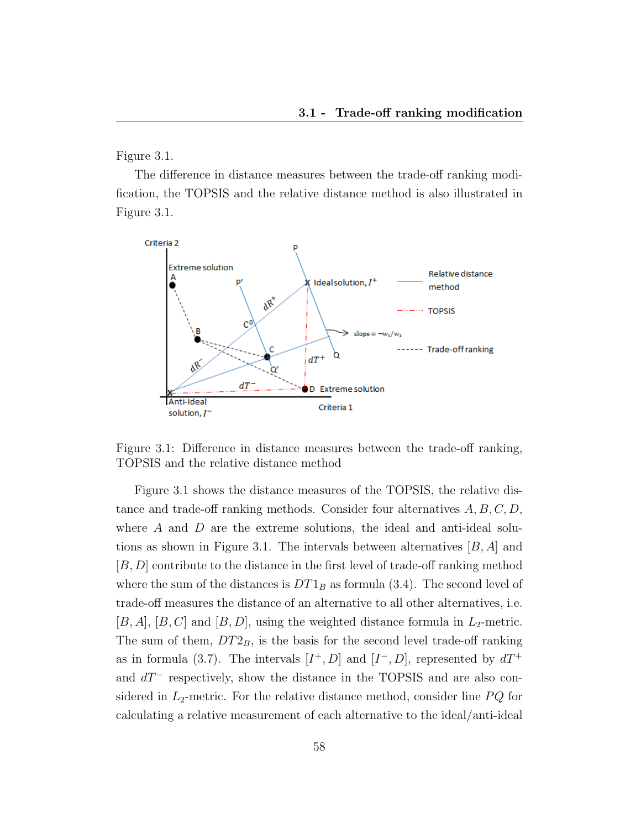Figure 3.1.

The difference in distance measures between the trade-off ranking modification, the TOPSIS and the relative distance method is also illustrated in Figure 3.1.



Figure 3.1: Difference in distance measures between the trade-off ranking, TOPSIS and the relative distance method

Figure 3.1 shows the distance measures of the TOPSIS, the relative distance and trade-off ranking methods. Consider four alternatives  $A, B, C, D$ , where A and D are the extreme solutions, the ideal and anti-ideal solutions as shown in Figure 3.1. The intervals between alternatives  $[B, A]$  and [B, D] contribute to the distance in the first level of trade-off ranking method where the sum of the distances is  $DT1_B$  as formula (3.4). The second level of trade-off measures the distance of an alternative to all other alternatives, i.e.  $[B, A], [B, C]$  and  $[B, D]$ , using the weighted distance formula in  $L_2$ -metric. The sum of them,  $DT2_B$ , is the basis for the second level trade-off ranking as in formula (3.7). The intervals  $[I^+, D]$  and  $[I^-, D]$ , represented by  $dT^+$ and  $dT^-$  respectively, show the distance in the TOPSIS and are also considered in  $L_2$ -metric. For the relative distance method, consider line  $PQ$  for calculating a relative measurement of each alternative to the ideal/anti-ideal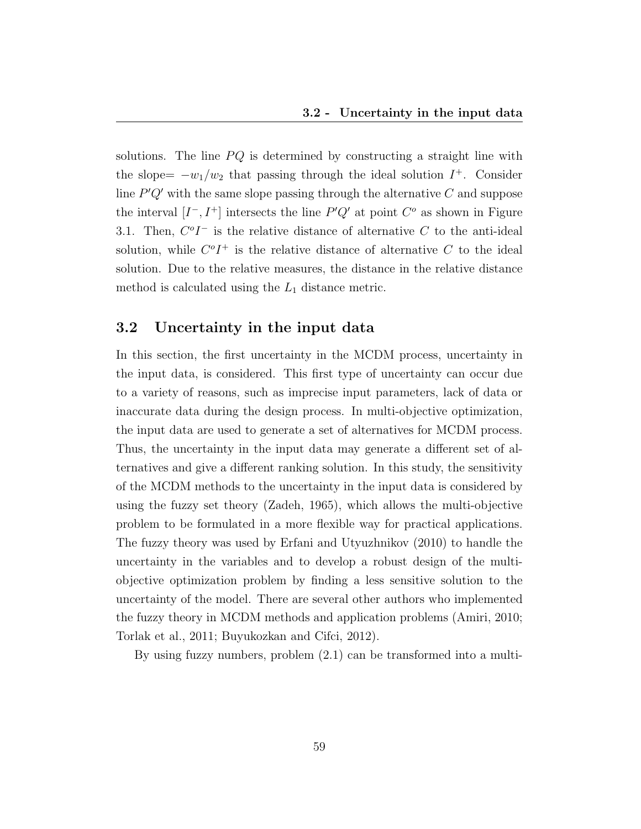solutions. The line  $PQ$  is determined by constructing a straight line with the slope=  $-w_1/w_2$  that passing through the ideal solution  $I^+$ . Consider line  $P'Q'$  with the same slope passing through the alternative  $C$  and suppose the interval  $[I^-, I^+]$  intersects the line  $P'Q'$  at point  $C^o$  as shown in Figure 3.1. Then,  $C^oI^-$  is the relative distance of alternative C to the anti-ideal solution, while  $C^oI^+$  is the relative distance of alternative C to the ideal solution. Due to the relative measures, the distance in the relative distance method is calculated using the  $L_1$  distance metric.

## 3.2 Uncertainty in the input data

In this section, the first uncertainty in the MCDM process, uncertainty in the input data, is considered. This first type of uncertainty can occur due to a variety of reasons, such as imprecise input parameters, lack of data or inaccurate data during the design process. In multi-objective optimization, the input data are used to generate a set of alternatives for MCDM process. Thus, the uncertainty in the input data may generate a different set of alternatives and give a different ranking solution. In this study, the sensitivity of the MCDM methods to the uncertainty in the input data is considered by using the fuzzy set theory (Zadeh, 1965), which allows the multi-objective problem to be formulated in a more flexible way for practical applications. The fuzzy theory was used by Erfani and Utyuzhnikov (2010) to handle the uncertainty in the variables and to develop a robust design of the multiobjective optimization problem by finding a less sensitive solution to the uncertainty of the model. There are several other authors who implemented the fuzzy theory in MCDM methods and application problems (Amiri, 2010; Torlak et al., 2011; Buyukozkan and Cifci, 2012).

By using fuzzy numbers, problem (2.1) can be transformed into a multi-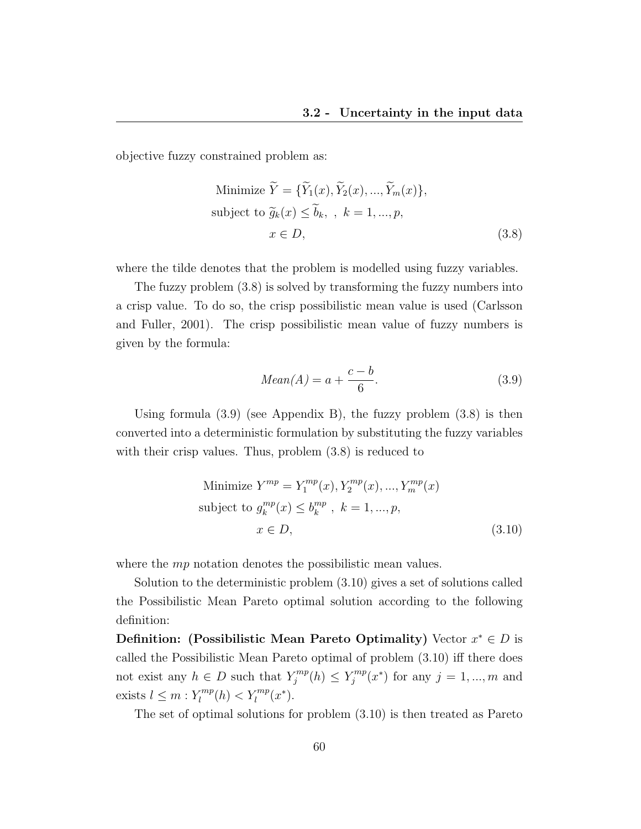objective fuzzy constrained problem as:

Minimize 
$$
\widetilde{Y} = {\widetilde{Y}_1(x), \widetilde{Y}_2(x), ..., \widetilde{Y}_m(x)},
$$
  
subject to  $\widetilde{g}_k(x) \le \widetilde{b}_k, \, k = 1, ..., p,$   
 $x \in D,$  (3.8)

where the tilde denotes that the problem is modelled using fuzzy variables.

The fuzzy problem (3.8) is solved by transforming the fuzzy numbers into a crisp value. To do so, the crisp possibilistic mean value is used (Carlsson and Fuller, 2001). The crisp possibilistic mean value of fuzzy numbers is given by the formula:

$$
Mean(A) = a + \frac{c - b}{6}.\tag{3.9}
$$

Using formula  $(3.9)$  (see Appendix B), the fuzzy problem  $(3.8)$  is then converted into a deterministic formulation by substituting the fuzzy variables with their crisp values. Thus, problem  $(3.8)$  is reduced to

Minimize 
$$
Y^{mp} = Y_1^{mp}(x), Y_2^{mp}(x), ..., Y_m^{mp}(x)
$$
  
subject to  $g_k^{mp}(x) \le b_k^{mp}$ ,  $k = 1, ..., p$ ,  
 $x \in D$ , (3.10)

where the *mp* notation denotes the possibilistic mean values.

Solution to the deterministic problem (3.10) gives a set of solutions called the Possibilistic Mean Pareto optimal solution according to the following definition:

Definition: (Possibilistic Mean Pareto Optimality) Vector  $x^* \in D$  is called the Possibilistic Mean Pareto optimal of problem (3.10) iff there does not exist any  $h \in D$  such that  $Y_j^{mp}$  $\zeta_j^{mp}(h) \leq Y_j^{mp}$  $j^{rmp}(x^*)$  for any  $j = 1, ..., m$  and exists  $l \leq m : Y_l^{mp}$  $\sum_{l}^{rmp}(h) < Y_{l}^{mp}(x^{*}).$ 

The set of optimal solutions for problem (3.10) is then treated as Pareto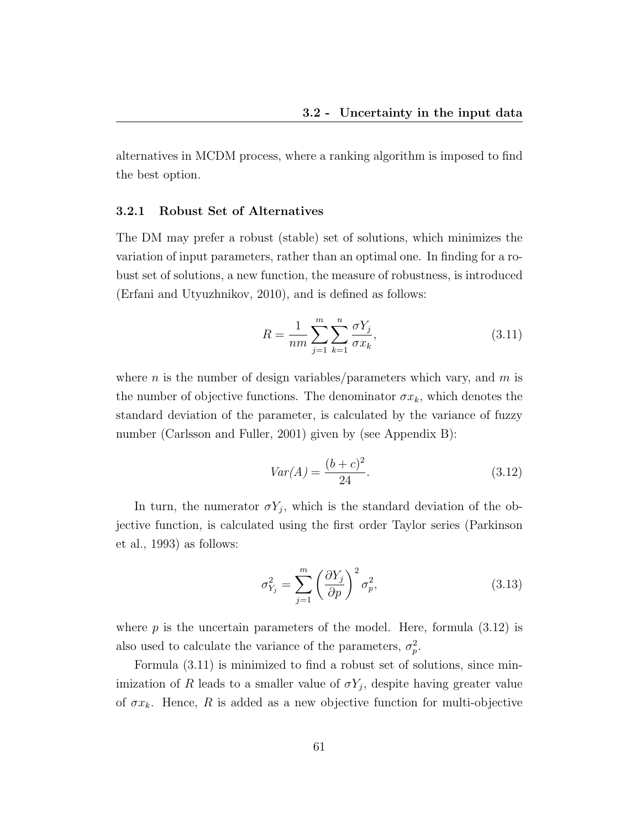alternatives in MCDM process, where a ranking algorithm is imposed to find the best option.

#### 3.2.1 Robust Set of Alternatives

The DM may prefer a robust (stable) set of solutions, which minimizes the variation of input parameters, rather than an optimal one. In finding for a robust set of solutions, a new function, the measure of robustness, is introduced (Erfani and Utyuzhnikov, 2010), and is defined as follows:

$$
R = \frac{1}{nm} \sum_{j=1}^{m} \sum_{k=1}^{n} \frac{\sigma Y_j}{\sigma x_k},
$$
\n(3.11)

where n is the number of design variables/parameters which vary, and  $m$  is the number of objective functions. The denominator  $\sigma x_k$ , which denotes the standard deviation of the parameter, is calculated by the variance of fuzzy number (Carlsson and Fuller, 2001) given by (see Appendix B):

$$
Var(A) = \frac{(b+c)^2}{24}.
$$
\n(3.12)

In turn, the numerator  $\sigma Y_j$ , which is the standard deviation of the objective function, is calculated using the first order Taylor series (Parkinson et al., 1993) as follows:

$$
\sigma_{Y_j}^2 = \sum_{j=1}^m \left(\frac{\partial Y_j}{\partial p}\right)^2 \sigma_p^2,\tag{3.13}
$$

where  $p$  is the uncertain parameters of the model. Here, formula  $(3.12)$  is also used to calculate the variance of the parameters,  $\sigma_p^2$ .

Formula (3.11) is minimized to find a robust set of solutions, since minimization of R leads to a smaller value of  $\sigma Y_j$ , despite having greater value of  $\sigma x_k$ . Hence, R is added as a new objective function for multi-objective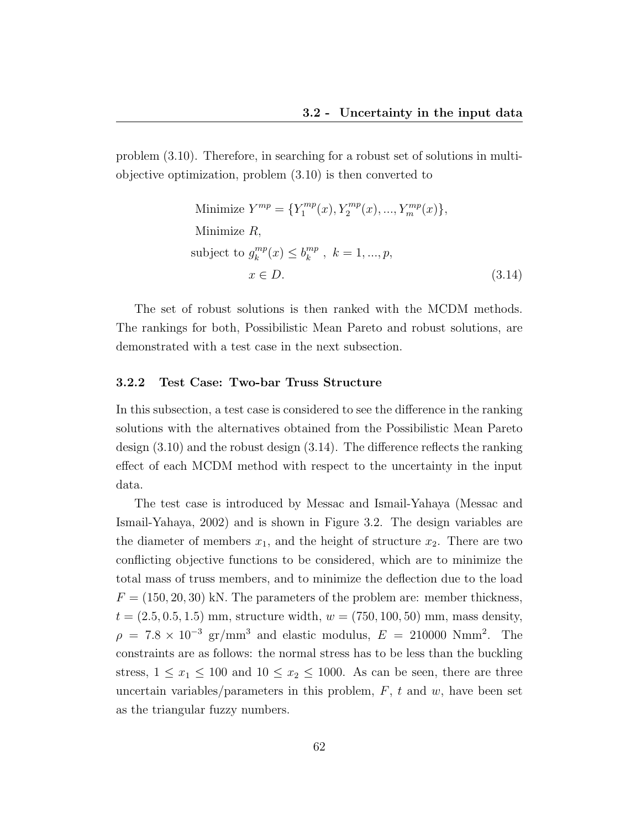problem (3.10). Therefore, in searching for a robust set of solutions in multiobjective optimization, problem (3.10) is then converted to

Minimize 
$$
Y^{mp} = \{Y_1^{mp}(x), Y_2^{mp}(x), ..., Y_m^{mp}(x)\},\
$$
  
\nMinimize  $R$ ,  
\nsubject to  $g_k^{mp}(x) \leq b_k^{mp}$ ,  $k = 1, ..., p$ ,  
\n $x \in D$ . (3.14)

The set of robust solutions is then ranked with the MCDM methods. The rankings for both, Possibilistic Mean Pareto and robust solutions, are demonstrated with a test case in the next subsection.

#### 3.2.2 Test Case: Two-bar Truss Structure

In this subsection, a test case is considered to see the difference in the ranking solutions with the alternatives obtained from the Possibilistic Mean Pareto design (3.10) and the robust design (3.14). The difference reflects the ranking effect of each MCDM method with respect to the uncertainty in the input data.

The test case is introduced by Messac and Ismail-Yahaya (Messac and Ismail-Yahaya, 2002) and is shown in Figure 3.2. The design variables are the diameter of members  $x_1$ , and the height of structure  $x_2$ . There are two conflicting objective functions to be considered, which are to minimize the total mass of truss members, and to minimize the deflection due to the load  $F = (150, 20, 30)$  kN. The parameters of the problem are: member thickness,  $t = (2.5, 0.5, 1.5)$  mm, structure width,  $w = (750, 100, 50)$  mm, mass density,  $\rho = 7.8 \times 10^{-3}$  gr/mm<sup>3</sup> and elastic modulus,  $E = 210000$  Nmm<sup>2</sup>. The constraints are as follows: the normal stress has to be less than the buckling stress,  $1 \leq x_1 \leq 100$  and  $10 \leq x_2 \leq 1000$ . As can be seen, there are three uncertain variables/parameters in this problem,  $F$ ,  $t$  and  $w$ , have been set as the triangular fuzzy numbers.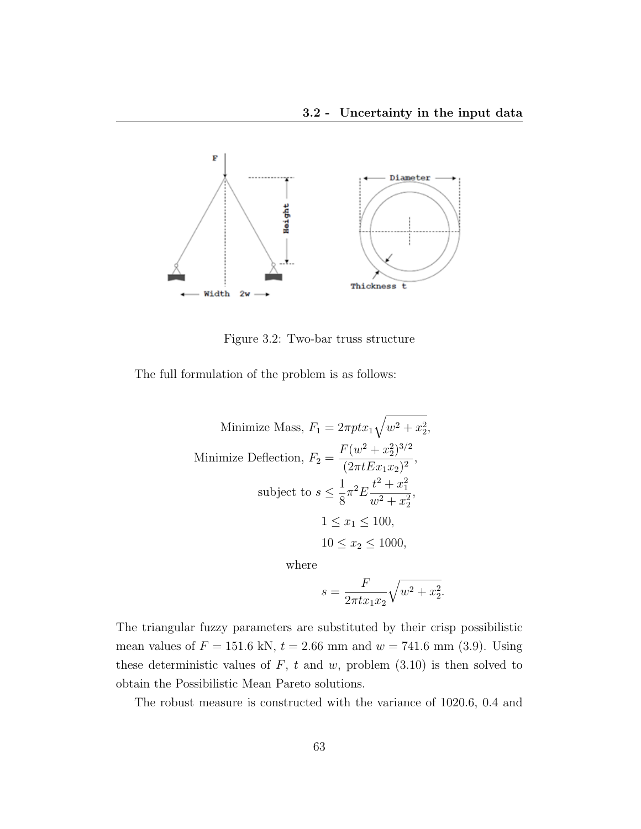

Figure 3.2: Two-bar truss structure

The full formulation of the problem is as follows:

Minimize Mass, 
$$
F_1 = 2\pi p t x_1 \sqrt{w^2 + x_2^2}
$$
,  
\nMinimize Deflection,  $F_2 = \frac{F(w^2 + x_2^2)^{3/2}}{(2\pi t E x_1 x_2)^2}$ ,  
\nsubject to  $s \le \frac{1}{8} \pi^2 E \frac{t^2 + x_1^2}{w^2 + x_2^2}$ ,  
\n $1 \le x_1 \le 100$ ,  
\n $10 \le x_2 \le 1000$ ,  
\nwhere

where

$$
s = \frac{F}{2\pi tx_1x_2}\sqrt{w^2 + x_2^2}.
$$

The triangular fuzzy parameters are substituted by their crisp possibilistic mean values of  $F = 151.6 \text{ kN}, t = 2.66 \text{ mm}$  and  $w = 741.6 \text{ mm}$  (3.9). Using these deterministic values of  $F$ ,  $t$  and  $w$ , problem (3.10) is then solved to obtain the Possibilistic Mean Pareto solutions.

The robust measure is constructed with the variance of 1020.6, 0.4 and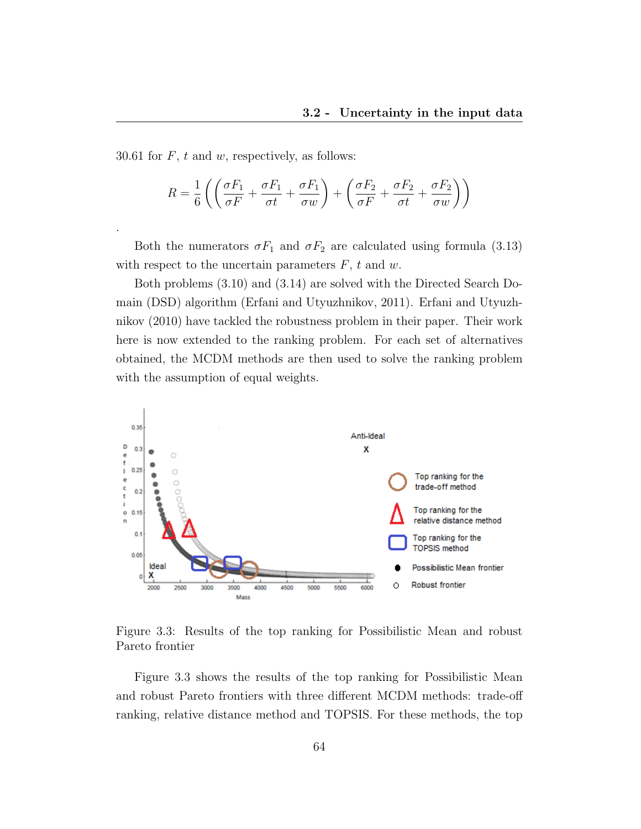30.61 for  $F$ ,  $t$  and  $w$ , respectively, as follows:

.

$$
R = \frac{1}{6} \left( \left( \frac{\sigma F_1}{\sigma F} + \frac{\sigma F_1}{\sigma t} + \frac{\sigma F_1}{\sigma w} \right) + \left( \frac{\sigma F_2}{\sigma F} + \frac{\sigma F_2}{\sigma t} + \frac{\sigma F_2}{\sigma w} \right) \right)
$$

Both the numerators  $\sigma F_1$  and  $\sigma F_2$  are calculated using formula (3.13) with respect to the uncertain parameters  $F$ ,  $t$  and  $w$ .

Both problems (3.10) and (3.14) are solved with the Directed Search Domain (DSD) algorithm (Erfani and Utyuzhnikov, 2011). Erfani and Utyuzhnikov (2010) have tackled the robustness problem in their paper. Their work here is now extended to the ranking problem. For each set of alternatives obtained, the MCDM methods are then used to solve the ranking problem with the assumption of equal weights.



Figure 3.3: Results of the top ranking for Possibilistic Mean and robust Pareto frontier

Figure 3.3 shows the results of the top ranking for Possibilistic Mean and robust Pareto frontiers with three different MCDM methods: trade-off ranking, relative distance method and TOPSIS. For these methods, the top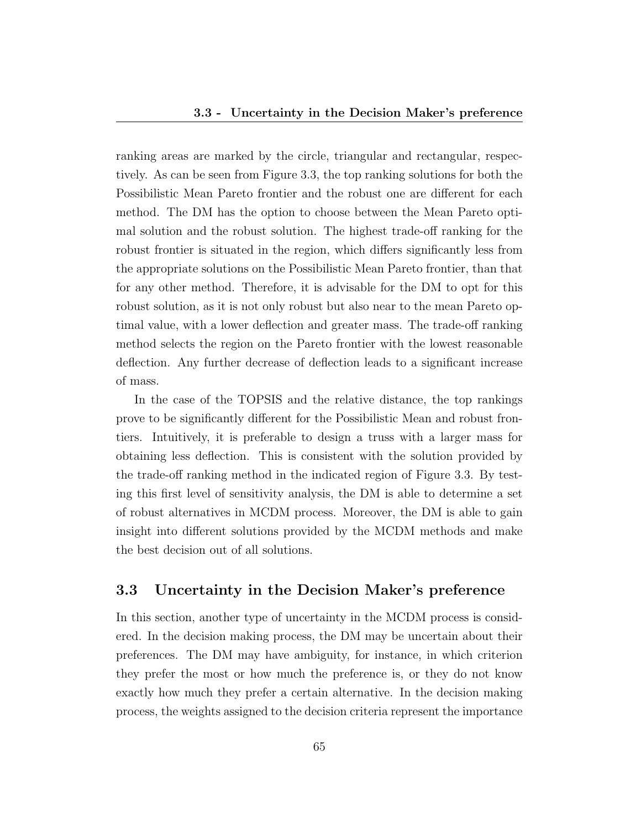ranking areas are marked by the circle, triangular and rectangular, respectively. As can be seen from Figure 3.3, the top ranking solutions for both the Possibilistic Mean Pareto frontier and the robust one are different for each method. The DM has the option to choose between the Mean Pareto optimal solution and the robust solution. The highest trade-off ranking for the robust frontier is situated in the region, which differs significantly less from the appropriate solutions on the Possibilistic Mean Pareto frontier, than that for any other method. Therefore, it is advisable for the DM to opt for this robust solution, as it is not only robust but also near to the mean Pareto optimal value, with a lower deflection and greater mass. The trade-off ranking method selects the region on the Pareto frontier with the lowest reasonable deflection. Any further decrease of deflection leads to a significant increase of mass.

In the case of the TOPSIS and the relative distance, the top rankings prove to be significantly different for the Possibilistic Mean and robust frontiers. Intuitively, it is preferable to design a truss with a larger mass for obtaining less deflection. This is consistent with the solution provided by the trade-off ranking method in the indicated region of Figure 3.3. By testing this first level of sensitivity analysis, the DM is able to determine a set of robust alternatives in MCDM process. Moreover, the DM is able to gain insight into different solutions provided by the MCDM methods and make the best decision out of all solutions.

## 3.3 Uncertainty in the Decision Maker's preference

In this section, another type of uncertainty in the MCDM process is considered. In the decision making process, the DM may be uncertain about their preferences. The DM may have ambiguity, for instance, in which criterion they prefer the most or how much the preference is, or they do not know exactly how much they prefer a certain alternative. In the decision making process, the weights assigned to the decision criteria represent the importance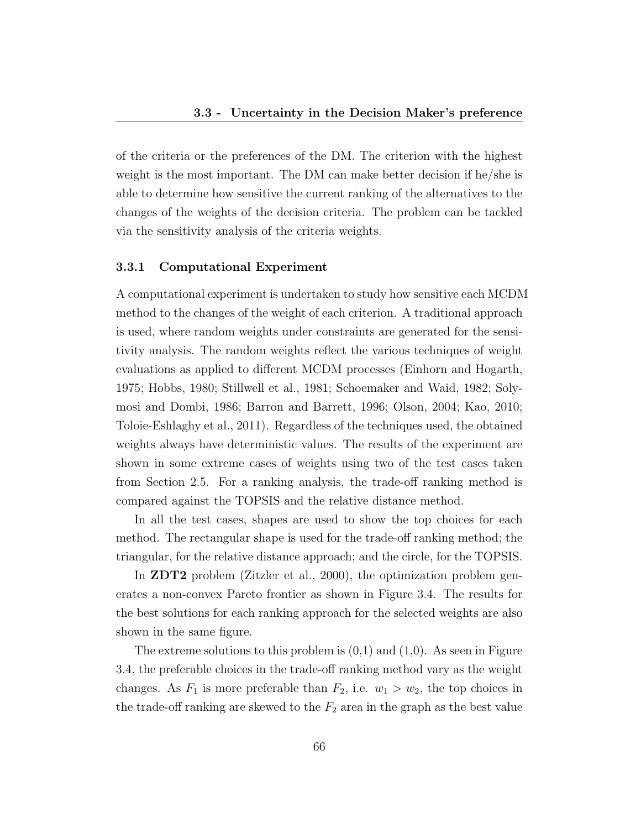of the criteria or the preferences of the DM. The criterion with the highest weight is the most important. The DM can make better decision if he/she is able to determine how sensitive the current ranking of the alternatives to the changes of the weights of the decision criteria. The problem can be tackled via the sensitivity analysis of the criteria weights.

#### 3.3.1 Computational Experiment

A computational experiment is undertaken to study how sensitive each MCDM method to the changes of the weight of each criterion. A traditional approach is used, where random weights under constraints are generated for the sensitivity analysis. The random weights reflect the various techniques of weight evaluations as applied to different MCDM processes (Einhorn and Hogarth, 1975; Hobbs, 1980; Stillwell et al., 1981; Schoemaker and Waid, 1982; Solymosi and Dombi, 1986; Barron and Barrett, 1996; Olson, 2004; Kao, 2010; Toloie-Eshlaghy et al., 2011). Regardless of the techniques used, the obtained weights always have deterministic values. The results of the experiment are shown in some extreme cases of weights using two of the test cases taken from Section 2.5. For a ranking analysis, the trade-off ranking method is compared against the TOPSIS and the relative distance method.

In all the test cases, shapes are used to show the top choices for each method. The rectangular shape is used for the trade-off ranking method; the triangular, for the relative distance approach; and the circle, for the TOPSIS.

In ZDT2 problem (Zitzler et al., 2000), the optimization problem generates a non-convex Pareto frontier as shown in Figure 3.4. The results for the best solutions for each ranking approach for the selected weights are also shown in the same figure.

The extreme solutions to this problem is  $(0,1)$  and  $(1,0)$ . As seen in Figure 3.4, the preferable choices in the trade-off ranking method vary as the weight changes. As  $F_1$  is more preferable than  $F_2$ , i.e.  $w_1 > w_2$ , the top choices in the trade-off ranking are skewed to the  $F_2$  area in the graph as the best value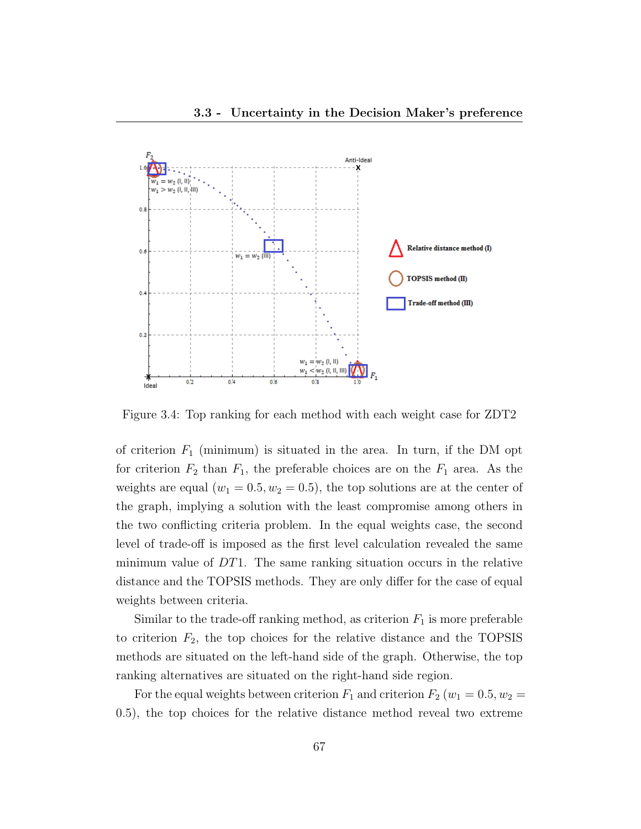

Figure 3.4: Top ranking for each method with each weight case for ZDT2

of criterion  $F_1$  (minimum) is situated in the area. In turn, if the DM opt for criterion  $F_2$  than  $F_1$ , the preferable choices are on the  $F_1$  area. As the weights are equal  $(w_1 = 0.5, w_2 = 0.5)$ , the top solutions are at the center of the graph, implying a solution with the least compromise among others in the two conflicting criteria problem. In the equal weights case, the second level of trade-off is imposed as the first level calculation revealed the same minimum value of  $DT1$ . The same ranking situation occurs in the relative distance and the TOPSIS methods. They are only differ for the case of equal weights between criteria.

Similar to the trade-off ranking method, as criterion  $F_1$  is more preferable to criterion  $F_2$ , the top choices for the relative distance and the TOPSIS methods are situated on the left-hand side of the graph. Otherwise, the top ranking alternatives are situated on the right-hand side region.

For the equal weights between criterion  $F_1$  and criterion  $F_2$  ( $w_1 = 0.5, w_2 =$ 0.5), the top choices for the relative distance method reveal two extreme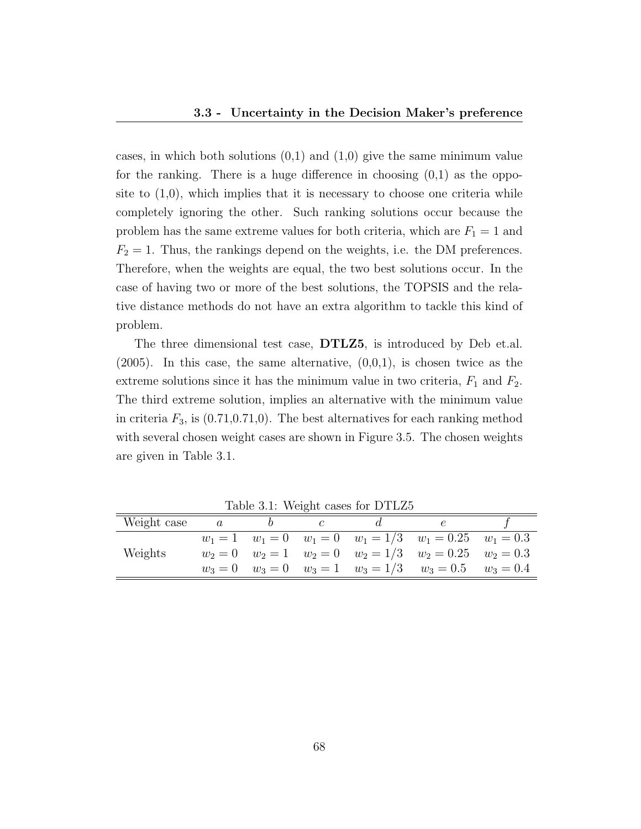cases, in which both solutions  $(0,1)$  and  $(1,0)$  give the same minimum value for the ranking. There is a huge difference in choosing  $(0,1)$  as the opposite to  $(1,0)$ , which implies that it is necessary to choose one criteria while completely ignoring the other. Such ranking solutions occur because the problem has the same extreme values for both criteria, which are  $F_1 = 1$  and  $F_2 = 1$ . Thus, the rankings depend on the weights, i.e. the DM preferences. Therefore, when the weights are equal, the two best solutions occur. In the case of having two or more of the best solutions, the TOPSIS and the relative distance methods do not have an extra algorithm to tackle this kind of problem.

The three dimensional test case, DTLZ5, is introduced by Deb et.al.  $(2005)$ . In this case, the same alternative,  $(0,0,1)$ , is chosen twice as the extreme solutions since it has the minimum value in two criteria,  $F_1$  and  $F_2$ . The third extreme solution, implies an alternative with the minimum value in criteria  $F_3$ , is  $(0.71, 0.71, 0)$ . The best alternatives for each ranking method with several chosen weight cases are shown in Figure 3.5. The chosen weights are given in Table 3.1.

| Weight case | $\boldsymbol{a}$ |  |                                                                    |  |
|-------------|------------------|--|--------------------------------------------------------------------|--|
|             |                  |  | $w_1 = 1$ $w_1 = 0$ $w_1 = 0$ $w_1 = 1/3$ $w_1 = 0.25$ $w_1 = 0.3$ |  |
| Weights     |                  |  | $w_2 = 0$ $w_2 = 1$ $w_2 = 0$ $w_2 = 1/3$ $w_2 = 0.25$ $w_2 = 0.3$ |  |
|             |                  |  | $w_3 = 0$ $w_3 = 0$ $w_3 = 1$ $w_3 = 1/3$ $w_3 = 0.5$ $w_3 = 0.4$  |  |

Table 3.1: Weight cases for DTLZ5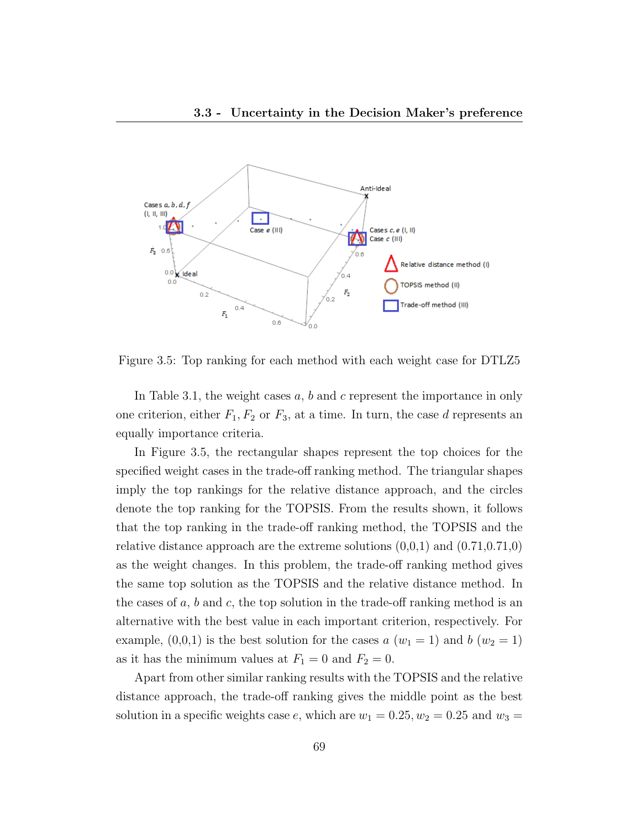

Figure 3.5: Top ranking for each method with each weight case for DTLZ5

In Table 3.1, the weight cases  $a, b$  and  $c$  represent the importance in only one criterion, either  $F_1, F_2$  or  $F_3$ , at a time. In turn, the case d represents an equally importance criteria.

In Figure 3.5, the rectangular shapes represent the top choices for the specified weight cases in the trade-off ranking method. The triangular shapes imply the top rankings for the relative distance approach, and the circles denote the top ranking for the TOPSIS. From the results shown, it follows that the top ranking in the trade-off ranking method, the TOPSIS and the relative distance approach are the extreme solutions  $(0,0,1)$  and  $(0.71,0.71,0)$ as the weight changes. In this problem, the trade-off ranking method gives the same top solution as the TOPSIS and the relative distance method. In the cases of  $a, b$  and  $c$ , the top solution in the trade-off ranking method is an alternative with the best value in each important criterion, respectively. For example,  $(0,0,1)$  is the best solution for the cases a  $(w_1 = 1)$  and b  $(w_2 = 1)$ as it has the minimum values at  $F_1 = 0$  and  $F_2 = 0$ .

Apart from other similar ranking results with the TOPSIS and the relative distance approach, the trade-off ranking gives the middle point as the best solution in a specific weights case e, which are  $w_1 = 0.25, w_2 = 0.25$  and  $w_3 =$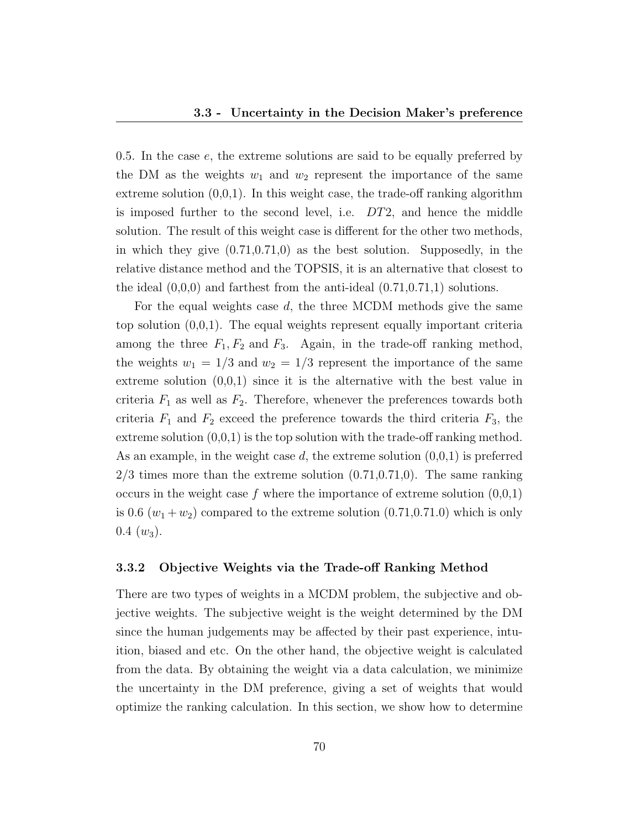0.5. In the case  $e$ , the extreme solutions are said to be equally preferred by the DM as the weights  $w_1$  and  $w_2$  represent the importance of the same extreme solution  $(0,0,1)$ . In this weight case, the trade-off ranking algorithm is imposed further to the second level, i.e. DT2, and hence the middle solution. The result of this weight case is different for the other two methods, in which they give  $(0.71,0.71,0)$  as the best solution. Supposedly, in the relative distance method and the TOPSIS, it is an alternative that closest to the ideal  $(0,0,0)$  and farthest from the anti-ideal  $(0.71,0.71,1)$  solutions.

For the equal weights case d, the three MCDM methods give the same top solution (0,0,1). The equal weights represent equally important criteria among the three  $F_1, F_2$  and  $F_3$ . Again, in the trade-off ranking method, the weights  $w_1 = 1/3$  and  $w_2 = 1/3$  represent the importance of the same extreme solution  $(0,0,1)$  since it is the alternative with the best value in criteria  $F_1$  as well as  $F_2$ . Therefore, whenever the preferences towards both criteria  $F_1$  and  $F_2$  exceed the preference towards the third criteria  $F_3$ , the extreme solution  $(0,0,1)$  is the top solution with the trade-off ranking method. As an example, in the weight case d, the extreme solution  $(0,0,1)$  is preferred  $2/3$  times more than the extreme solution  $(0.71,0.71,0)$ . The same ranking occurs in the weight case f where the importance of extreme solution  $(0,0,1)$ is 0.6  $(w_1 + w_2)$  compared to the extreme solution  $(0.71, 0.71, 0)$  which is only  $0.4 \ (w_3).$ 

#### 3.3.2 Objective Weights via the Trade-off Ranking Method

There are two types of weights in a MCDM problem, the subjective and objective weights. The subjective weight is the weight determined by the DM since the human judgements may be affected by their past experience, intuition, biased and etc. On the other hand, the objective weight is calculated from the data. By obtaining the weight via a data calculation, we minimize the uncertainty in the DM preference, giving a set of weights that would optimize the ranking calculation. In this section, we show how to determine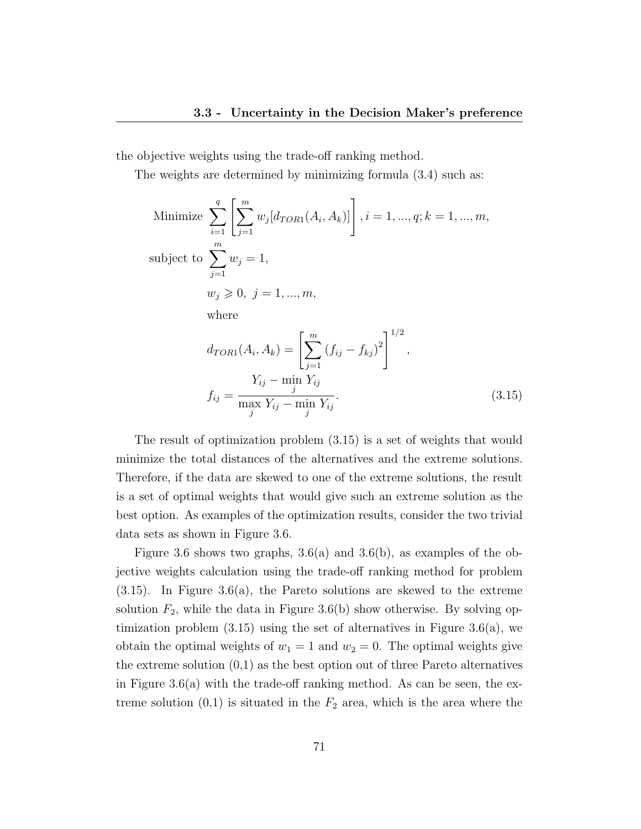the objective weights using the trade-off ranking method.

The weights are determined by minimizing formula (3.4) such as:

Minimize 
$$
\sum_{i=1}^{q} \left[ \sum_{j=1}^{m} w_j [d_{TOR1}(A_i, A_k)] \right], i = 1, ..., q; k = 1, ..., m,
$$
  
subject to 
$$
\sum_{j=1}^{m} w_j = 1,
$$

$$
w_j \geqslant 0, j = 1, ..., m,
$$
  
where  

$$
d_{TOR1}(A_i, A_k) = \left[ \sum_{j=1}^{m} (f_{ij} - f_{kj})^2 \right]^{1/2},
$$

$$
f_{ij} = \frac{Y_{ij} - \min_j Y_{ij}}{\max_j Y_{ij} - \min_j Y_{ij}}.
$$
(3.15)

The result of optimization problem (3.15) is a set of weights that would minimize the total distances of the alternatives and the extreme solutions. Therefore, if the data are skewed to one of the extreme solutions, the result is a set of optimal weights that would give such an extreme solution as the best option. As examples of the optimization results, consider the two trivial data sets as shown in Figure 3.6.

Figure 3.6 shows two graphs,  $3.6(a)$  and  $3.6(b)$ , as examples of the objective weights calculation using the trade-off ranking method for problem  $(3.15)$ . In Figure  $3.6(a)$ , the Pareto solutions are skewed to the extreme solution  $F_2$ , while the data in Figure 3.6(b) show otherwise. By solving optimization problem  $(3.15)$  using the set of alternatives in Figure 3.6(a), we obtain the optimal weights of  $w_1 = 1$  and  $w_2 = 0$ . The optimal weights give the extreme solution  $(0,1)$  as the best option out of three Pareto alternatives in Figure 3.6(a) with the trade-off ranking method. As can be seen, the extreme solution  $(0,1)$  is situated in the  $F_2$  area, which is the area where the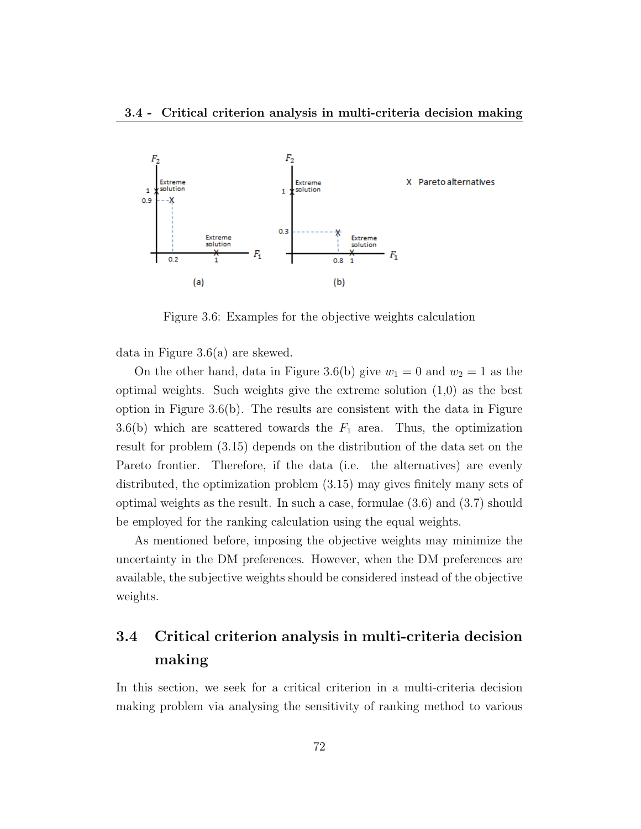

Figure 3.6: Examples for the objective weights calculation

data in Figure 3.6(a) are skewed.

On the other hand, data in Figure 3.6(b) give  $w_1 = 0$  and  $w_2 = 1$  as the optimal weights. Such weights give the extreme solution (1,0) as the best option in Figure  $3.6(b)$ . The results are consistent with the data in Figure 3.6(b) which are scattered towards the  $F_1$  area. Thus, the optimization result for problem (3.15) depends on the distribution of the data set on the Pareto frontier. Therefore, if the data (i.e. the alternatives) are evenly distributed, the optimization problem (3.15) may gives finitely many sets of optimal weights as the result. In such a case, formulae (3.6) and (3.7) should be employed for the ranking calculation using the equal weights.

As mentioned before, imposing the objective weights may minimize the uncertainty in the DM preferences. However, when the DM preferences are available, the subjective weights should be considered instead of the objective weights.

## 3.4 Critical criterion analysis in multi-criteria decision making

In this section, we seek for a critical criterion in a multi-criteria decision making problem via analysing the sensitivity of ranking method to various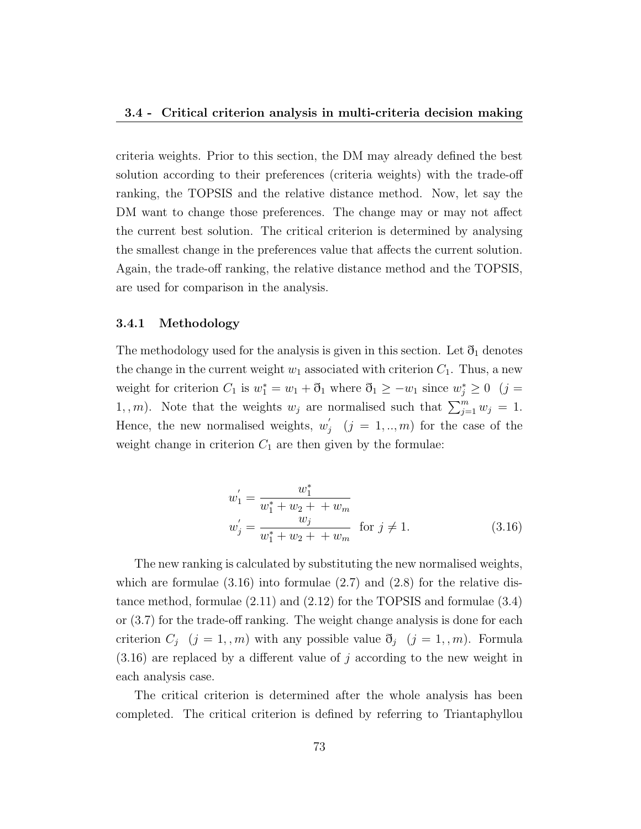criteria weights. Prior to this section, the DM may already defined the best solution according to their preferences (criteria weights) with the trade-off ranking, the TOPSIS and the relative distance method. Now, let say the DM want to change those preferences. The change may or may not affect the current best solution. The critical criterion is determined by analysing the smallest change in the preferences value that affects the current solution. Again, the trade-off ranking, the relative distance method and the TOPSIS, are used for comparison in the analysis.

#### 3.4.1 Methodology

The methodology used for the analysis is given in this section. Let  $\mathfrak{d}_1$  denotes the change in the current weight  $w_1$  associated with criterion  $C_1$ . Thus, a new weight for criterion  $C_1$  is  $w_1^* = w_1 + \delta_1$  where  $\delta_1 \ge -w_1$  since  $w_j^* \ge 0$  (j = 1, m). Note that the weights  $w_j$  are normalised such that  $\sum_{j=1}^m w_j = 1$ . Hence, the new normalised weights,  $w'_{\ell}$  $j \quad (j = 1,..,m)$  for the case of the weight change in criterion  $C_1$  are then given by the formulae:

$$
w'_{1} = \frac{w_{1}^{*}}{w_{1}^{*} + w_{2} + + w_{m}}
$$
  
\n
$$
w'_{j} = \frac{w_{j}}{w_{1}^{*} + w_{2} + + w_{m}} \quad \text{for } j \neq 1.
$$
 (3.16)

The new ranking is calculated by substituting the new normalised weights, which are formulae  $(3.16)$  into formulae  $(2.7)$  and  $(2.8)$  for the relative distance method, formulae (2.11) and (2.12) for the TOPSIS and formulae (3.4) or (3.7) for the trade-off ranking. The weight change analysis is done for each criterion  $C_j$   $(j = 1, m)$  with any possible value  $\mathfrak{d}_j$   $(j = 1, m)$ . Formula  $(3.16)$  are replaced by a different value of j according to the new weight in each analysis case.

The critical criterion is determined after the whole analysis has been completed. The critical criterion is defined by referring to Triantaphyllou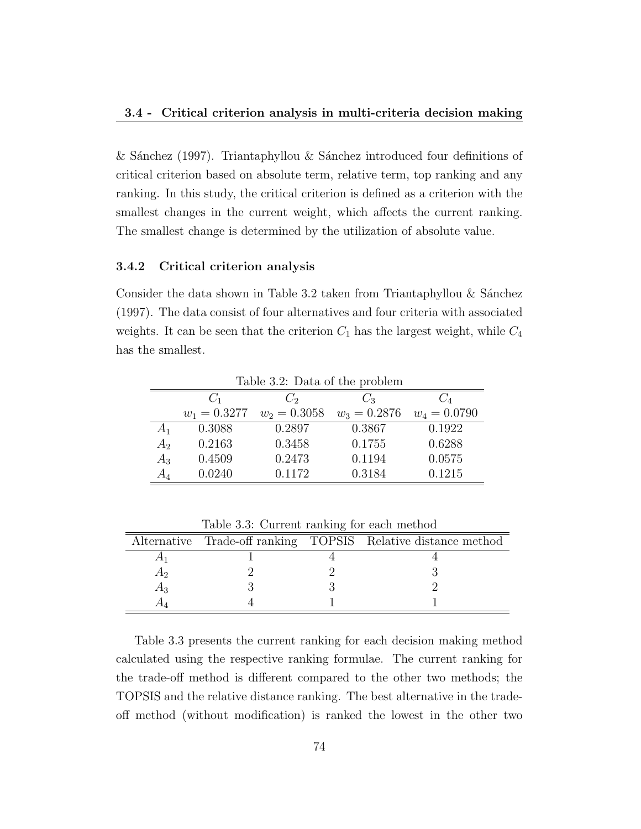& Sánchez (1997). Triantaphyllou & Sánchez introduced four definitions of critical criterion based on absolute term, relative term, top ranking and any ranking. In this study, the critical criterion is defined as a criterion with the smallest changes in the current weight, which affects the current ranking. The smallest change is determined by the utilization of absolute value.

#### 3.4.2 Critical criterion analysis

Consider the data shown in Table 3.2 taken from Triantaphyllou  $\&$  Sánchez (1997). The data consist of four alternatives and four criteria with associated weights. It can be seen that the criterion  $C_1$  has the largest weight, while  $C_4$ has the smallest.

|       | Table 3.2: Data of the problem |                |                |                |  |  |  |  |  |  |  |  |  |
|-------|--------------------------------|----------------|----------------|----------------|--|--|--|--|--|--|--|--|--|
|       | $C_1$                          | $C_2$          | $C_3$          |                |  |  |  |  |  |  |  |  |  |
|       | $w_1 = 0.3277$                 | $w_2 = 0.3058$ | $w_3 = 0.2876$ | $w_4 = 0.0790$ |  |  |  |  |  |  |  |  |  |
|       | 0.3088                         | 0.2897         | 0.3867         | 0.1922         |  |  |  |  |  |  |  |  |  |
| $A_2$ | 0.2163                         | 0.3458         | 0.1755         | 0.6288         |  |  |  |  |  |  |  |  |  |
| $A_3$ | 0.4509                         | 0.2473         | 0.1194         | 0.0575         |  |  |  |  |  |  |  |  |  |
| AΔ    | 0.0240                         | 0.1172         | 0.3184         | 0.1215         |  |  |  |  |  |  |  |  |  |

|     |  | Alternative Trade-off ranking TOPSIS Relative distance method |
|-----|--|---------------------------------------------------------------|
|     |  |                                                               |
| A9. |  |                                                               |
| А٩  |  |                                                               |
|     |  |                                                               |

Table 3.3: Current ranking for each method

Table 3.3 presents the current ranking for each decision making method calculated using the respective ranking formulae. The current ranking for the trade-off method is different compared to the other two methods; the TOPSIS and the relative distance ranking. The best alternative in the tradeoff method (without modification) is ranked the lowest in the other two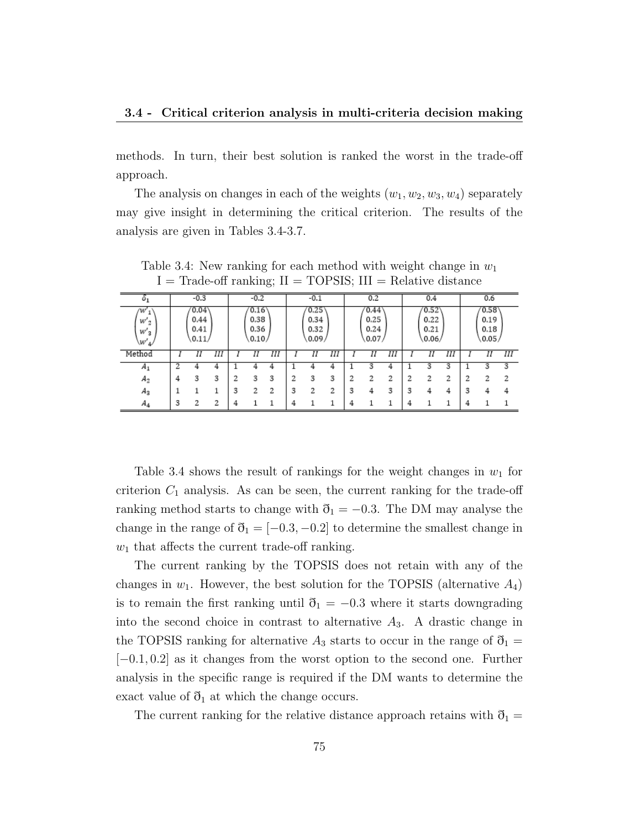methods. In turn, their best solution is ranked the worst in the trade-off approach.

The analysis on changes in each of the weights  $(w_1, w_2, w_3, w_4)$  separately may give insight in determining the critical criterion. The results of the analysis are given in Tables 3.4-3.7.

| $^{o_1}$                        |                                                                 | $-0.3$ |                               |   | $-0.2$ |                               |   | $-0.1$ |                                          |   | 0.2 |                               |   | 0.4 |   |   | 0.6 |   |
|---------------------------------|-----------------------------------------------------------------|--------|-------------------------------|---|--------|-------------------------------|---|--------|------------------------------------------|---|-----|-------------------------------|---|-----|---|---|-----|---|
| w<br>$W_2'$<br>$W'_{3}$<br>\W's | 0.04<br>0.16<br>0.38<br>0.44<br>0.36<br>0.41<br>0.10/<br>(0.11) |        | 0.25<br>0.34<br>0.32<br>0.09/ |   |        | 0.44<br>0.25<br>0.24<br>0.07/ |   |        | $^{\prime}0.52$<br>0.22<br>0.21<br>0.06/ |   |     | 0.58<br>0.19<br>0.18<br>0.05/ |   |     |   |   |     |   |
| Method                          |                                                                 | Π      | Ш                             |   | Η      | Ш                             |   | Η      | Ш                                        |   | Η   | Ш                             |   | Π   | Ш |   | Π   | Ш |
| $A_1$                           |                                                                 |        |                               |   |        |                               |   |        | 4                                        |   |     |                               |   | 3   | 3 |   |     | 3 |
| $A_2$                           |                                                                 | 3      | 3                             | 2 | 3      | 3                             |   | 3      | 3                                        |   | 2   |                               | 2 | 2   | , |   |     | 2 |
| $A_3$                           |                                                                 |        |                               | 3 | 2      | 2                             | 3 | 2      | າ<br>∠                                   | 3 |     | 3                             | 3 | 4   | 4 | વ |     |   |
| $A_4$                           | 2                                                               | 2      | 2                             |   |        |                               | Δ |        |                                          | 4 |     |                               | 4 |     |   |   |     |   |

Table 3.4: New ranking for each method with weight change in  $w_1$  $I = Trade-off$  ranking;  $II = TOPSIS$ ;  $III = Relative distance$ 

Table 3.4 shows the result of rankings for the weight changes in  $w_1$  for criterion  $C_1$  analysis. As can be seen, the current ranking for the trade-off ranking method starts to change with  $\delta_1 = -0.3$ . The DM may analyse the change in the range of  $\mathfrak{d}_1 = [-0.3, -0.2]$  to determine the smallest change in  $w_1$  that affects the current trade-off ranking.

The current ranking by the TOPSIS does not retain with any of the changes in  $w_1$ . However, the best solution for the TOPSIS (alternative  $A_4$ ) is to remain the first ranking until  $\mathfrak{d}_1 = -0.3$  where it starts downgrading into the second choice in contrast to alternative  $A_3$ . A drastic change in the TOPSIS ranking for alternative  $A_3$  starts to occur in the range of  $\mathfrak{d}_1 =$  $[-0.1, 0.2]$  as it changes from the worst option to the second one. Further analysis in the specific range is required if the DM wants to determine the exact value of  $\mathfrak{d}_1$  at which the change occurs.

The current ranking for the relative distance approach retains with  $\mathfrak{d}_1 =$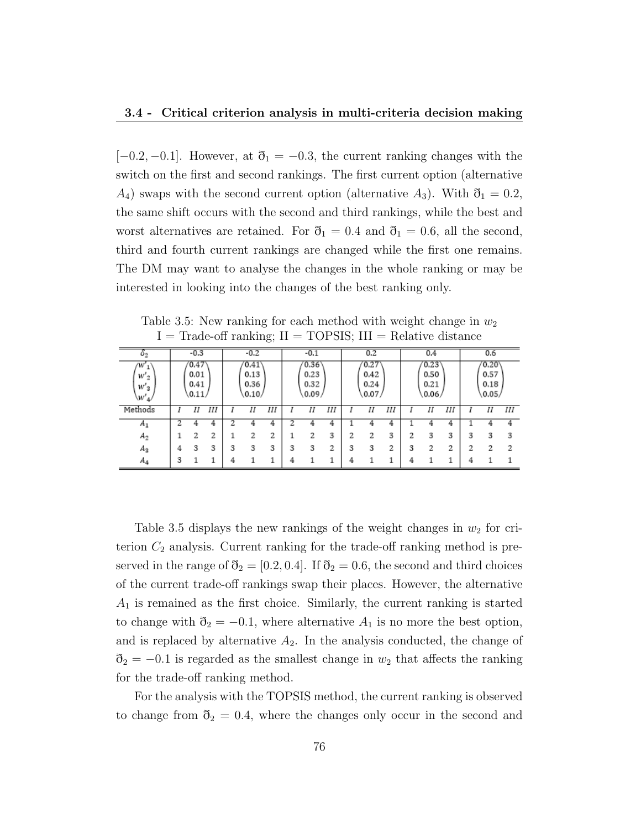$[-0.2, -0.1]$ . However, at  $\mathfrak{d}_1 = -0.3$ , the current ranking changes with the switch on the first and second rankings. The first current option (alternative  $A_4$ ) swaps with the second current option (alternative  $A_3$ ). With  $\mathfrak{d}_1 = 0.2$ , the same shift occurs with the second and third rankings, while the best and worst alternatives are retained. For  $\eth_1 = 0.4$  and  $\eth_1 = 0.6$ , all the second, third and fourth current rankings are changed while the first one remains. The DM may want to analyse the changes in the whole ranking or may be interested in looking into the changes of the best ranking only.

| O <sub>2</sub>              |   | $-0.3$                         |   |   | $-0.2$                         |   |                               | $-0.1$ |                               |   | 0.2                           |   |   | 0.4                                               |   |   | 0.6 |   |
|-----------------------------|---|--------------------------------|---|---|--------------------------------|---|-------------------------------|--------|-------------------------------|---|-------------------------------|---|---|---------------------------------------------------|---|---|-----|---|
| w<br>$W'_2$<br>w'3<br>\W'4/ |   | 0.47<br>0.01<br>0.41<br>(0.11) |   |   | 0.41<br>0.13<br>0.36<br>(0.10) |   | 0.36<br>0.23<br>0.32<br>0.09/ |        | 0.27<br>0.42<br>0.24<br>0.07/ |   | 0.23<br>0.50<br>0.21<br>0.06/ |   |   | $^{\prime}0.20^{\prime}$<br>0.57<br>0.18<br>0.05/ |   |   |     |   |
| Methods                     |   | Π                              | Ш |   | Η                              | Ш |                               | Η      | Ш                             |   | Η                             | Ш |   | Η                                                 | Ш |   | Η   | Ш |
| $A_1$                       |   | 4                              | 4 |   |                                |   |                               |        | 4                             |   |                               |   |   |                                                   | 4 |   |     |   |
| $A_2$                       |   | 2                              |   |   |                                |   |                               | 2      | 3                             |   |                               | э |   | 3                                                 | 3 | 3 |     | 3 |
| $A_3$                       | 4 | 3                              | 3 | 3 | 3                              | 3 | 3                             | 3      | o<br>∼                        | 3 |                               |   | 3 | 2                                                 | າ | 2 |     | 2 |
| $A_4$                       | З |                                |   |   |                                |   |                               |        |                               |   |                               |   |   |                                                   |   | 4 |     |   |

Table 3.5: New ranking for each method with weight change in  $w_2$  $I = Trade-off$  ranking;  $II = TOPSIS$ ;  $III = Relative distance$ 

Table 3.5 displays the new rankings of the weight changes in  $w_2$  for criterion  $C_2$  analysis. Current ranking for the trade-off ranking method is preserved in the range of  $\mathfrak{d}_2 = [0.2, 0.4]$ . If  $\mathfrak{d}_2 = 0.6$ , the second and third choices of the current trade-off rankings swap their places. However, the alternative  $A_1$  is remained as the first choice. Similarly, the current ranking is started to change with  $\mathfrak{d}_2 = -0.1$ , where alternative  $A_1$  is no more the best option, and is replaced by alternative  $A_2$ . In the analysis conducted, the change of  $\delta_2 = -0.1$  is regarded as the smallest change in  $w_2$  that affects the ranking for the trade-off ranking method.

For the analysis with the TOPSIS method, the current ranking is observed to change from  $\mathfrak{d}_2 = 0.4$ , where the changes only occur in the second and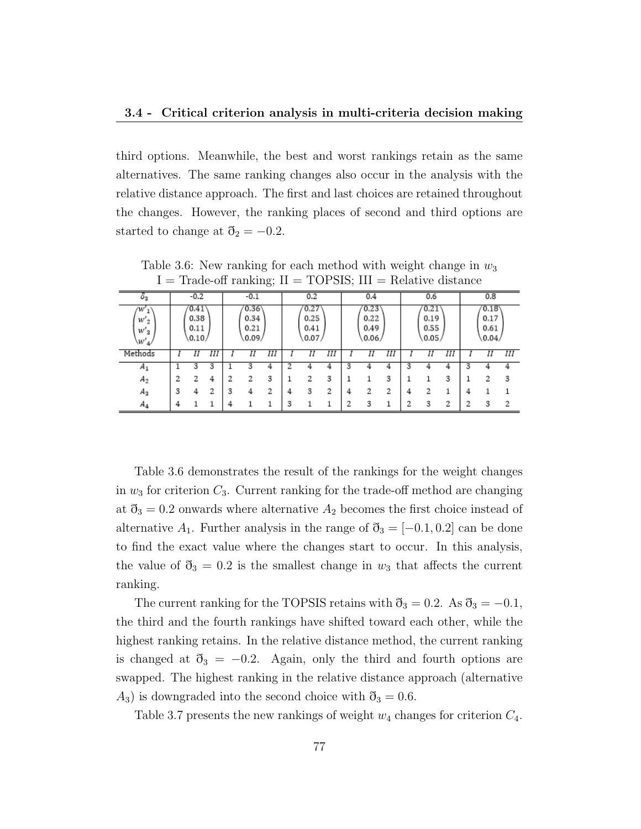third options. Meanwhile, the best and worst rankings retain as the same alternatives. The same ranking changes also occur in the analysis with the relative distance approach. The first and last choices are retained throughout the changes. However, the ranking places of second and third options are started to change at  $\mathfrak{d}_2 = -0.2$ .

|                                  | - ---------o :<br>$-1$ |                                |   |   |                                 |   |                              |     |    |                               |     |   |                                |     |    |                                                    |   |   |
|----------------------------------|------------------------|--------------------------------|---|---|---------------------------------|---|------------------------------|-----|----|-------------------------------|-----|---|--------------------------------|-----|----|----------------------------------------------------|---|---|
| 0 <sub>2</sub>                   |                        | $-0.2$                         |   |   | $-0.1$                          |   |                              | 0.2 |    |                               | 0.4 |   |                                | 0.6 |    | 0.8                                                |   |   |
| w<br>$W'_2$<br>$W{'}_3$<br>\W'si |                        | 0.41<br>0.38<br>0.11<br>(0.10) |   |   | (0.36)<br>0.34<br>0.21<br>0.09/ |   | 0.27<br>0.25<br>0.41<br>0.07 |     |    | 0.23<br>0.22<br>0.49<br>0.06/ |     |   | '0.21<br>0.19<br>0.55<br>0.05/ |     |    | $^{\prime} 0.18^{\prime}$<br>0.17<br>0.61<br>0.04/ |   |   |
| Methods                          |                        | Π                              | Ш |   | Π                               | Ш |                              | Π   | ĪΠ |                               | Π   | Ш |                                | Π   | Ш  |                                                    | Η | Ш |
| $A_1$                            |                        | 3                              | 3 |   |                                 |   |                              |     |    |                               |     |   | 3                              |     |    |                                                    |   |   |
| $A_2$                            |                        | 2                              | 4 |   | 2                               | 3 |                              | 2   | 3  |                               |     | 3 |                                |     | 3  |                                                    |   | 3 |
| $A_3$                            | 3                      | 4                              | ∍ | 3 | Δ                               | 2 | 4                            | 3   | 2  |                               |     | 2 | 4                              | 2   |    |                                                    |   |   |
| $A_4$                            |                        |                                |   |   |                                 |   | 3                            |     |    |                               | а   |   | っ                              | З   | ŋ, |                                                    | а | 2 |

Table 3.6: New ranking for each method with weight change in  $w_3$  $I = Trade-off$  ranking;  $II = TOPSIS$ ;  $III = Relative distance$ 

Table 3.6 demonstrates the result of the rankings for the weight changes in  $w_3$  for criterion  $C_3$ . Current ranking for the trade-off method are changing at  $\mathfrak{d}_3 = 0.2$  onwards where alternative  $A_2$  becomes the first choice instead of alternative  $A_1$ . Further analysis in the range of  $\mathfrak{d}_3 = [-0.1, 0.2]$  can be done to find the exact value where the changes start to occur. In this analysis, the value of  $\mathfrak{d}_3 = 0.2$  is the smallest change in  $w_3$  that affects the current ranking.

The current ranking for the TOPSIS retains with  $\eth_3 = 0.2$ . As  $\eth_3 = -0.1$ , the third and the fourth rankings have shifted toward each other, while the highest ranking retains. In the relative distance method, the current ranking is changed at  $\mathfrak{d}_3 = -0.2$ . Again, only the third and fourth options are swapped. The highest ranking in the relative distance approach (alternative  $A_3$ ) is downgraded into the second choice with  $\mathfrak{d}_3 = 0.6$ .

Table 3.7 presents the new rankings of weight  $w_4$  changes for criterion  $C_4$ .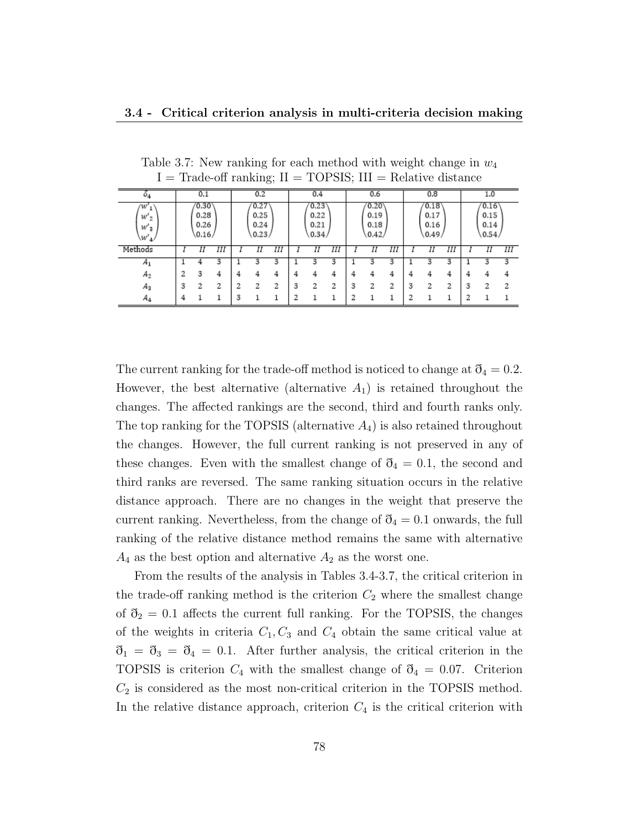| $\sigma_4$                    |                                       | 0.1 |   |   | 0.2                           |   |   | 0.4                           |   |                               | 0.6 |                               |   | 0.8                           |   |   | 1.0 |   |
|-------------------------------|---------------------------------------|-----|---|---|-------------------------------|---|---|-------------------------------|---|-------------------------------|-----|-------------------------------|---|-------------------------------|---|---|-----|---|
| w<br>$W'_{2}$<br>W'3<br>\W'4/ | (0.30)<br>0.28<br>0.26<br>(0.16)<br>Η |     |   |   | 0.27<br>0.25<br>0.24<br>0.23/ |   |   | 0.23<br>0.22<br>0.21<br>0.34/ |   | 0.20<br>0.19<br>0.18<br>0.42/ |     | 0.18<br>0.17<br>0.16<br>0.49/ |   | 0.16<br>0.15<br>0.14<br>0.54/ |   |   |     |   |
| Methods                       |                                       |     | Ш |   | Π                             | Ш |   | Π                             | Ш |                               | Η   | Ш                             |   | Η                             | Ш |   | Η   | Ш |
| $A_1$                         |                                       | 4   | 3 |   | 3                             | 3 |   |                               | 3 |                               | 3   | 3                             |   | 3                             | 3 |   |     | 3 |
| $A_2$                         | 2                                     | 3   | 4 | × | 4                             | 4 |   | 4                             | 4 | 4                             |     | 4                             | 4 | 4                             | 4 | 4 | Δ   | 4 |
| Aз                            | 3                                     | 2   | 2 |   | 2                             | 2 | 3 | 2                             | 2 | 3                             | 2   | ŋ                             | 3 | 2                             | 2 | 3 |     | 2 |
| $A_4$                         | 4                                     |     |   | ۰ |                               |   | ↷ |                               |   | э                             |     |                               | ◠ |                               |   | າ |     |   |

Table 3.7: New ranking for each method with weight change in  $w_4$  $I = Trade-off$  ranking;  $II = TOPSIS$ ;  $III = Relative distance$ 

The current ranking for the trade-off method is noticed to change at  $\mathfrak{d}_4 = 0.2$ . However, the best alternative (alternative  $A_1$ ) is retained throughout the changes. The affected rankings are the second, third and fourth ranks only. The top ranking for the TOPSIS (alternative  $A_4$ ) is also retained throughout the changes. However, the full current ranking is not preserved in any of these changes. Even with the smallest change of  $\mathfrak{d}_4 = 0.1$ , the second and third ranks are reversed. The same ranking situation occurs in the relative distance approach. There are no changes in the weight that preserve the current ranking. Nevertheless, from the change of  $\eth_4 = 0.1$  onwards, the full ranking of the relative distance method remains the same with alternative  $A_4$  as the best option and alternative  $A_2$  as the worst one.

From the results of the analysis in Tables 3.4-3.7, the critical criterion in the trade-off ranking method is the criterion  $C_2$  where the smallest change of  $\mathfrak{d}_2 = 0.1$  affects the current full ranking. For the TOPSIS, the changes of the weights in criteria  $C_1, C_3$  and  $C_4$  obtain the same critical value at  $\eth_1 = \eth_3 = \eth_4 = 0.1$ . After further analysis, the critical criterion in the TOPSIS is criterion  $C_4$  with the smallest change of  $\eth_4 = 0.07$ . Criterion  $C_2$  is considered as the most non-critical criterion in the TOPSIS method. In the relative distance approach, criterion  $C_4$  is the critical criterion with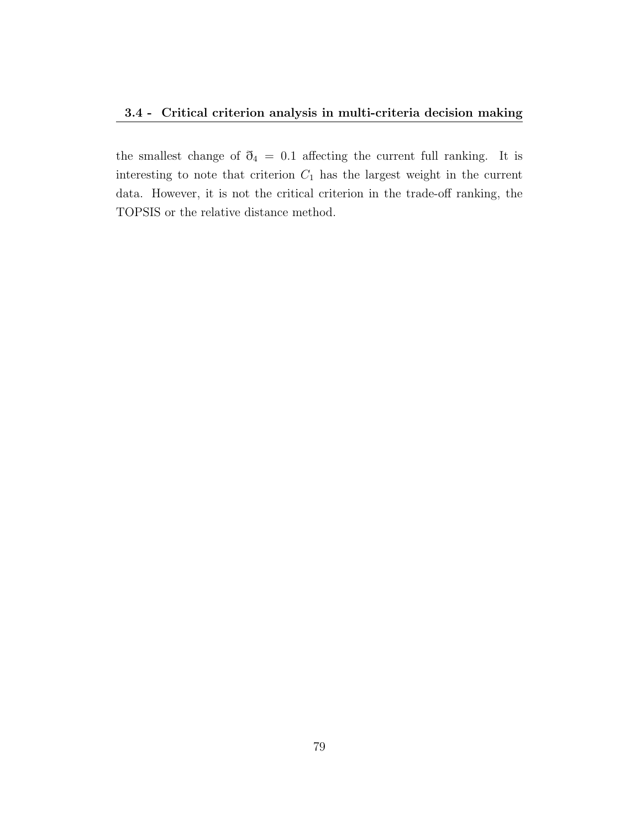the smallest change of  $\eth_4 = 0.1$  affecting the current full ranking. It is interesting to note that criterion  $C_1$  has the largest weight in the current data. However, it is not the critical criterion in the trade-off ranking, the TOPSIS or the relative distance method.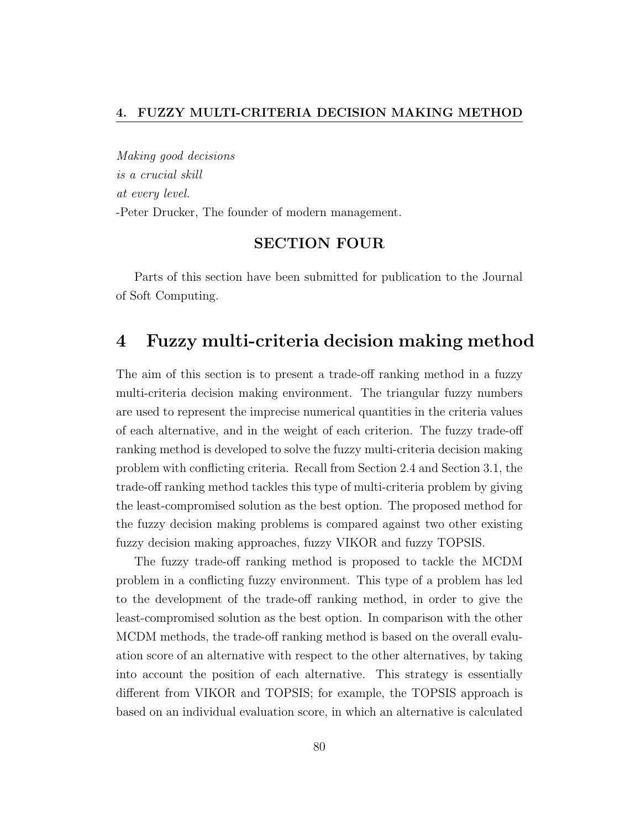Making good decisions is a crucial skill at every level. -Peter Drucker, The founder of modern management.

## SECTION FOUR

Parts of this section have been submitted for publication to the Journal of Soft Computing.

## 4 Fuzzy multi-criteria decision making method

The aim of this section is to present a trade-off ranking method in a fuzzy multi-criteria decision making environment. The triangular fuzzy numbers are used to represent the imprecise numerical quantities in the criteria values of each alternative, and in the weight of each criterion. The fuzzy trade-off ranking method is developed to solve the fuzzy multi-criteria decision making problem with conflicting criteria. Recall from Section 2.4 and Section 3.1, the trade-off ranking method tackles this type of multi-criteria problem by giving the least-compromised solution as the best option. The proposed method for the fuzzy decision making problems is compared against two other existing fuzzy decision making approaches, fuzzy VIKOR and fuzzy TOPSIS.

The fuzzy trade-off ranking method is proposed to tackle the MCDM problem in a conflicting fuzzy environment. This type of a problem has led to the development of the trade-off ranking method, in order to give the least-compromised solution as the best option. In comparison with the other MCDM methods, the trade-off ranking method is based on the overall evaluation score of an alternative with respect to the other alternatives, by taking into account the position of each alternative. This strategy is essentially different from VIKOR and TOPSIS; for example, the TOPSIS approach is based on an individual evaluation score, in which an alternative is calculated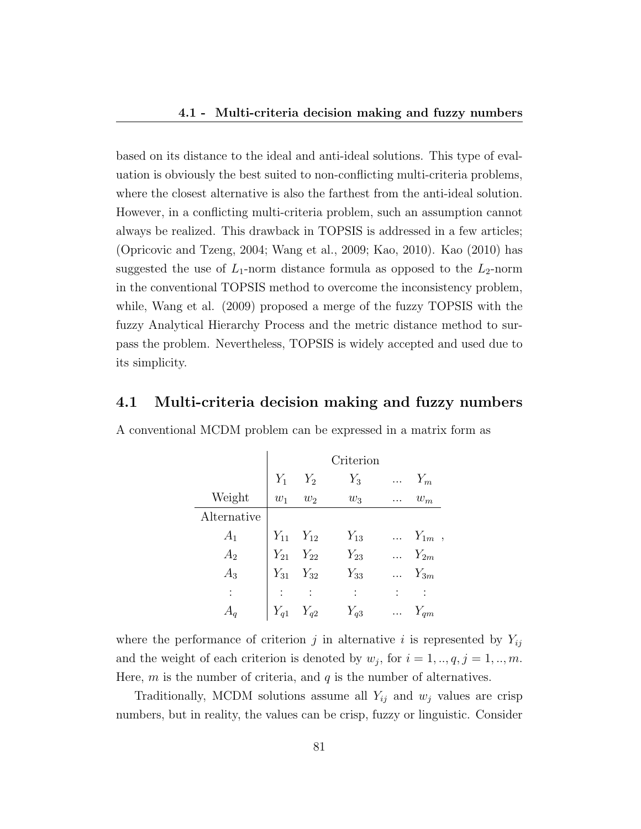based on its distance to the ideal and anti-ideal solutions. This type of evaluation is obviously the best suited to non-conflicting multi-criteria problems, where the closest alternative is also the farthest from the anti-ideal solution. However, in a conflicting multi-criteria problem, such an assumption cannot always be realized. This drawback in TOPSIS is addressed in a few articles; (Opricovic and Tzeng, 2004; Wang et al., 2009; Kao, 2010). Kao (2010) has suggested the use of  $L_1$ -norm distance formula as opposed to the  $L_2$ -norm in the conventional TOPSIS method to overcome the inconsistency problem, while, Wang et al. (2009) proposed a merge of the fuzzy TOPSIS with the fuzzy Analytical Hierarchy Process and the metric distance method to surpass the problem. Nevertheless, TOPSIS is widely accepted and used due to its simplicity.

## 4.1 Multi-criteria decision making and fuzzy numbers

|                           |          |          | Criterion        |          |            |
|---------------------------|----------|----------|------------------|----------|------------|
|                           | $Y_1$    | $Y_2$    | $Y_3$            | .        | $Y_m$      |
| Weight                    | $w_1$    | $w_2$    | $\mathfrak{w}_3$ |          | $w_m$      |
| Alternative               |          |          |                  |          |            |
| $A_1$                     | $Y_{11}$ | $Y_{12}$ | $Y_{13}$         | $\cdots$ | $Y_{1m}$ , |
| $A_2$                     | $Y_{21}$ | $Y_{22}$ | $Y_{23}$         |          | $Y_{2m}$   |
| $A_3$                     | $Y_{31}$ | $Y_{32}$ | $Y_{33}$         |          | $Y_{3m}$   |
| ۰<br>$\ddot{\phantom{0}}$ |          |          | $\ddot{\cdot}$   |          |            |
|                           | $Y_{q1}$ | $Y_{q2}$ | $Y_{q3}$         | .        | $Y_{qm}$   |

A conventional MCDM problem can be expressed in a matrix form as

where the performance of criterion j in alternative i is represented by  $Y_{ij}$ and the weight of each criterion is denoted by  $w_j$ , for  $i = 1, ..., q, j = 1, ..., m$ . Here,  $m$  is the number of criteria, and  $q$  is the number of alternatives.

Traditionally, MCDM solutions assume all  $Y_{ij}$  and  $w_j$  values are crisp numbers, but in reality, the values can be crisp, fuzzy or linguistic. Consider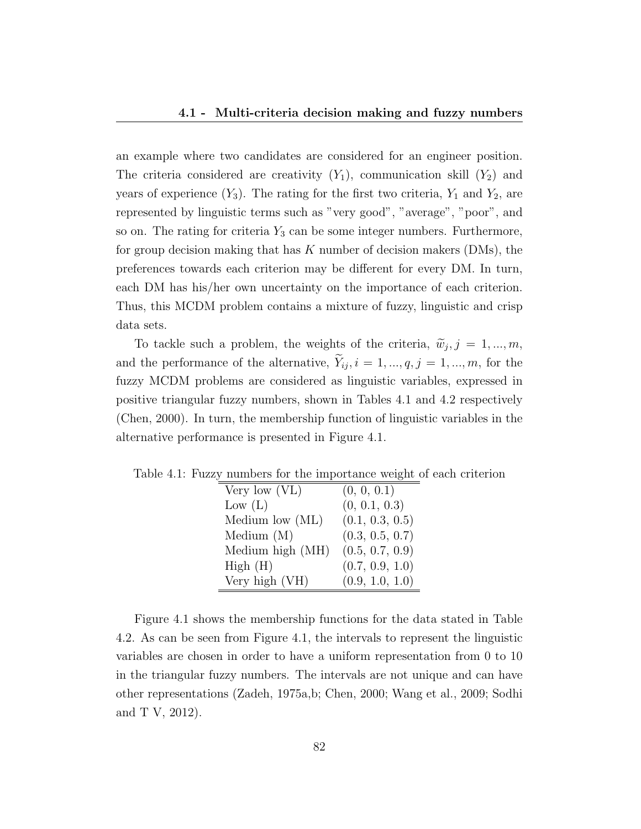an example where two candidates are considered for an engineer position. The criteria considered are creativity  $(Y_1)$ , communication skill  $(Y_2)$  and years of experience  $(Y_3)$ . The rating for the first two criteria,  $Y_1$  and  $Y_2$ , are represented by linguistic terms such as "very good", "average", "poor", and so on. The rating for criteria  $Y_3$  can be some integer numbers. Furthermore, for group decision making that has  $K$  number of decision makers (DMs), the preferences towards each criterion may be different for every DM. In turn, each DM has his/her own uncertainty on the importance of each criterion. Thus, this MCDM problem contains a mixture of fuzzy, linguistic and crisp data sets.

To tackle such a problem, the weights of the criteria,  $\tilde{w}_j$ ,  $j = 1, ..., m$ , and the performance of the alternative,  $\widetilde{Y}_{ij}$ ,  $i = 1, ..., q, j = 1, ..., m$ , for the fuzzy MCDM problems are considered as linguistic variables, expressed in positive triangular fuzzy numbers, shown in Tables 4.1 and 4.2 respectively (Chen, 2000). In turn, the membership function of linguistic variables in the alternative performance is presented in Figure 4.1.

Table 4.1: Fuzzy numbers for the importance weight of each criterion

| Very low $(VL)$   | (0, 0, 0.1)     |
|-------------------|-----------------|
| Low (L)           | (0, 0.1, 0.3)   |
| Medium low $(ML)$ | (0.1, 0.3, 0.5) |
| Medium $(M)$      | (0.3, 0.5, 0.7) |
| Medium high (MH)  | (0.5, 0.7, 0.9) |
| High(H)           | (0.7, 0.9, 1.0) |
| Very high (VH)    | (0.9, 1.0, 1.0) |

Figure 4.1 shows the membership functions for the data stated in Table 4.2. As can be seen from Figure 4.1, the intervals to represent the linguistic variables are chosen in order to have a uniform representation from 0 to 10 in the triangular fuzzy numbers. The intervals are not unique and can have other representations (Zadeh, 1975a,b; Chen, 2000; Wang et al., 2009; Sodhi and T V, 2012).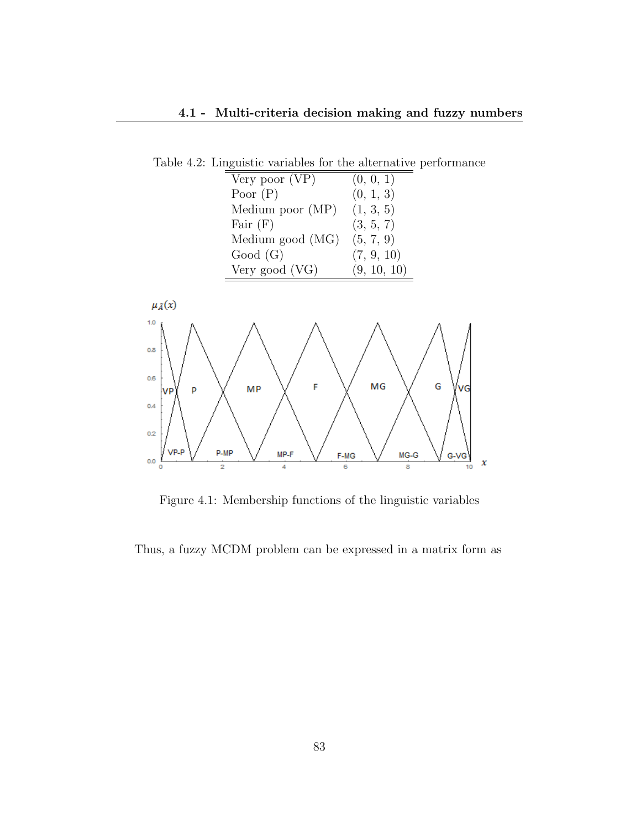Table 4.2: Linguistic variables for the alternative performance



Figure 4.1: Membership functions of the linguistic variables

Thus, a fuzzy MCDM problem can be expressed in a matrix form as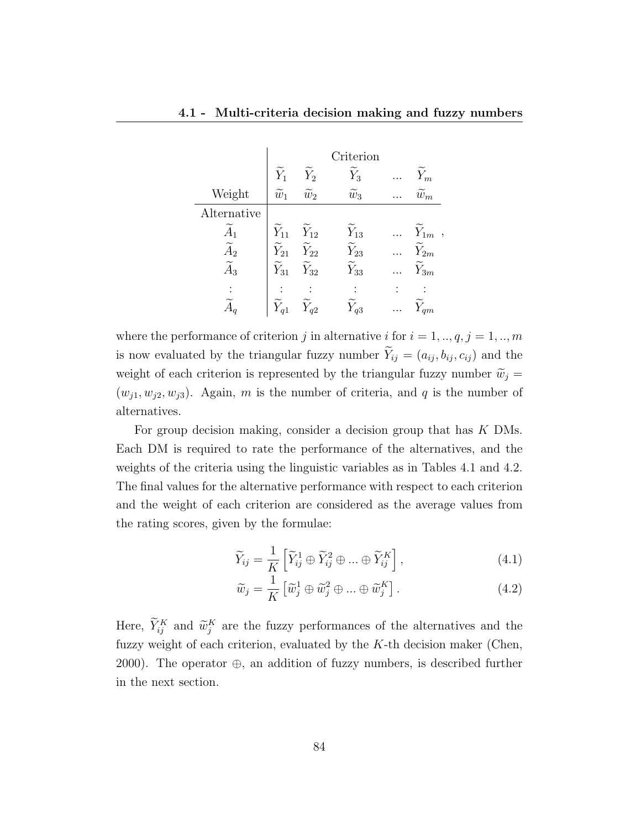|                   |                      |                      | Criterion           |                                      |
|-------------------|----------------------|----------------------|---------------------|--------------------------------------|
|                   | $\widetilde{Y}_1$    | $\widetilde Y_2$     | $\tilde{Y}_3$       | $\widetilde{Y}_m$                    |
| Weight            | $\widetilde{w}_1$    | $\widetilde{w}_2$    | $\widetilde{w}_3$   | $\widetilde{w}_m$                    |
| Alternative       |                      |                      |                     |                                      |
| $A_1$             | $\widetilde Y_{11}$  | $\widetilde{Y}_{12}$ | $\widetilde Y_{13}$ | $Y_{1m}$<br>$\overline{\phantom{a}}$ |
| $\widetilde{A}_2$ | $\widetilde Y_{21}$  | $\widetilde{Y}_{22}$ | $\widetilde Y_{23}$ | $\widetilde Y_{2m}$                  |
| $A_3$             | $\widetilde{Y}_{31}$ | $\widetilde{Y}_{32}$ | $\widetilde Y_{33}$ | $\tilde{Y}_{3m}$                     |
|                   |                      |                      |                     |                                      |
|                   |                      | $\hat{Y}_{q2}$       | $Y_{q3}$            | $V_{qm}$                             |

where the performance of criterion j in alternative i for  $i = 1, ..., q, j = 1, ..., m$ is now evaluated by the triangular fuzzy number  $\widetilde{Y}_{ij} = (a_{ij}, b_{ij}, c_{ij})$  and the weight of each criterion is represented by the triangular fuzzy number  $\widetilde{w}_j =$  $(w_{i1}, w_{i2}, w_{i3})$ . Again, m is the number of criteria, and q is the number of alternatives.

For group decision making, consider a decision group that has K DMs. Each DM is required to rate the performance of the alternatives, and the weights of the criteria using the linguistic variables as in Tables 4.1 and 4.2. The final values for the alternative performance with respect to each criterion and the weight of each criterion are considered as the average values from the rating scores, given by the formulae:

$$
\widetilde{Y}_{ij} = \frac{1}{K} \left[ \widetilde{Y}_{ij}^1 \oplus \widetilde{Y}_{ij}^2 \oplus \dots \oplus \widetilde{Y}_{ij}^K \right],
$$
\n(4.1)

$$
\widetilde{w}_j = \frac{1}{K} \left[ \widetilde{w}_j^1 \oplus \widetilde{w}_j^2 \oplus \dots \oplus \widetilde{w}_j^K \right]. \tag{4.2}
$$

Here,  $\tilde{Y}_{ij}^K$  and  $\tilde{w}_j^K$  are the fuzzy performances of the alternatives and the fuzzy weight of each criterion, evaluated by the  $K$ -th decision maker (Chen, 2000). The operator  $\oplus$ , an addition of fuzzy numbers, is described further in the next section.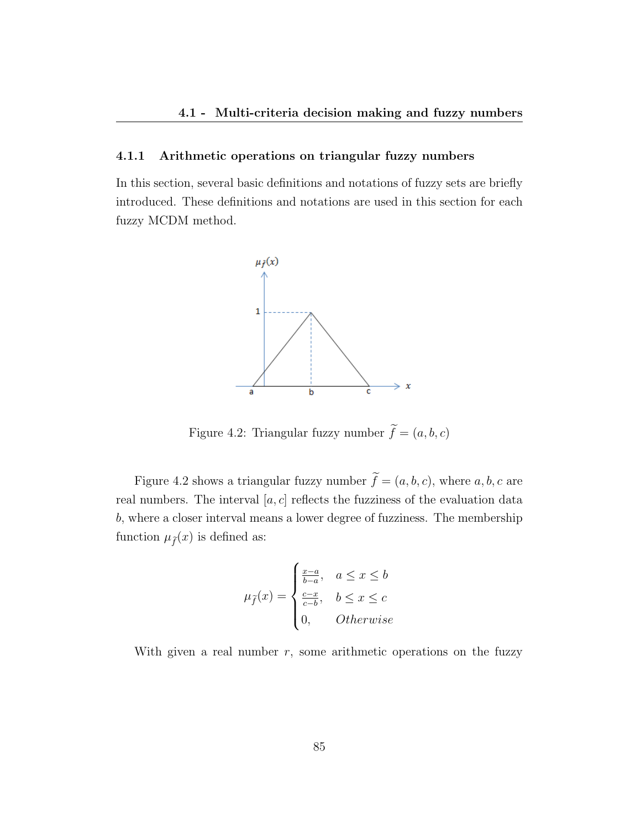#### 4.1.1 Arithmetic operations on triangular fuzzy numbers

In this section, several basic definitions and notations of fuzzy sets are briefly introduced. These definitions and notations are used in this section for each fuzzy MCDM method.



Figure 4.2: Triangular fuzzy number  $\widetilde{f}=(a, b, c)$ 

Figure 4.2 shows a triangular fuzzy number  $\tilde{f} = (a, b, c)$ , where  $a, b, c$  are real numbers. The interval  $[a, c]$  reflects the fuzziness of the evaluation data b, where a closer interval means a lower degree of fuzziness. The membership function  $\mu_{\tilde{f}}(x)$  is defined as:

$$
\mu_{\widetilde{f}}(x) = \begin{cases} \frac{x-a}{b-a}, & a \le x \le b \\ \frac{c-x}{c-b}, & b \le x \le c \\ 0, & Otherwise \end{cases}
$$

With given a real number  $r$ , some arithmetic operations on the fuzzy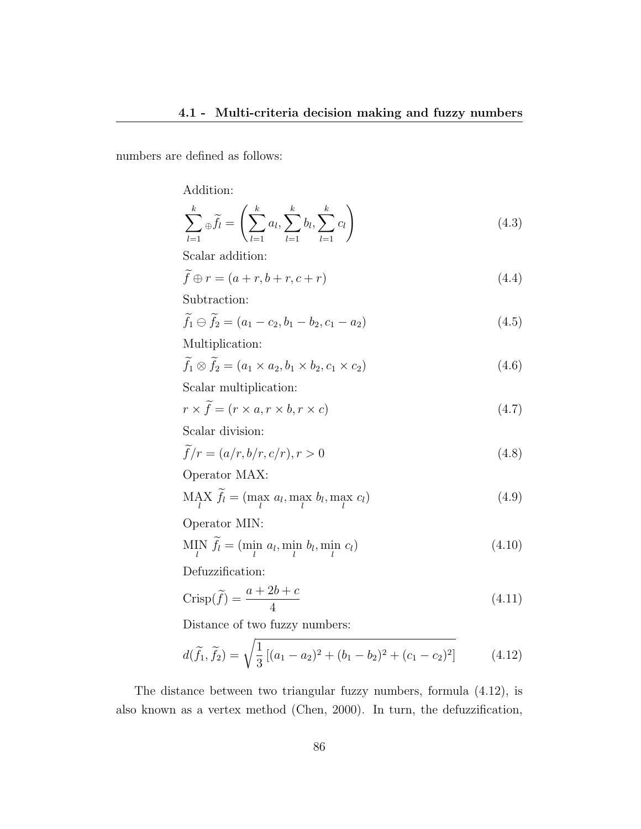numbers are defined as follows:

Addition:

$$
\sum_{l=1}^{k} \hat{f}_{l} = \left( \sum_{l=1}^{k} a_{l}, \sum_{l=1}^{k} b_{l}, \sum_{l=1}^{k} c_{l} \right)
$$
\n(4.3)

Scalar addition:

$$
\widetilde{f} \oplus r = (a+r, b+r, c+r) \tag{4.4}
$$

Subtraction:

$$
\widetilde{f}_1 \ominus \widetilde{f}_2 = (a_1 - c_2, b_1 - b_2, c_1 - a_2) \tag{4.5}
$$

Multiplication:

$$
\widetilde{f}_1 \otimes \widetilde{f}_2 = (a_1 \times a_2, b_1 \times b_2, c_1 \times c_2) \tag{4.6}
$$

Scalar multiplication:

$$
r \times f = (r \times a, r \times b, r \times c) \tag{4.7}
$$

Scalar division:

$$
\widetilde{f}/r = (a/r, b/r, c/r), r > 0
$$
\n(4.8)

Operator MAX:

$$
\text{MAX}_{l} \ \widetilde{f}_l = (\max_{l} a_l, \max_{l} b_l, \max_{l} c_l) \tag{4.9}
$$

Operator MIN:

$$
\text{MIN}_{l} \ \widetilde{f}_l = (\text{min}_{l} \ a_l, \text{min}_{l} \ b_l, \text{min}_{l} \ c_l)
$$
\n
$$
\tag{4.10}
$$

Defuzzification:

$$
Crisp(\tilde{f}) = \frac{a+2b+c}{4}
$$
\n(4.11)

Distance of two fuzzy numbers:

$$
d(\tilde{f}_1, \tilde{f}_2) = \sqrt{\frac{1}{3} \left[ (a_1 - a_2)^2 + (b_1 - b_2)^2 + (c_1 - c_2)^2 \right]}
$$
(4.12)

The distance between two triangular fuzzy numbers, formula (4.12), is also known as a vertex method (Chen, 2000). In turn, the defuzzification,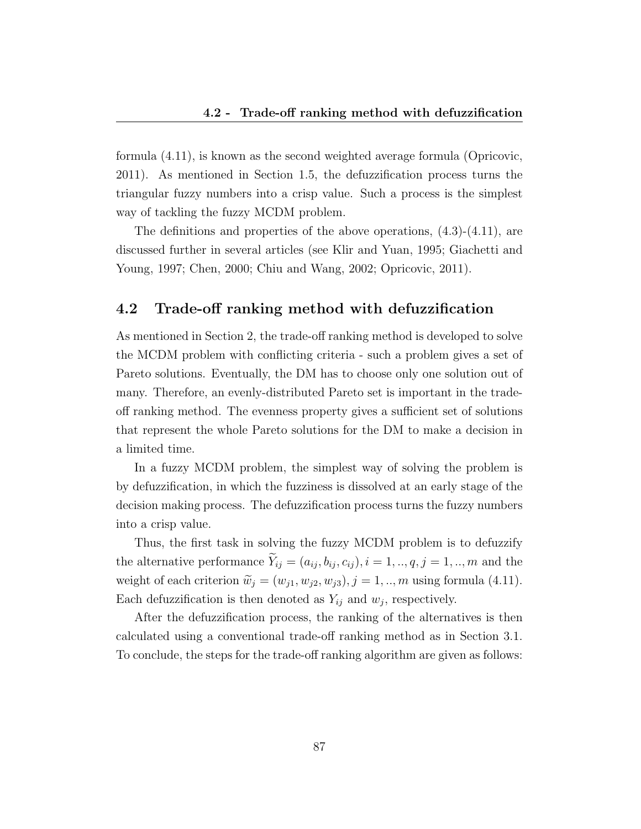formula (4.11), is known as the second weighted average formula (Opricovic, 2011). As mentioned in Section 1.5, the defuzzification process turns the triangular fuzzy numbers into a crisp value. Such a process is the simplest way of tackling the fuzzy MCDM problem.

The definitions and properties of the above operations, (4.3)-(4.11), are discussed further in several articles (see Klir and Yuan, 1995; Giachetti and Young, 1997; Chen, 2000; Chiu and Wang, 2002; Opricovic, 2011).

## 4.2 Trade-off ranking method with defuzzification

As mentioned in Section 2, the trade-off ranking method is developed to solve the MCDM problem with conflicting criteria - such a problem gives a set of Pareto solutions. Eventually, the DM has to choose only one solution out of many. Therefore, an evenly-distributed Pareto set is important in the tradeoff ranking method. The evenness property gives a sufficient set of solutions that represent the whole Pareto solutions for the DM to make a decision in a limited time.

In a fuzzy MCDM problem, the simplest way of solving the problem is by defuzzification, in which the fuzziness is dissolved at an early stage of the decision making process. The defuzzification process turns the fuzzy numbers into a crisp value.

Thus, the first task in solving the fuzzy MCDM problem is to defuzzify the alternative performance  $\widetilde{Y}_{ij} = (a_{ij}, b_{ij}, c_{ij}), i = 1, ..., q, j = 1, ..., m$  and the weight of each criterion  $\widetilde{w}_j = (w_{j1}, w_{j2}, w_{j3}), j = 1, ..., m$  using formula (4.11). Each defuzzification is then denoted as  $Y_{ij}$  and  $w_j$ , respectively.

After the defuzzification process, the ranking of the alternatives is then calculated using a conventional trade-off ranking method as in Section 3.1. To conclude, the steps for the trade-off ranking algorithm are given as follows: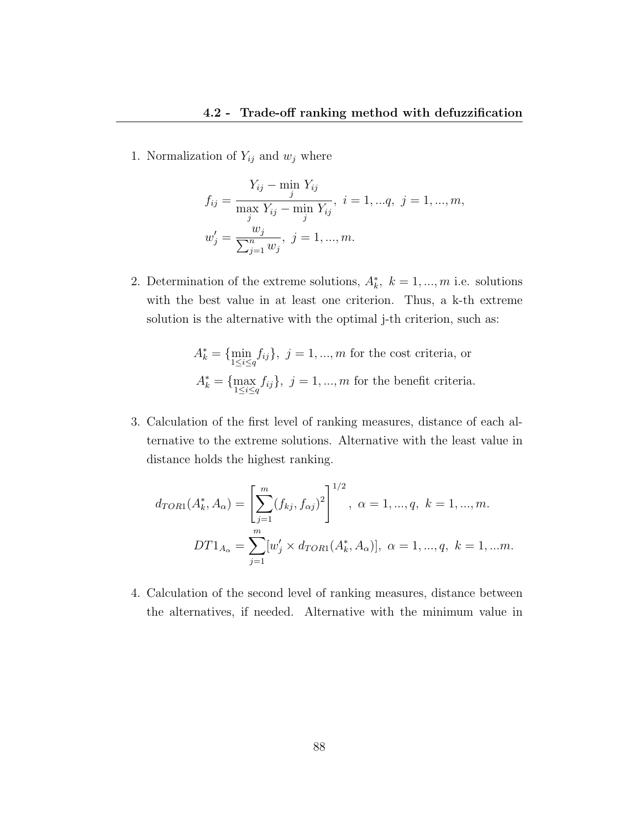1. Normalization of  $Y_{ij}$  and  $w_j$  where

$$
f_{ij} = \frac{Y_{ij} - \min_{j} Y_{ij}}{\max_{j} Y_{ij} - \min_{j} Y_{ij}}, \quad i = 1, ..., q, \quad j = 1, ..., m,
$$

$$
w'_{j} = \frac{w_{j}}{\sum_{j=1}^{n} w_{j}}, \quad j = 1, ..., m.
$$

2. Determination of the extreme solutions,  $A_k^*$ ,  $k = 1, ..., m$  i.e. solutions with the best value in at least one criterion. Thus, a k-th extreme solution is the alternative with the optimal j-th criterion, such as:

$$
A_k^* = \{\min_{1 \le i \le q} f_{ij}\}, \ j = 1, ..., m \text{ for the cost criteria, or}
$$

$$
A_k^* = \{\max_{1 \le i \le q} f_{ij}\}, \ j = 1, ..., m \text{ for the benefit criteria.}
$$

3. Calculation of the first level of ranking measures, distance of each alternative to the extreme solutions. Alternative with the least value in distance holds the highest ranking.

$$
d_{TOR1}(A_k^*, A_\alpha) = \left[\sum_{j=1}^m (f_{kj}, f_{\alpha j})^2\right]^{1/2}, \ \alpha = 1, ..., q, \ k = 1, ..., m.
$$

$$
DT1_{A_\alpha} = \sum_{j=1}^m [w'_j \times d_{TOR1}(A_k^*, A_\alpha)], \ \alpha = 1, ..., q, \ k = 1, ...m.
$$

4. Calculation of the second level of ranking measures, distance between the alternatives, if needed. Alternative with the minimum value in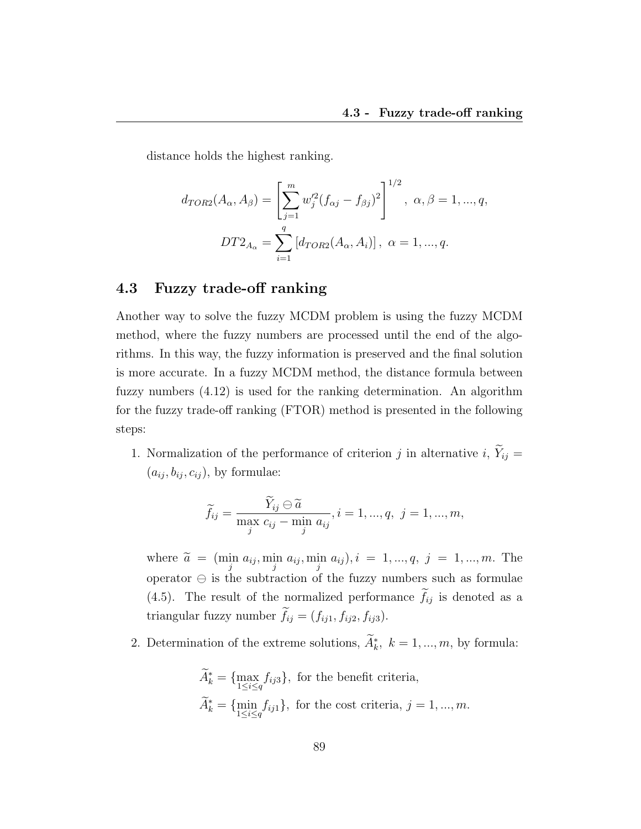distance holds the highest ranking.

$$
d_{TOR2}(A_{\alpha}, A_{\beta}) = \left[\sum_{j=1}^{m} w_j'^2 (f_{\alpha j} - f_{\beta j})^2\right]^{1/2}, \ \alpha, \beta = 1, ..., q,
$$
  

$$
DT2_{A_{\alpha}} = \sum_{i=1}^{q} \left[d_{TOR2}(A_{\alpha}, A_i)\right], \ \alpha = 1, ..., q.
$$

#### 4.3 Fuzzy trade-off ranking

Another way to solve the fuzzy MCDM problem is using the fuzzy MCDM method, where the fuzzy numbers are processed until the end of the algorithms. In this way, the fuzzy information is preserved and the final solution is more accurate. In a fuzzy MCDM method, the distance formula between fuzzy numbers (4.12) is used for the ranking determination. An algorithm for the fuzzy trade-off ranking (FTOR) method is presented in the following steps:

1. Normalization of the performance of criterion j in alternative i,  $\widetilde{Y}_{ij} =$  $(a_{ij}, b_{ij}, c_{ij})$ , by formulae:

$$
\widetilde{f}_{ij} = \frac{\widetilde{Y}_{ij} \ominus \widetilde{a}}{\max_{j} c_{ij} - \min_{j} a_{ij}}, i = 1, ..., q, \ j = 1, ..., m,
$$

where  $\tilde{a} = (\min_{j} a_{ij}, \min_{j} a_{ij}, \min_{j} a_{ij}), i = 1, ..., q, j = 1, ..., m$ . The operator  $\ominus$  is the subtraction of the fuzzy numbers such as formulae (4.5). The result of the normalized performance  $\tilde{f}_{ij}$  is denoted as a triangular fuzzy number  $\tilde{f}_{ij} = (f_{ij1}, f_{ij2}, f_{ij3}).$ 

2. Determination of the extreme solutions,  $\tilde{A}_k^*$ ,  $k = 1, ..., m$ , by formula:

$$
\widetilde{A}_k^* = \{ \max_{1 \le i \le q} f_{ij3} \}, \text{ for the benefit criteria,}
$$
\n
$$
\widetilde{A}_k^* = \{ \min_{1 \le i \le q} f_{ij1} \}, \text{ for the cost criteria, } j = 1, ..., m.
$$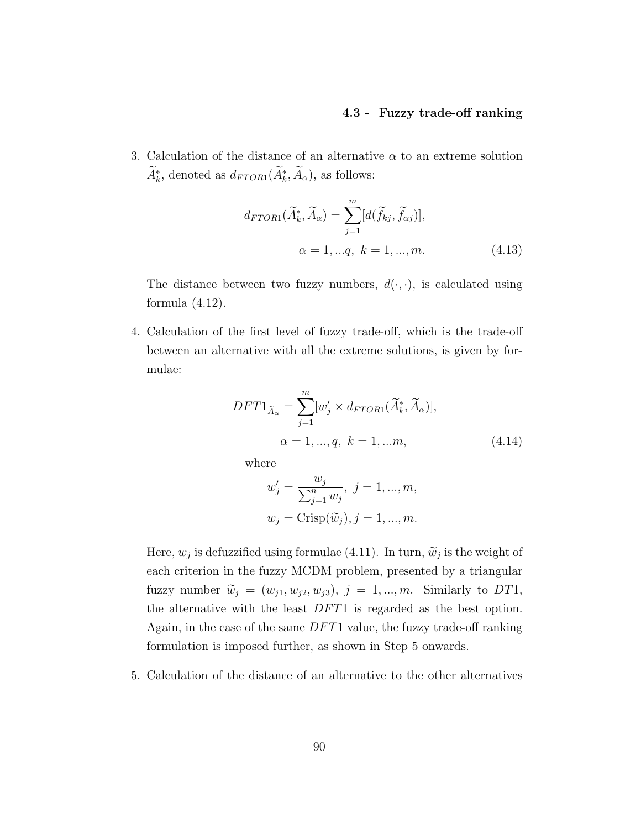3. Calculation of the distance of an alternative  $\alpha$  to an extreme solution  $A_k^*$ , denoted as  $d_{FTOR1}(\tilde{A}_k^*, \tilde{A}_\alpha)$ , as follows:

$$
d_{FTOR1}(\widetilde{A}_k^*, \widetilde{A}_\alpha) = \sum_{j=1}^m [d(\widetilde{f}_{kj}, \widetilde{f}_{\alpha j})],
$$
  

$$
\alpha = 1, ..., q, \ k = 1, ..., m.
$$
 (4.13)

The distance between two fuzzy numbers,  $d(\cdot, \cdot)$ , is calculated using formula  $(4.12)$ .

4. Calculation of the first level of fuzzy trade-off, which is the trade-off between an alternative with all the extreme solutions, is given by formulae:

$$
DFT1_{\widetilde{A}_{\alpha}} = \sum_{j=1}^{m} [w'_j \times d_{FTOR1}(\widetilde{A}_k^*, \widetilde{A}_{\alpha})],
$$
  

$$
\alpha = 1, ..., q, \ k = 1, ...m,
$$
 (4.14)

where

$$
w'_{j} = \frac{w_{j}}{\sum_{j=1}^{n} w_{j}}, \ j = 1, ..., m,
$$
  

$$
w_{j} = \text{Crisp}(\widetilde{w}_{j}), j = 1, ..., m.
$$

Here,  $w_j$  is defuzzified using formulae (4.11). In turn,  $\widetilde{w}_j$  is the weight of each criterion in the fuzzy MCDM problem, presented by a triangular fuzzy number  $\widetilde{w}_j = (w_{j1}, w_{j2}, w_{j3}), j = 1, ..., m$ . Similarly to DT1, the alternative with the least  $DFT1$  is regarded as the best option. Again, in the case of the same  $DFT1$  value, the fuzzy trade-off ranking formulation is imposed further, as shown in Step 5 onwards.

5. Calculation of the distance of an alternative to the other alternatives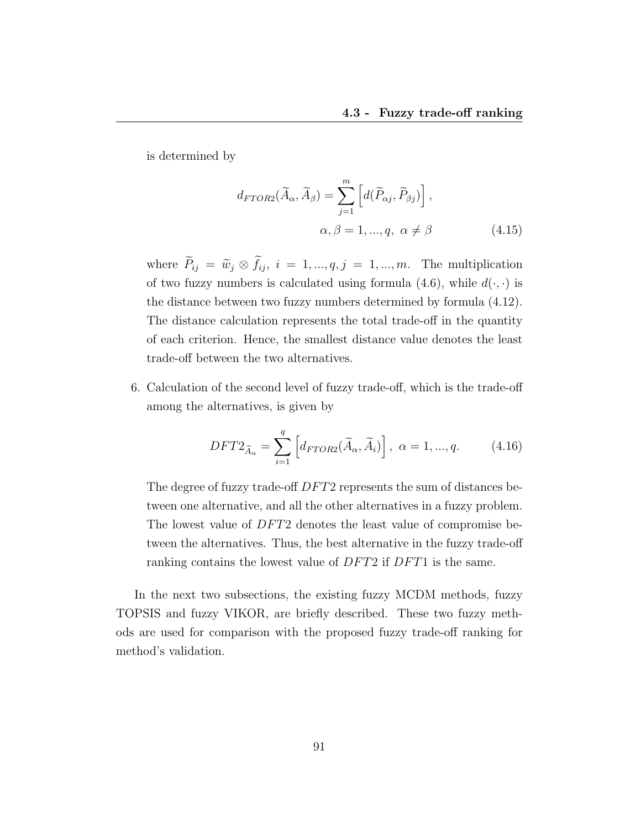is determined by

$$
d_{FTOR2}(\widetilde{A}_{\alpha}, \widetilde{A}_{\beta}) = \sum_{j=1}^{m} \left[ d(\widetilde{P}_{\alpha j}, \widetilde{P}_{\beta j}) \right],
$$
  

$$
\alpha, \beta = 1, ..., q, \ \alpha \neq \beta \tag{4.15}
$$

where  $\widetilde{P}_{ij} = \widetilde{w}_j \otimes \widetilde{f}_{ij}, i = 1, ..., q, j = 1, ..., m$ . The multiplication of two fuzzy numbers is calculated using formula (4.6), while  $d(\cdot, \cdot)$  is the distance between two fuzzy numbers determined by formula (4.12). The distance calculation represents the total trade-off in the quantity of each criterion. Hence, the smallest distance value denotes the least trade-off between the two alternatives.

6. Calculation of the second level of fuzzy trade-off, which is the trade-off among the alternatives, is given by

$$
DFT2_{\widetilde{A}_{\alpha}} = \sum_{i=1}^{q} \left[ d_{FTOR2}(\widetilde{A}_{\alpha}, \widetilde{A}_{i}) \right], \ \alpha = 1, ..., q. \tag{4.16}
$$

The degree of fuzzy trade-off  $DFT2$  represents the sum of distances between one alternative, and all the other alternatives in a fuzzy problem. The lowest value of DFT2 denotes the least value of compromise between the alternatives. Thus, the best alternative in the fuzzy trade-off ranking contains the lowest value of DFT2 if DFT1 is the same.

In the next two subsections, the existing fuzzy MCDM methods, fuzzy TOPSIS and fuzzy VIKOR, are briefly described. These two fuzzy methods are used for comparison with the proposed fuzzy trade-off ranking for method's validation.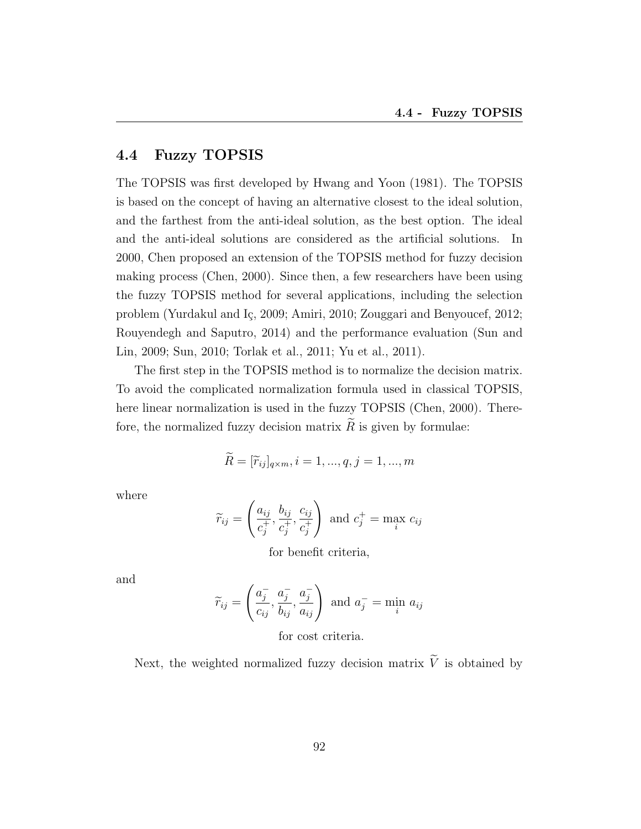## 4.4 Fuzzy TOPSIS

The TOPSIS was first developed by Hwang and Yoon (1981). The TOPSIS is based on the concept of having an alternative closest to the ideal solution, and the farthest from the anti-ideal solution, as the best option. The ideal and the anti-ideal solutions are considered as the artificial solutions. In 2000, Chen proposed an extension of the TOPSIS method for fuzzy decision making process (Chen, 2000). Since then, a few researchers have been using the fuzzy TOPSIS method for several applications, including the selection problem (Yurdakul and Iç, 2009; Amiri, 2010; Zouggari and Benyoucef, 2012; Rouyendegh and Saputro, 2014) and the performance evaluation (Sun and Lin, 2009; Sun, 2010; Torlak et al., 2011; Yu et al., 2011).

The first step in the TOPSIS method is to normalize the decision matrix. To avoid the complicated normalization formula used in classical TOPSIS, here linear normalization is used in the fuzzy TOPSIS (Chen, 2000). Therefore, the normalized fuzzy decision matrix  $R$  is given by formulae:

$$
\widetilde{R} = [\widetilde{r}_{ij}]_{q \times m}, i = 1, ..., q, j = 1, ..., m
$$

where

$$
\widetilde{r}_{ij} = \left(\frac{a_{ij}}{c_j^+}, \frac{b_{ij}}{c_j^+}, \frac{c_{ij}}{c_j^+}\right) \text{ and } c_j^+ = \max_i c_{ij}
$$

for benefit criteria,

and

$$
\widetilde{r}_{ij} = \left(\frac{a_j^-}{c_{ij}}, \frac{a_j^-}{b_{ij}}, \frac{a_j^-}{a_{ij}}\right) \text{ and } a_j^- = \min_i a_{ij}
$$

for cost criteria.

Next, the weighted normalized fuzzy decision matrix  $\widetilde{V}$  is obtained by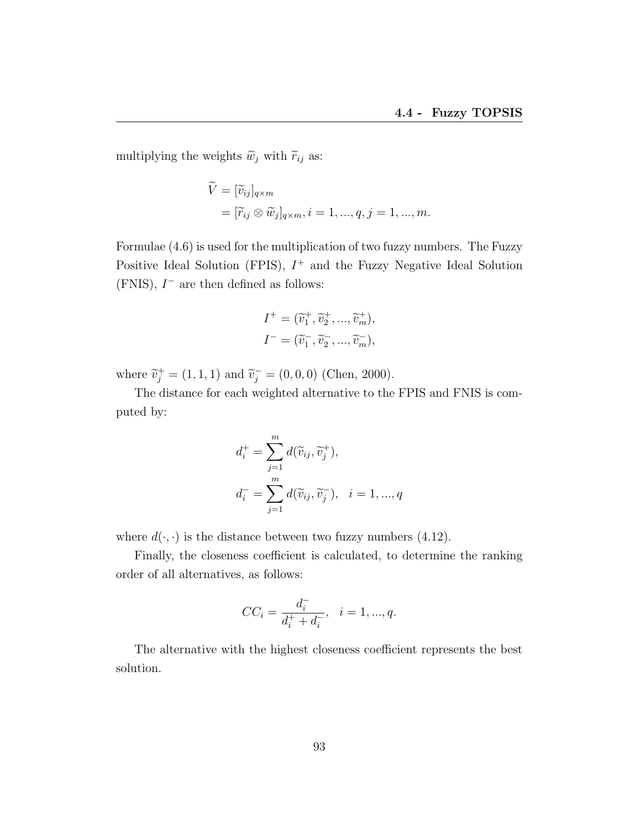multiplying the weights  $\widetilde{w}_j$  with  $\widetilde{r}_{ij}$  as:

$$
\widetilde{V} = [\widetilde{v}_{ij}]_{q \times m}
$$
  
=  $[\widetilde{r}_{ij} \otimes \widetilde{w}_j]_{q \times m}, i = 1, ..., q, j = 1, ..., m.$ 

Formulae (4.6) is used for the multiplication of two fuzzy numbers. The Fuzzy Positive Ideal Solution (FPIS),  $I^+$  and the Fuzzy Negative Ideal Solution  $(FNIS)$ ,  $I^-$  are then defined as follows:

$$
I^+ = (\widetilde{v}_1^+, \widetilde{v}_2^+, ..., \widetilde{v}_m^+),
$$
  

$$
I^- = (\widetilde{v}_1^-, \widetilde{v}_2^-, ..., \widetilde{v}_m^-),
$$

where  $\tilde{v}_j^+ = (1, 1, 1)$  and  $\tilde{v}_j^- = (0, 0, 0)$  (Chen, 2000).

The distance for each weighted alternative to the FPIS and FNIS is computed by:

$$
d_i^+ = \sum_{j=1}^m d(\widetilde{v}_{ij}, \widetilde{v}_j^+),
$$
  

$$
d_i^- = \sum_{j=1}^m d(\widetilde{v}_{ij}, \widetilde{v}_j^-), \quad i = 1, ..., q
$$

where  $d(\cdot, \cdot)$  is the distance between two fuzzy numbers (4.12).

Finally, the closeness coefficient is calculated, to determine the ranking order of all alternatives, as follows:

$$
CC_i = \frac{d_i^-}{d_i^+ + d_i^-}, \quad i = 1, ..., q.
$$

The alternative with the highest closeness coefficient represents the best solution.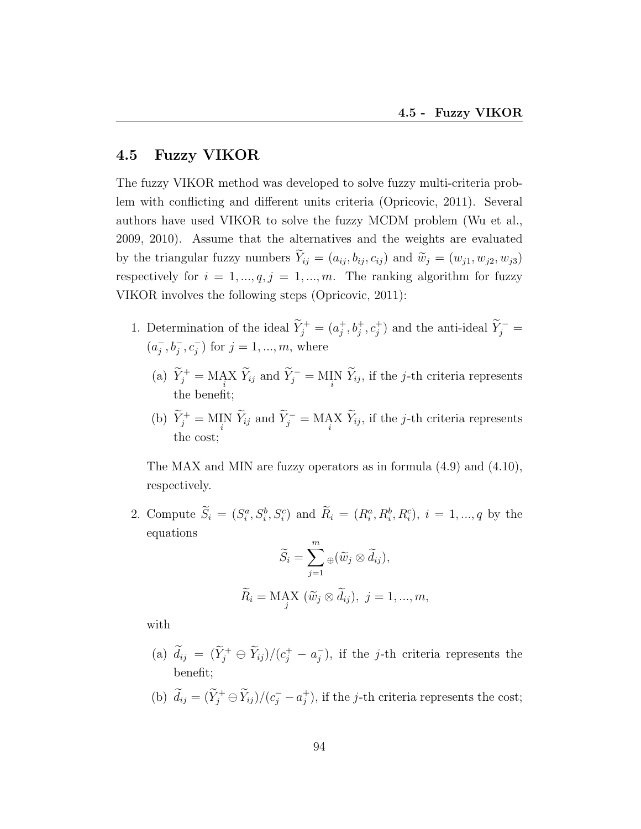## 4.5 Fuzzy VIKOR

The fuzzy VIKOR method was developed to solve fuzzy multi-criteria problem with conflicting and different units criteria (Opricovic, 2011). Several authors have used VIKOR to solve the fuzzy MCDM problem (Wu et al., 2009, 2010). Assume that the alternatives and the weights are evaluated by the triangular fuzzy numbers  $\widetilde{Y}_{ij} = (a_{ij}, b_{ij}, c_{ij})$  and  $\widetilde{w}_j = (w_{j1}, w_{j2}, w_{j3})$ respectively for  $i = 1, ..., q, j = 1, ..., m$ . The ranking algorithm for fuzzy VIKOR involves the following steps (Opricovic, 2011):

- 1. Determination of the ideal  $\widetilde{Y}_j^+ = (a_j^+)$  $j^+, b_j^+, c_j^+$  and the anti-ideal  $\widetilde{Y}_j^-$  =  $(a_i^ _j^-, b_j^-, c_j^-$  for  $j = 1, ..., m$ , where
	- (a)  $\widetilde{Y}_j^+ = \text{MAX} \ \widetilde{Y}_{ij}$  and  $\widetilde{Y}_j^- = \text{MIN} \ \widetilde{Y}_{ij}$ , if the *j*-th criteria represents the benefit;
	- (b)  $\widetilde{Y}_j^+ = \text{MIN} \ \widetilde{Y}_{ij}$  and  $\widetilde{Y}_j^- = \text{MAX} \ \widetilde{Y}_{ij}$ , if the *j*-th criteria represents the cost;

The MAX and MIN are fuzzy operators as in formula (4.9) and (4.10), respectively.

2. Compute  $\tilde{S}_i = (S_i^a, S_i^b, S_i^c)$  and  $\tilde{R}_i = (R_i^a, R_i^b, R_i^c), i = 1, ..., q$  by the equations  $\overline{m}$ 

$$
\widetilde{S}_i = \sum_{j=1}^m \oplus (\widetilde{w}_j \otimes \widetilde{d}_{ij}),
$$
  

$$
\widetilde{R}_i = \text{MAX } (\widetilde{w}_j \otimes \widetilde{d}_{ij}), \ j = 1, ..., m,
$$

with

- (a)  $\tilde{d}_{ij} = (\tilde{Y}_j^+ \ominus \tilde{Y}_{ij})/(c_j^+ a_j^-)$  $j$ ), if the j-th criteria represents the benefit;
- (b)  $\tilde{d}_{ij} = (\tilde{Y}_j^+ \ominus \tilde{Y}_{ij})/(c_j^- a_j^+)$  $j^{\dagger}$ ), if the *j*-th criteria represents the cost;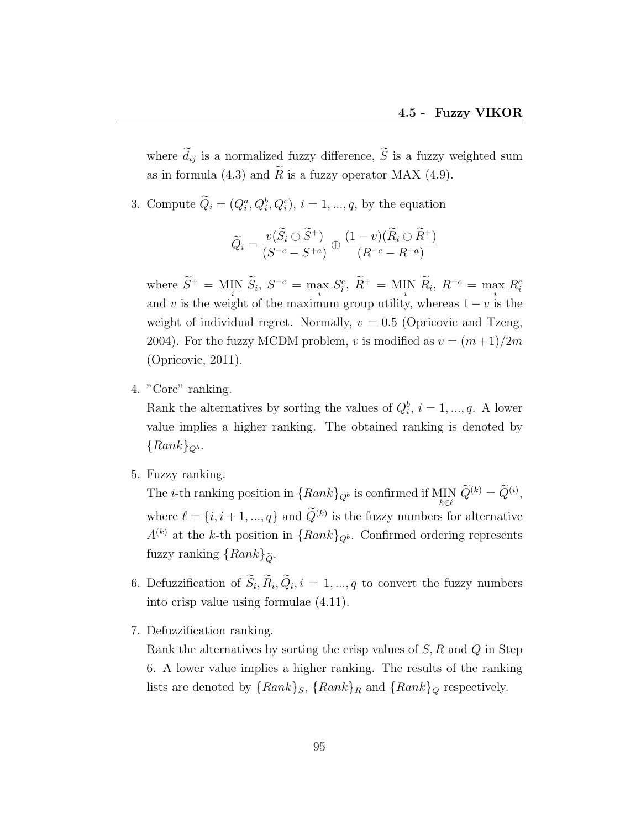where  $\widetilde{d}_{ij}$  is a normalized fuzzy difference,  $\widetilde{S}$  is a fuzzy weighted sum as in formula (4.3) and  $\tilde{R}$  is a fuzzy operator MAX (4.9).

3. Compute  $\tilde{Q}_i = (Q_i^a, Q_i^b, Q_i^c), i = 1, ..., q$ , by the equation

$$
\widetilde{Q}_i = \frac{v(\widetilde{S}_i \ominus \widetilde{S}^+)}{(S^{-c} - S^{+a})} \oplus \frac{(1 - v)(\widetilde{R}_i \ominus \widetilde{R}^+)}{(R^{-c} - R^{+a})}
$$

where  $S^+ = \text{MIN} \tilde{S}_i$ ,  $S^{-c} = \max_i S_i^c$ ,  $\tilde{R}^+ = \text{MIN} \tilde{R}_i$ ,  $R^{-c} = \max_i R_i^c$ and v is the weight of the maximum group utility, whereas  $1 - v$  is the weight of individual regret. Normally,  $v = 0.5$  (Opricovic and Tzeng, 2004). For the fuzzy MCDM problem, v is modified as  $v = (m+1)/2m$ (Opricovic, 2011).

4. "Core" ranking.

Rank the alternatives by sorting the values of  $Q_i^b$ ,  $i = 1, ..., q$ . A lower value implies a higher ranking. The obtained ranking is denoted by  ${Rank}_{Q^b}$ .

5. Fuzzy ranking.

The *i*-th ranking position in  ${Rank}_{Q^b}$  is confirmed if  $\text{MIN}_{k \in \ell} \tilde{Q}^{(k)} = \tilde{Q}^{(i)}$ , where  $\ell = \{i, i + 1, ..., q\}$  and  $\hat{Q}^{(k)}$  is the fuzzy numbers for alternative  $A^{(k)}$  at the k-th position in  ${Rank}_{Q^b}$ . Confirmed ordering represents fuzzy ranking  $\{Rank\}_{\tilde{Q}}$ .

- 6. Defuzzification of  $S_i, R_i, Q_i, i = 1, ..., q$  to convert the fuzzy numbers into crisp value using formulae (4.11).
- 7. Defuzzification ranking.

Rank the alternatives by sorting the crisp values of  $S, R$  and  $Q$  in Step 6. A lower value implies a higher ranking. The results of the ranking lists are denoted by  $\{Rank\}_S$ ,  $\{Rank\}_R$  and  $\{Rank\}_Q$  respectively.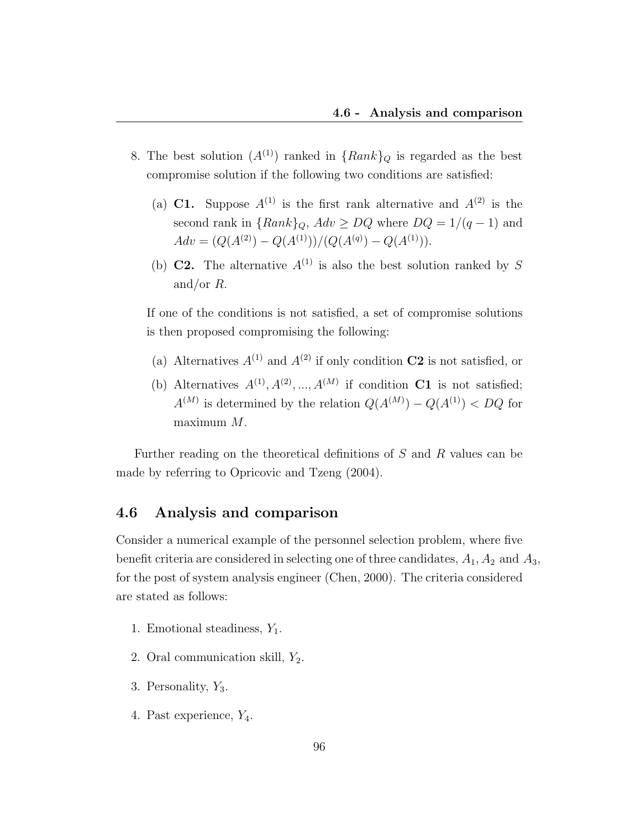- 8. The best solution  $(A^{(1)})$  ranked in  ${Rank}_Q$  is regarded as the best compromise solution if the following two conditions are satisfied:
	- (a) C1. Suppose  $A^{(1)}$  is the first rank alternative and  $A^{(2)}$  is the second rank in  ${Rank}_Q$ ,  $Adv \ge DQ$  where  $DQ = 1/(q-1)$  and  $Adv = (Q(A^{(2)}) - Q(A^{(1)}))/(Q(A^{(q)}) - Q(A^{(1)})).$
	- (b) **C2.** The alternative  $A^{(1)}$  is also the best solution ranked by S and/or R.

If one of the conditions is not satisfied, a set of compromise solutions is then proposed compromising the following:

- (a) Alternatives  $A^{(1)}$  and  $A^{(2)}$  if only condition **C2** is not satisfied, or
- (b) Alternatives  $A^{(1)}, A^{(2)}, ..., A^{(M)}$  if condition C1 is not satisfied;  $A^{(M)}$  is determined by the relation  $Q(A^{(M)}) - Q(A^{(1)}) < DQ$  for maximum M.

Further reading on the theoretical definitions of S and R values can be made by referring to Opricovic and Tzeng (2004).

## 4.6 Analysis and comparison

Consider a numerical example of the personnel selection problem, where five benefit criteria are considered in selecting one of three candidates,  $A_1$ ,  $A_2$  and  $A_3$ , for the post of system analysis engineer (Chen, 2000). The criteria considered are stated as follows:

- 1. Emotional steadiness,  $Y_1$ .
- 2. Oral communication skill,  $Y_2$ .
- 3. Personality,  $Y_3$ .
- 4. Past experience,  $Y_4$ .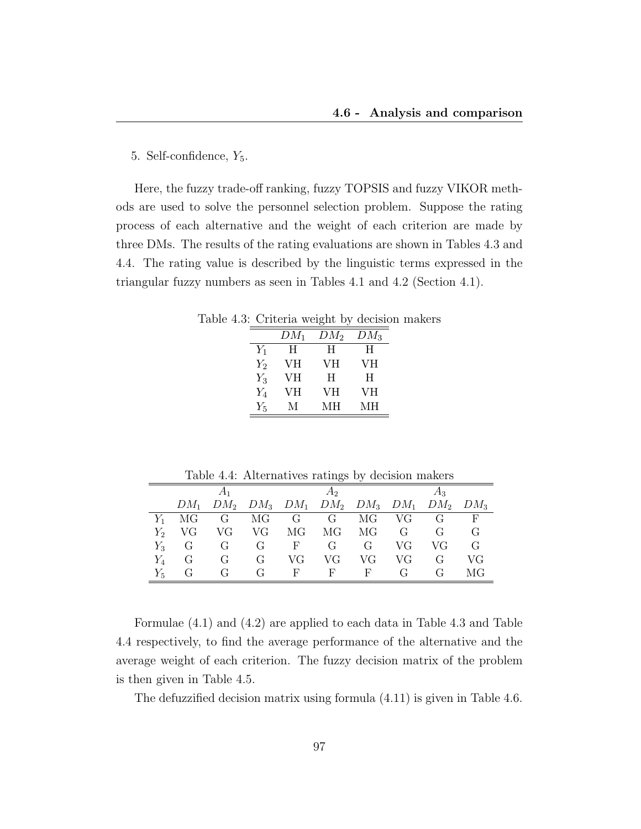#### 5. Self-confidence,  $Y_5$ .

Here, the fuzzy trade-off ranking, fuzzy TOPSIS and fuzzy VIKOR methods are used to solve the personnel selection problem. Suppose the rating process of each alternative and the weight of each criterion are made by three DMs. The results of the rating evaluations are shown in Tables 4.3 and 4.4. The rating value is described by the linguistic terms expressed in the triangular fuzzy numbers as seen in Tables 4.1 and 4.2 (Section 4.1).

Table 4.3: Criteria weight by decision makers

|       | $DM_1$ | $DM_2$ | $DM_3$ |
|-------|--------|--------|--------|
| $Y_1$ | Ħ      | H      | Ħ      |
| $Y_2$ | VH     | VН     | VН     |
| $Y_3$ | VH     | H      | H      |
| $Y_4$ | VH     | VН     | VН     |
| $Y_5$ | М      | MН     | MН     |

Table 4.4: Alternatives ratings by decision makers

|         |         |    |                  |              | $A_2$                                                   |    |      | $A_3$          |            |
|---------|---------|----|------------------|--------------|---------------------------------------------------------|----|------|----------------|------------|
|         | $DM_1$  |    |                  |              | $DM_2$ $DM_3$ $DM_1$ $DM_2$ $DM_3$ $DM_1$ $DM_2$ $DM_3$ |    |      |                |            |
|         | МG      | G  | MG               | G            | G                                                       | MG | – VG | G              | $_{\rm F}$ |
| $Y_{2}$ | VG      | VG | VG               | MG           | МG                                                      | МG | G    | G              | G          |
|         | $Y_3$ G | G  | G                | $\mathbf{F}$ | G                                                       | G  | VG   | VG             | G          |
| $Y_{4}$ | G       | G  | G                | VG           | VG                                                      | VG | VG   | G              | VG         |
| $Y_5$   | G       | G  | $\mathfrak{c}_1$ | F            | F                                                       | F  | G    | $\mathfrak{c}$ | МG         |

Formulae (4.1) and (4.2) are applied to each data in Table 4.3 and Table 4.4 respectively, to find the average performance of the alternative and the average weight of each criterion. The fuzzy decision matrix of the problem is then given in Table 4.5.

The defuzzified decision matrix using formula (4.11) is given in Table 4.6.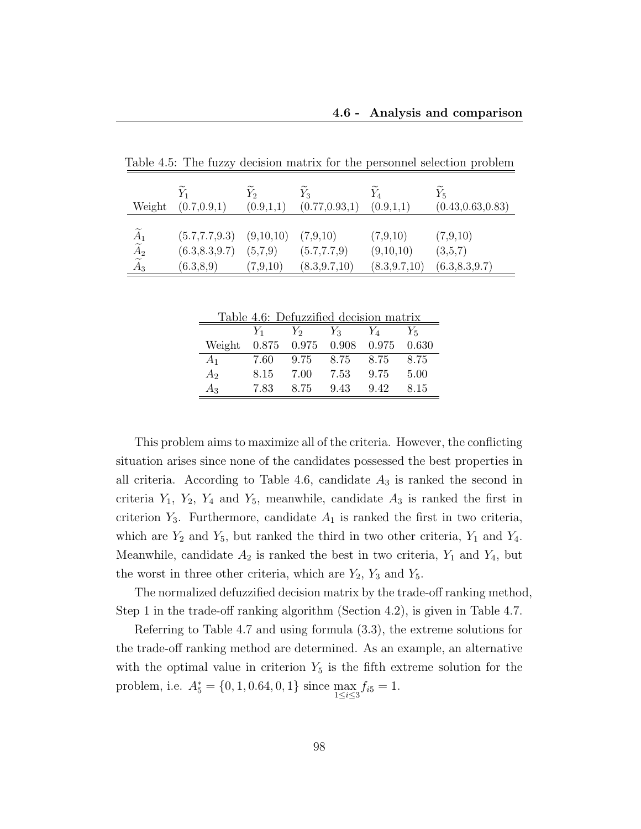| Weight                                                                          | $Y_1$<br>(0.7, 0.9, 1)                                           | $Y_2$<br>(0.9,1,1)  | $Y_3$<br>(0.77, 0.93, 1)                    | (0.9,1,1)                               | $Y_5$<br>(0.43, 0.63, 0.83)            |
|---------------------------------------------------------------------------------|------------------------------------------------------------------|---------------------|---------------------------------------------|-----------------------------------------|----------------------------------------|
| $\begin{matrix}\widetilde A_1 \\ \widetilde A_2 \\ \widetilde A_3 \end{matrix}$ | $(5.7, 7.7, 9.3)$ $(9, 10, 10)$<br>(6.3, 8.3, 9.7)<br>(6.3, 8.9) | (5,7,9)<br>(7,9,10) | (7,9,10)<br>(5.7, 7.7, 9)<br>(8.3, 9.7, 10) | (7,9,10)<br>(9,10,10)<br>(8.3, 9.7, 10) | (7,9,10)<br>(3,5,7)<br>(6.3, 8.3, 9.7) |

Table 4.5: The fuzzy decision matrix for the personnel selection problem

| Table 4.6: Defuzzified decision matrix |  |
|----------------------------------------|--|
|                                        |  |

|                | $Y_1$ | $Y_2$         | $Y_3$ | $Y_{A}$ | $Y_5$ |
|----------------|-------|---------------|-------|---------|-------|
| Weight         |       | $0.875$ 0.975 | 0.908 | 0.975   | 0.630 |
| $A_1$          | 7.60  | 9.75          | 8.75  | 8.75    | 8.75  |
| A <sub>2</sub> | 8.15  | 7.00          | 7.53  | 9.75    | 5.00  |
| $A_3$          | 7.83  | 8.75          | 9.43  | 9.42    | 8.15  |

This problem aims to maximize all of the criteria. However, the conflicting situation arises since none of the candidates possessed the best properties in all criteria. According to Table 4.6, candidate  $A_3$  is ranked the second in criteria  $Y_1$ ,  $Y_2$ ,  $Y_4$  and  $Y_5$ , meanwhile, candidate  $A_3$  is ranked the first in criterion  $Y_3$ . Furthermore, candidate  $A_1$  is ranked the first in two criteria, which are  $Y_2$  and  $Y_5$ , but ranked the third in two other criteria,  $Y_1$  and  $Y_4$ . Meanwhile, candidate  $A_2$  is ranked the best in two criteria,  $Y_1$  and  $Y_4$ , but the worst in three other criteria, which are  $Y_2$ ,  $Y_3$  and  $Y_5$ .

The normalized defuzzified decision matrix by the trade-off ranking method, Step 1 in the trade-off ranking algorithm (Section 4.2), is given in Table 4.7.

Referring to Table 4.7 and using formula (3.3), the extreme solutions for the trade-off ranking method are determined. As an example, an alternative with the optimal value in criterion  $Y_5$  is the fifth extreme solution for the problem, i.e.  $A_5^* = \{0, 1, 0.64, 0, 1\}$  since  $\max_{1 \le i \le 3} f_{i5} = 1$ .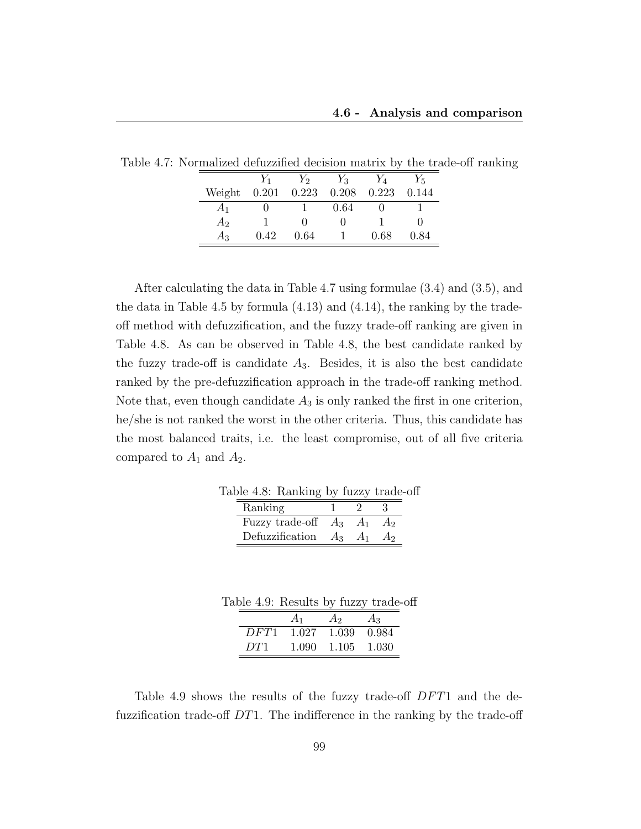|        | $Y_1$ | $Y_2$ | $Y_3$ | $Y_A$ | $Y_{5}$ |
|--------|-------|-------|-------|-------|---------|
| Weight | 0.201 | 0.223 | 0.208 | 0.223 | 0.144   |
| $A_1$  |       |       | 0.64  |       |         |
| $A_2$  |       |       |       |       |         |
| Aз     | 0.42  | 0.64  |       | 0.68  | 0.84    |

Table 4.7: Normalized defuzzified decision matrix by the trade-off ranking

After calculating the data in Table 4.7 using formulae (3.4) and (3.5), and the data in Table 4.5 by formula (4.13) and (4.14), the ranking by the tradeoff method with defuzzification, and the fuzzy trade-off ranking are given in Table 4.8. As can be observed in Table 4.8, the best candidate ranked by the fuzzy trade-off is candidate  $A_3$ . Besides, it is also the best candidate ranked by the pre-defuzzification approach in the trade-off ranking method. Note that, even though candidate  $A_3$  is only ranked the first in one criterion, he/she is not ranked the worst in the other criteria. Thus, this candidate has the most balanced traits, i.e. the least compromise, out of all five criteria compared to  $A_1$  and  $A_2$ .

| Table 4.8: Ranking by fuzzy trade-off |               |  |
|---------------------------------------|---------------|--|
| Ranking                               | $\mathcal{L}$ |  |
| Fuzzy trade-off $A_3$ $A_1$ $A_2$     |               |  |
| Defuzzification $A_3$ $A_1$ $A_2$     |               |  |

Table 4.9: Results by fuzzy trade-off

|      | $A_1$ | $A_2$       | $A_3$ |
|------|-------|-------------|-------|
| DFT1 | 1.027 | 1.039       | 0.984 |
| DT1  | 1.090 | 1.105 1.030 |       |

Table 4.9 shows the results of the fuzzy trade-off DFT1 and the defuzzification trade-off  $DT1$ . The indifference in the ranking by the trade-off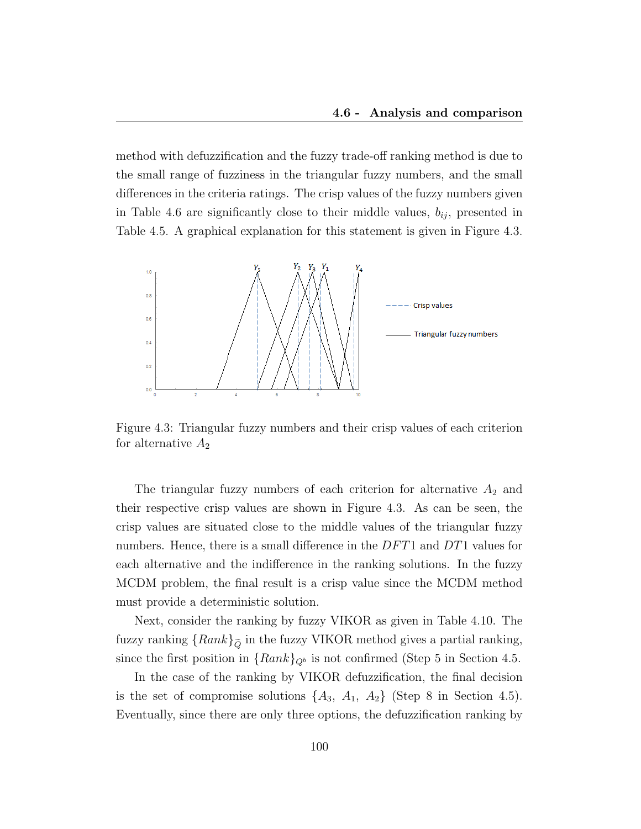method with defuzzification and the fuzzy trade-off ranking method is due to the small range of fuzziness in the triangular fuzzy numbers, and the small differences in the criteria ratings. The crisp values of the fuzzy numbers given in Table 4.6 are significantly close to their middle values,  $b_{ij}$ , presented in Table 4.5. A graphical explanation for this statement is given in Figure 4.3.



Figure 4.3: Triangular fuzzy numbers and their crisp values of each criterion for alternative  $A_2$ 

The triangular fuzzy numbers of each criterion for alternative  $A_2$  and their respective crisp values are shown in Figure 4.3. As can be seen, the crisp values are situated close to the middle values of the triangular fuzzy numbers. Hence, there is a small difference in the  $DFT1$  and  $DT1$  values for each alternative and the indifference in the ranking solutions. In the fuzzy MCDM problem, the final result is a crisp value since the MCDM method must provide a deterministic solution.

Next, consider the ranking by fuzzy VIKOR as given in Table 4.10. The fuzzy ranking  $\{Rank\}_{\tilde{Q}}$  in the fuzzy VIKOR method gives a partial ranking, since the first position in  ${Rank}_{Q^b}$  is not confirmed (Step 5 in Section 4.5.

In the case of the ranking by VIKOR defuzzification, the final decision is the set of compromise solutions  $\{A_3, A_1, A_2\}$  (Step 8 in Section 4.5). Eventually, since there are only three options, the defuzzification ranking by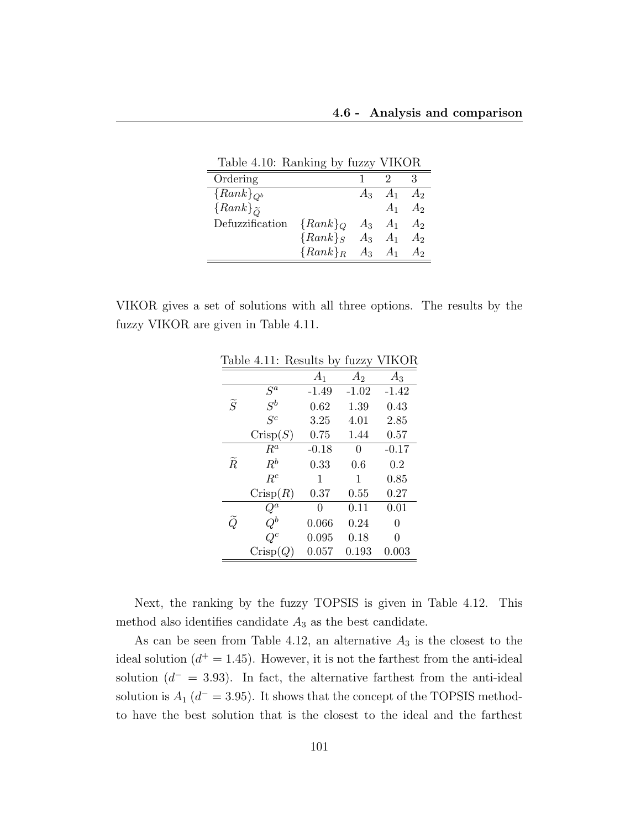Table 4.10: Ranking by fuzzy VIKOR

| Ordering             |                              |                 |                 |
|----------------------|------------------------------|-----------------|-----------------|
| ${Rank}_{Q^b}$       |                              | $A_3$ $A_1$     | A <sub>2</sub>  |
| ${Rank}_{\tilde{O}}$ |                              |                 | $A_1 \quad A_2$ |
| Defuzzification      | ${Rank}_Q$                   | $A_3 \quad A_1$ | A <sub>2</sub>  |
|                      | ${Rank}_S$ $A_3$ $A_1$       |                 | A <sub>2</sub>  |
|                      | ${Rank}_R$ $A_3$ $A_1$ $A_2$ |                 |                 |

VIKOR gives a set of solutions with all three options. The results by the fuzzy VIKOR are given in Table 4.11.

| ⊥ധ∪⊥            | <b>T.LL.</b> | Tropatup Dy    | russy   | 11 LV 11 |
|-----------------|--------------|----------------|---------|----------|
|                 |              | A <sub>1</sub> | $A_2$   | $A_3$    |
|                 | $S^a$        | $-1.49$        | $-1.02$ | $-1.42$  |
| $\widetilde{S}$ | $S^b$        | 0.62           | 1.39    | 0.43     |
|                 | $S^c$        | 3.25           | 4.01    | 2.85     |
|                 | Crisp(S)     | 0.75           | 1.44    | 0.57     |
|                 | $R^a$        | $-0.18$        | 0       | $-0.17$  |
| $\widetilde{R}$ | $R^b$        | 0.33           | $0.6\,$ | 0.2      |
|                 | $R^c$        | 1              | 1       | 0.85     |
|                 | Crisp(R)     | 0.37           | 0.55    | 0.27     |
|                 | ${\cal Q}^a$ | 0              | 0.11    | 0.01     |
| $\widetilde{Q}$ | $Q^b$        | 0.066          | 0.24    | 0        |
|                 | $Q^c$        | 0.095          | 0.18    | 0        |
|                 | Crisp(Q)     | 0.057          | 0.193   | 0.003    |
|                 |              |                |         |          |

Table 4.11: Results by fuzzy VIKOR

Next, the ranking by the fuzzy TOPSIS is given in Table 4.12. This method also identifies candidate  $A_3$  as the best candidate.

As can be seen from Table 4.12, an alternative  $A_3$  is the closest to the ideal solution  $(d^+ = 1.45)$ . However, it is not the farthest from the anti-ideal solution  $(d^- = 3.93)$ . In fact, the alternative farthest from the anti-ideal solution is  $A_1$  ( $d^-$  = 3.95). It shows that the concept of the TOPSIS methodto have the best solution that is the closest to the ideal and the farthest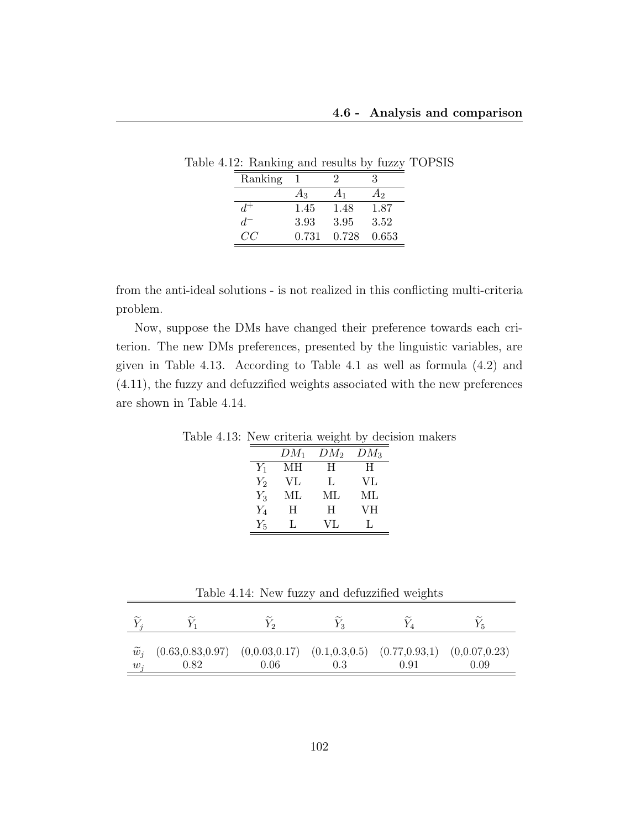| Ranking |       |       |       |
|---------|-------|-------|-------|
|         | $A_3$ | $A_1$ | Aэ    |
|         | 1.45  | 1.48  | 1.87  |
| d.      | 3.93  | 3.95  | 3.52  |
| CC.     | 0.731 | 0.728 | 0.653 |

Table 4.12: Ranking and results by fuzzy TOPSIS

from the anti-ideal solutions - is not realized in this conflicting multi-criteria problem.

Now, suppose the DMs have changed their preference towards each criterion. The new DMs preferences, presented by the linguistic variables, are given in Table 4.13. According to Table 4.1 as well as formula (4.2) and (4.11), the fuzzy and defuzzified weights associated with the new preferences are shown in Table 4.14.

Table 4.13: New criteria weight by decision makers

|       |        | . .    |        |
|-------|--------|--------|--------|
|       | $DM_1$ | $DM_2$ | $DM_3$ |
| $Y_1$ | MН     | H      | H      |
| $Y_2$ | VL     | L.     | VL     |
| $Y_3$ | МL     | МL     | ML     |
| $Y_4$ | H      | H      | VН     |
| $Y_5$ | Ι.     | VL     |        |

|                   | Table 4.14: New fuzzy and defuzzified weights                                                |      |     |      |      |  |  |
|-------------------|----------------------------------------------------------------------------------------------|------|-----|------|------|--|--|
|                   |                                                                                              |      |     |      |      |  |  |
| $\widetilde{w}_i$ | $(0.63, 0.83, 0.97)$ $(0, 0.03, 0.17)$ $(0.1, 0.3, 0.5)$ $(0.77, 0.93, 1)$ $(0, 0.07, 0.23)$ |      |     |      |      |  |  |
| $w_i$             | 0.82                                                                                         | 0.06 | 0.3 | 0.91 | 0.09 |  |  |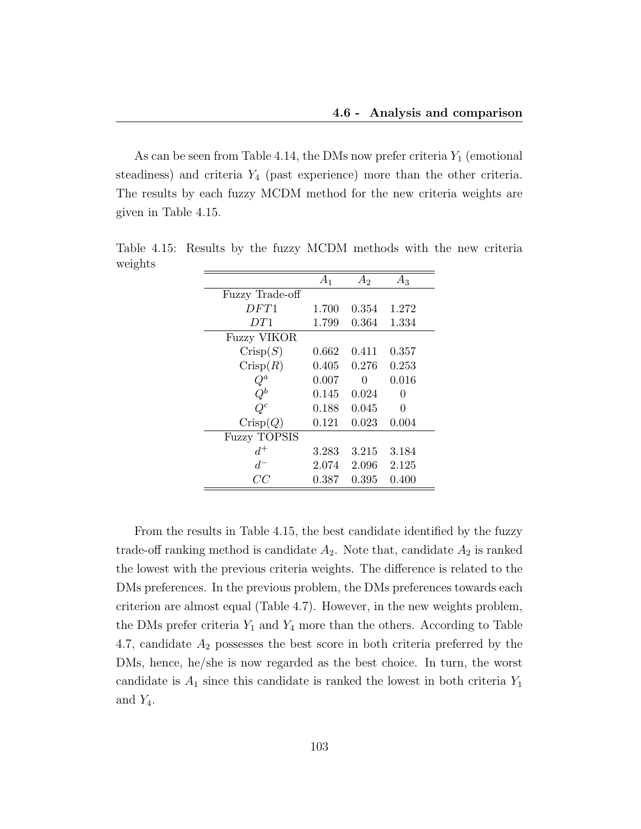As can be seen from Table 4.14, the DMs now prefer criteria  $Y_1$  (emotional steadiness) and criteria  $Y_4$  (past experience) more than the other criteria. The results by each fuzzy MCDM method for the new criteria weights are given in Table 4.15.

|                     | $A_1$ | A <sub>2</sub> | А3           |
|---------------------|-------|----------------|--------------|
| Fuzzy Trade-off     |       |                |              |
| DFT1                | 1.700 | 0.354          | 1.272        |
| DT1                 | 1.799 | 0.364          | 1.334        |
| <b>Fuzzy VIKOR</b>  |       |                |              |
| Crisp(S)            | 0.662 | 0.411          | 0.357        |
| Crisp(R)            | 0.405 | 0.276          | 0.253        |
| $Q^a$               | 0.007 | 0              | 0.016        |
| ${\cal Q}^b$        | 0.145 | 0.024          | $\mathbf{0}$ |
| $Q^c$               | 0.188 | 0.045          | 0            |
| Crisp(Q)            | 0.121 | 0.023          | 0.004        |
| <b>Fuzzy TOPSIS</b> |       |                |              |
| $d^+$               | 3.283 | 3.215          | 3.184        |
| $d^-$               | 2.074 | 2.096          | 2.125        |
| CC                  | 0.387 | 0.395          | 0.400        |

Table 4.15: Results by the fuzzy MCDM methods with the new criteria weights

From the results in Table 4.15, the best candidate identified by the fuzzy trade-off ranking method is candidate  $A_2$ . Note that, candidate  $A_2$  is ranked the lowest with the previous criteria weights. The difference is related to the DMs preferences. In the previous problem, the DMs preferences towards each criterion are almost equal (Table 4.7). However, in the new weights problem, the DMs prefer criteria  $Y_1$  and  $Y_4$  more than the others. According to Table 4.7, candidate  $A_2$  possesses the best score in both criteria preferred by the DMs, hence, he/she is now regarded as the best choice. In turn, the worst candidate is  $A_1$  since this candidate is ranked the lowest in both criteria  $Y_1$ and  $Y_4$ .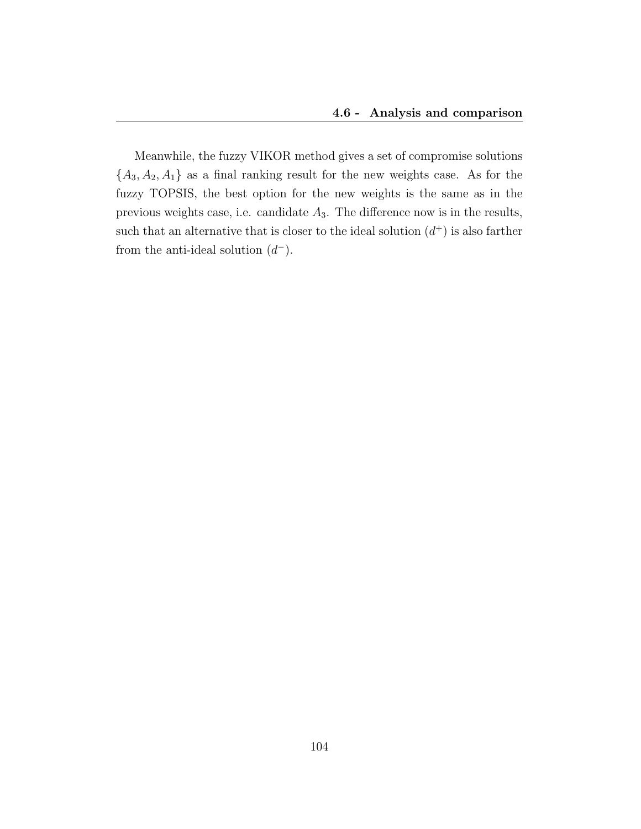Meanwhile, the fuzzy VIKOR method gives a set of compromise solutions  ${A_3, A_2, A_1}$  as a final ranking result for the new weights case. As for the fuzzy TOPSIS, the best option for the new weights is the same as in the previous weights case, i.e. candidate  $A_3$ . The difference now is in the results, such that an alternative that is closer to the ideal solution  $(d<sup>+</sup>)$  is also farther from the anti-ideal solution  $(d^-)$ .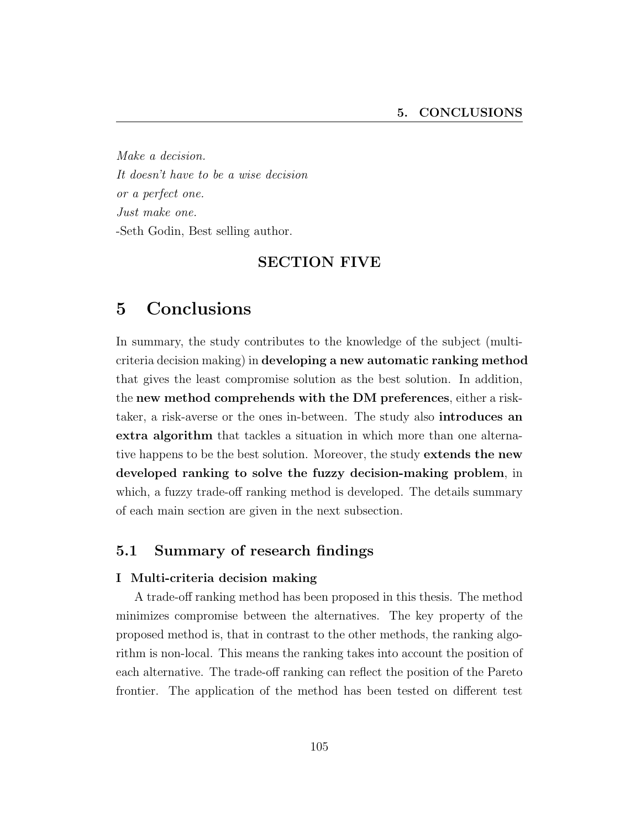Make a decision. It doesn't have to be a wise decision or a perfect one. Just make one. -Seth Godin, Best selling author.

### SECTION FIVE

# 5 Conclusions

In summary, the study contributes to the knowledge of the subject (multicriteria decision making) in developing a new automatic ranking method that gives the least compromise solution as the best solution. In addition, the new method comprehends with the DM preferences, either a risktaker, a risk-averse or the ones in-between. The study also introduces an extra algorithm that tackles a situation in which more than one alternative happens to be the best solution. Moreover, the study extends the new developed ranking to solve the fuzzy decision-making problem, in which, a fuzzy trade-off ranking method is developed. The details summary of each main section are given in the next subsection.

## 5.1 Summary of research findings

#### I Multi-criteria decision making

A trade-off ranking method has been proposed in this thesis. The method minimizes compromise between the alternatives. The key property of the proposed method is, that in contrast to the other methods, the ranking algorithm is non-local. This means the ranking takes into account the position of each alternative. The trade-off ranking can reflect the position of the Pareto frontier. The application of the method has been tested on different test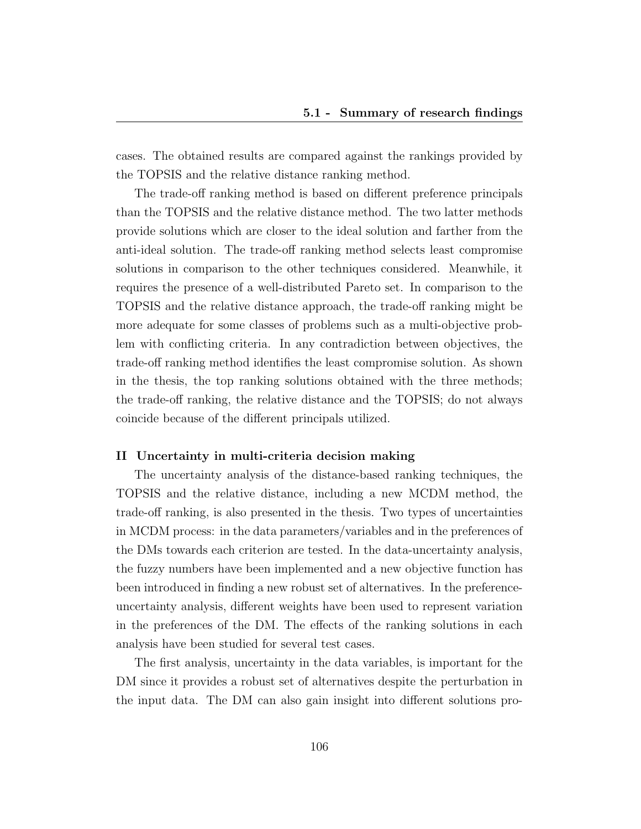cases. The obtained results are compared against the rankings provided by the TOPSIS and the relative distance ranking method.

The trade-off ranking method is based on different preference principals than the TOPSIS and the relative distance method. The two latter methods provide solutions which are closer to the ideal solution and farther from the anti-ideal solution. The trade-off ranking method selects least compromise solutions in comparison to the other techniques considered. Meanwhile, it requires the presence of a well-distributed Pareto set. In comparison to the TOPSIS and the relative distance approach, the trade-off ranking might be more adequate for some classes of problems such as a multi-objective problem with conflicting criteria. In any contradiction between objectives, the trade-off ranking method identifies the least compromise solution. As shown in the thesis, the top ranking solutions obtained with the three methods; the trade-off ranking, the relative distance and the TOPSIS; do not always coincide because of the different principals utilized.

#### II Uncertainty in multi-criteria decision making

The uncertainty analysis of the distance-based ranking techniques, the TOPSIS and the relative distance, including a new MCDM method, the trade-off ranking, is also presented in the thesis. Two types of uncertainties in MCDM process: in the data parameters/variables and in the preferences of the DMs towards each criterion are tested. In the data-uncertainty analysis, the fuzzy numbers have been implemented and a new objective function has been introduced in finding a new robust set of alternatives. In the preferenceuncertainty analysis, different weights have been used to represent variation in the preferences of the DM. The effects of the ranking solutions in each analysis have been studied for several test cases.

The first analysis, uncertainty in the data variables, is important for the DM since it provides a robust set of alternatives despite the perturbation in the input data. The DM can also gain insight into different solutions pro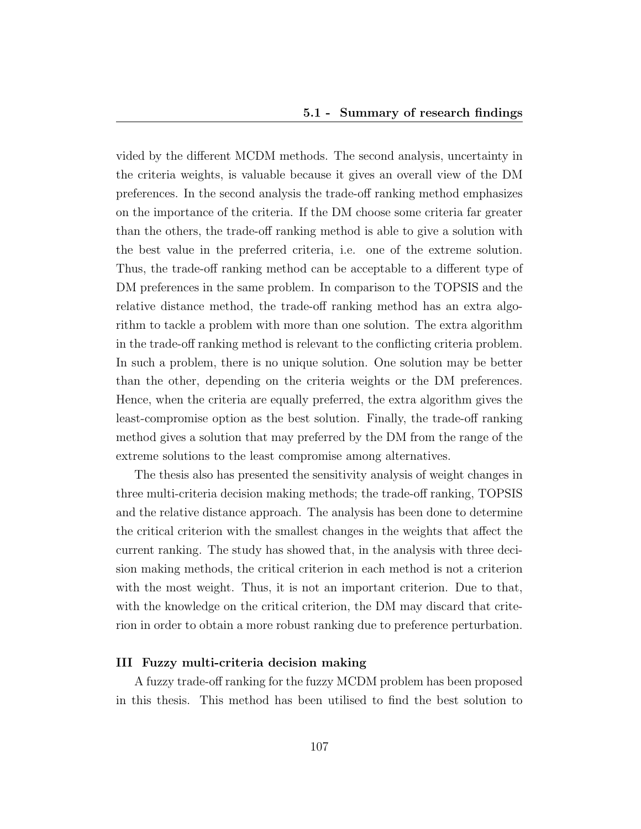vided by the different MCDM methods. The second analysis, uncertainty in the criteria weights, is valuable because it gives an overall view of the DM preferences. In the second analysis the trade-off ranking method emphasizes on the importance of the criteria. If the DM choose some criteria far greater than the others, the trade-off ranking method is able to give a solution with the best value in the preferred criteria, i.e. one of the extreme solution. Thus, the trade-off ranking method can be acceptable to a different type of DM preferences in the same problem. In comparison to the TOPSIS and the relative distance method, the trade-off ranking method has an extra algorithm to tackle a problem with more than one solution. The extra algorithm in the trade-off ranking method is relevant to the conflicting criteria problem. In such a problem, there is no unique solution. One solution may be better than the other, depending on the criteria weights or the DM preferences. Hence, when the criteria are equally preferred, the extra algorithm gives the least-compromise option as the best solution. Finally, the trade-off ranking method gives a solution that may preferred by the DM from the range of the extreme solutions to the least compromise among alternatives.

The thesis also has presented the sensitivity analysis of weight changes in three multi-criteria decision making methods; the trade-off ranking, TOPSIS and the relative distance approach. The analysis has been done to determine the critical criterion with the smallest changes in the weights that affect the current ranking. The study has showed that, in the analysis with three decision making methods, the critical criterion in each method is not a criterion with the most weight. Thus, it is not an important criterion. Due to that, with the knowledge on the critical criterion, the DM may discard that criterion in order to obtain a more robust ranking due to preference perturbation.

#### III Fuzzy multi-criteria decision making

A fuzzy trade-off ranking for the fuzzy MCDM problem has been proposed in this thesis. This method has been utilised to find the best solution to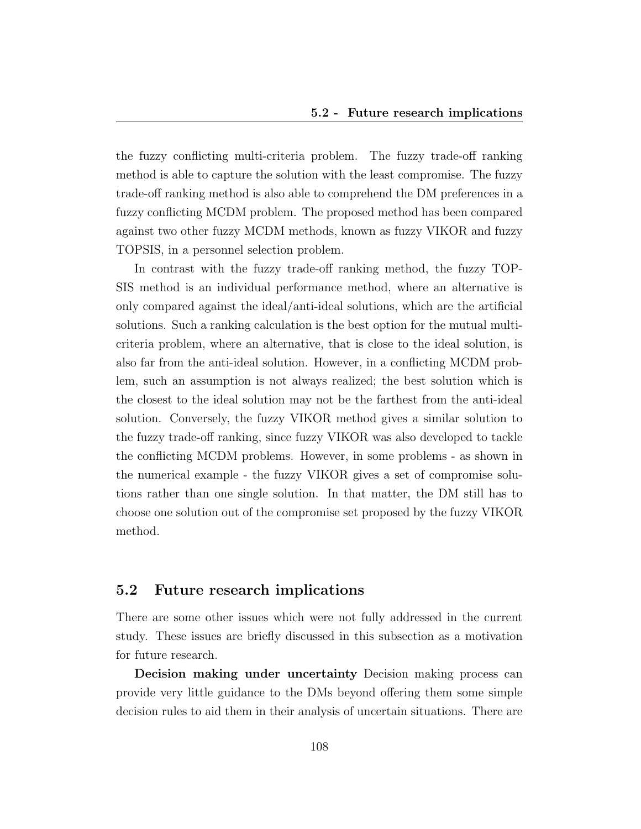the fuzzy conflicting multi-criteria problem. The fuzzy trade-off ranking method is able to capture the solution with the least compromise. The fuzzy trade-off ranking method is also able to comprehend the DM preferences in a fuzzy conflicting MCDM problem. The proposed method has been compared against two other fuzzy MCDM methods, known as fuzzy VIKOR and fuzzy TOPSIS, in a personnel selection problem.

In contrast with the fuzzy trade-off ranking method, the fuzzy TOP-SIS method is an individual performance method, where an alternative is only compared against the ideal/anti-ideal solutions, which are the artificial solutions. Such a ranking calculation is the best option for the mutual multicriteria problem, where an alternative, that is close to the ideal solution, is also far from the anti-ideal solution. However, in a conflicting MCDM problem, such an assumption is not always realized; the best solution which is the closest to the ideal solution may not be the farthest from the anti-ideal solution. Conversely, the fuzzy VIKOR method gives a similar solution to the fuzzy trade-off ranking, since fuzzy VIKOR was also developed to tackle the conflicting MCDM problems. However, in some problems - as shown in the numerical example - the fuzzy VIKOR gives a set of compromise solutions rather than one single solution. In that matter, the DM still has to choose one solution out of the compromise set proposed by the fuzzy VIKOR method.

### 5.2 Future research implications

There are some other issues which were not fully addressed in the current study. These issues are briefly discussed in this subsection as a motivation for future research.

Decision making under uncertainty Decision making process can provide very little guidance to the DMs beyond offering them some simple decision rules to aid them in their analysis of uncertain situations. There are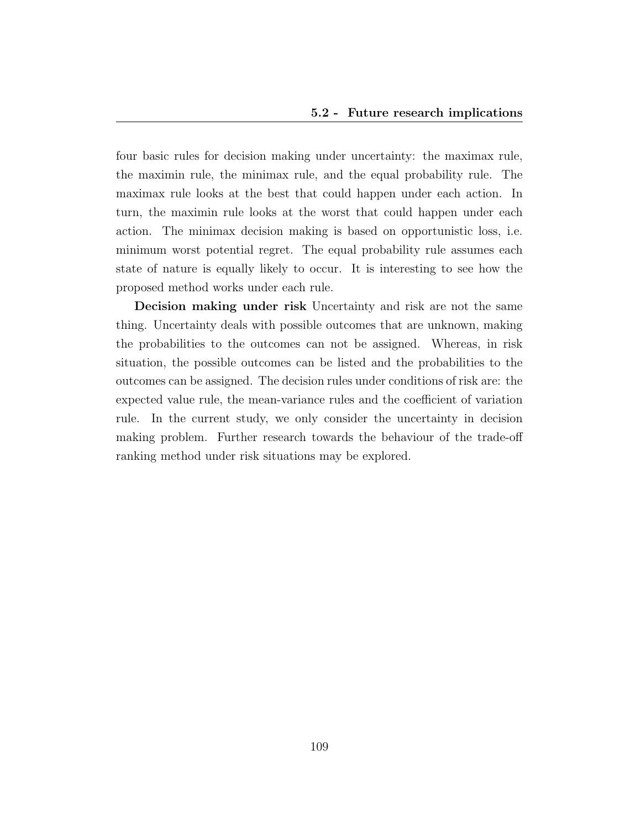four basic rules for decision making under uncertainty: the maximax rule, the maximin rule, the minimax rule, and the equal probability rule. The maximax rule looks at the best that could happen under each action. In turn, the maximin rule looks at the worst that could happen under each action. The minimax decision making is based on opportunistic loss, i.e. minimum worst potential regret. The equal probability rule assumes each state of nature is equally likely to occur. It is interesting to see how the proposed method works under each rule.

Decision making under risk Uncertainty and risk are not the same thing. Uncertainty deals with possible outcomes that are unknown, making the probabilities to the outcomes can not be assigned. Whereas, in risk situation, the possible outcomes can be listed and the probabilities to the outcomes can be assigned. The decision rules under conditions of risk are: the expected value rule, the mean-variance rules and the coefficient of variation rule. In the current study, we only consider the uncertainty in decision making problem. Further research towards the behaviour of the trade-off ranking method under risk situations may be explored.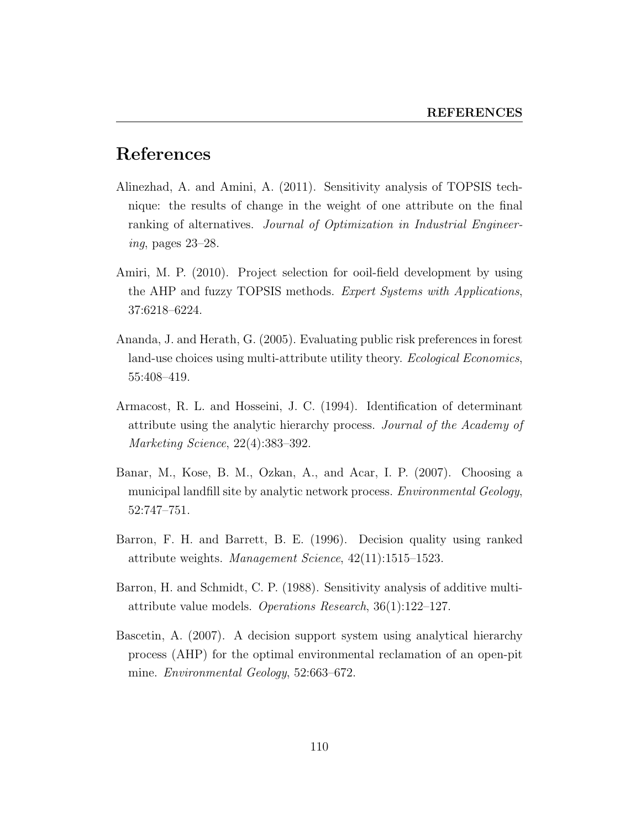## References

- Alinezhad, A. and Amini, A. (2011). Sensitivity analysis of TOPSIS technique: the results of change in the weight of one attribute on the final ranking of alternatives. Journal of Optimization in Industrial Engineering, pages 23–28.
- Amiri, M. P. (2010). Project selection for ooil-field development by using the AHP and fuzzy TOPSIS methods. Expert Systems with Applications, 37:6218–6224.
- Ananda, J. and Herath, G. (2005). Evaluating public risk preferences in forest land-use choices using multi-attribute utility theory. *Ecological Economics*, 55:408–419.
- Armacost, R. L. and Hosseini, J. C. (1994). Identification of determinant attribute using the analytic hierarchy process. Journal of the Academy of Marketing Science, 22(4):383–392.
- Banar, M., Kose, B. M., Ozkan, A., and Acar, I. P. (2007). Choosing a municipal landfill site by analytic network process. *Environmental Geology*, 52:747–751.
- Barron, F. H. and Barrett, B. E. (1996). Decision quality using ranked attribute weights. Management Science, 42(11):1515–1523.
- Barron, H. and Schmidt, C. P. (1988). Sensitivity analysis of additive multiattribute value models. Operations Research, 36(1):122–127.
- Bascetin, A. (2007). A decision support system using analytical hierarchy process (AHP) for the optimal environmental reclamation of an open-pit mine. Environmental Geology, 52:663–672.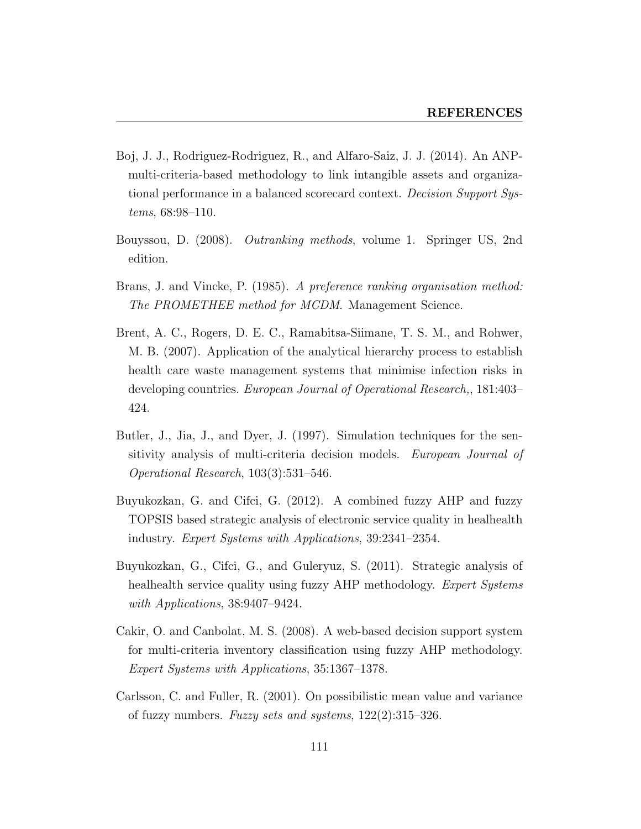- Boj, J. J., Rodriguez-Rodriguez, R., and Alfaro-Saiz, J. J. (2014). An ANPmulti-criteria-based methodology to link intangible assets and organizational performance in a balanced scorecard context. Decision Support Systems, 68:98–110.
- Bouyssou, D. (2008). Outranking methods, volume 1. Springer US, 2nd edition.
- Brans, J. and Vincke, P. (1985). A preference ranking organisation method: The PROMETHEE method for MCDM. Management Science.
- Brent, A. C., Rogers, D. E. C., Ramabitsa-Siimane, T. S. M., and Rohwer, M. B. (2007). Application of the analytical hierarchy process to establish health care waste management systems that minimise infection risks in developing countries. European Journal of Operational Research,, 181:403– 424.
- Butler, J., Jia, J., and Dyer, J. (1997). Simulation techniques for the sensitivity analysis of multi-criteria decision models. European Journal of Operational Research, 103(3):531–546.
- Buyukozkan, G. and Cifci, G. (2012). A combined fuzzy AHP and fuzzy TOPSIS based strategic analysis of electronic service quality in healhealth industry. Expert Systems with Applications, 39:2341–2354.
- Buyukozkan, G., Cifci, G., and Guleryuz, S. (2011). Strategic analysis of healhealth service quality using fuzzy AHP methodology. Expert Systems with Applications, 38:9407–9424.
- Cakir, O. and Canbolat, M. S. (2008). A web-based decision support system for multi-criteria inventory classification using fuzzy AHP methodology. Expert Systems with Applications, 35:1367–1378.
- Carlsson, C. and Fuller, R. (2001). On possibilistic mean value and variance of fuzzy numbers. Fuzzy sets and systems,  $122(2):315-326$ .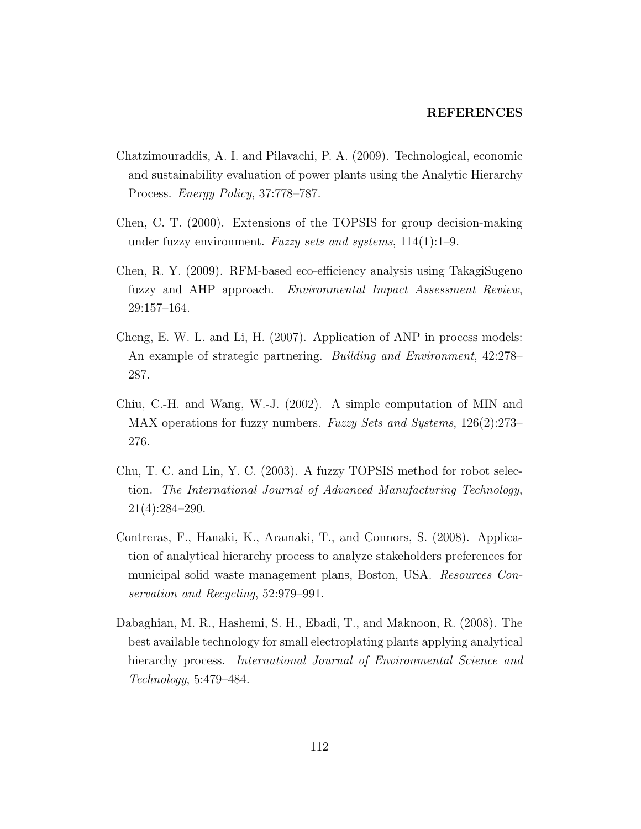- Chatzimouraddis, A. I. and Pilavachi, P. A. (2009). Technological, economic and sustainability evaluation of power plants using the Analytic Hierarchy Process. Energy Policy, 37:778–787.
- Chen, C. T. (2000). Extensions of the TOPSIS for group decision-making under fuzzy environment. Fuzzy sets and systems,  $114(1):1-9$ .
- Chen, R. Y. (2009). RFM-based eco-efficiency analysis using TakagiSugeno fuzzy and AHP approach. Environmental Impact Assessment Review, 29:157–164.
- Cheng, E. W. L. and Li, H. (2007). Application of ANP in process models: An example of strategic partnering. Building and Environment, 42:278– 287.
- Chiu, C.-H. and Wang, W.-J. (2002). A simple computation of MIN and MAX operations for fuzzy numbers. Fuzzy Sets and Systems, 126(2):273– 276.
- Chu, T. C. and Lin, Y. C. (2003). A fuzzy TOPSIS method for robot selection. The International Journal of Advanced Manufacturing Technology, 21(4):284–290.
- Contreras, F., Hanaki, K., Aramaki, T., and Connors, S. (2008). Application of analytical hierarchy process to analyze stakeholders preferences for municipal solid waste management plans, Boston, USA. Resources Conservation and Recycling, 52:979–991.
- Dabaghian, M. R., Hashemi, S. H., Ebadi, T., and Maknoon, R. (2008). The best available technology for small electroplating plants applying analytical hierarchy process. *International Journal of Environmental Science and* Technology, 5:479–484.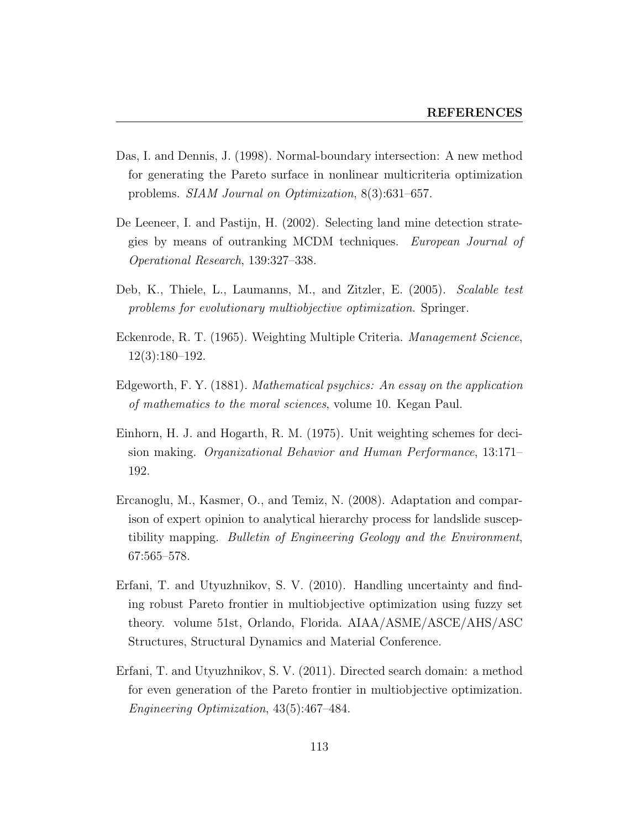- Das, I. and Dennis, J. (1998). Normal-boundary intersection: A new method for generating the Pareto surface in nonlinear multicriteria optimization problems. SIAM Journal on Optimization, 8(3):631–657.
- De Leeneer, I. and Pastijn, H. (2002). Selecting land mine detection strategies by means of outranking MCDM techniques. European Journal of Operational Research, 139:327–338.
- Deb, K., Thiele, L., Laumanns, M., and Zitzler, E. (2005). Scalable test problems for evolutionary multiobjective optimization. Springer.
- Eckenrode, R. T. (1965). Weighting Multiple Criteria. Management Science, 12(3):180–192.
- Edgeworth, F. Y. (1881). Mathematical psychics: An essay on the application of mathematics to the moral sciences, volume 10. Kegan Paul.
- Einhorn, H. J. and Hogarth, R. M. (1975). Unit weighting schemes for decision making. Organizational Behavior and Human Performance, 13:171– 192.
- Ercanoglu, M., Kasmer, O., and Temiz, N. (2008). Adaptation and comparison of expert opinion to analytical hierarchy process for landslide susceptibility mapping. Bulletin of Engineering Geology and the Environment, 67:565–578.
- Erfani, T. and Utyuzhnikov, S. V. (2010). Handling uncertainty and finding robust Pareto frontier in multiobjective optimization using fuzzy set theory. volume 51st, Orlando, Florida. AIAA/ASME/ASCE/AHS/ASC Structures, Structural Dynamics and Material Conference.
- Erfani, T. and Utyuzhnikov, S. V. (2011). Directed search domain: a method for even generation of the Pareto frontier in multiobjective optimization. Engineering Optimization, 43(5):467–484.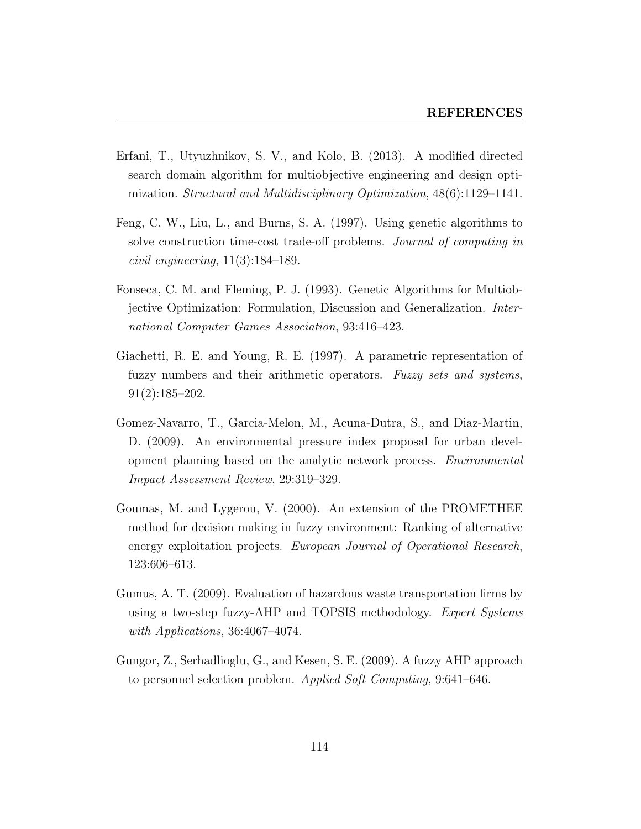- Erfani, T., Utyuzhnikov, S. V., and Kolo, B. (2013). A modified directed search domain algorithm for multiobjective engineering and design optimization. Structural and Multidisciplinary Optimization, 48(6):1129–1141.
- Feng, C. W., Liu, L., and Burns, S. A. (1997). Using genetic algorithms to solve construction time-cost trade-off problems. Journal of computing in civil engineering, 11(3):184–189.
- Fonseca, C. M. and Fleming, P. J. (1993). Genetic Algorithms for Multiobjective Optimization: Formulation, Discussion and Generalization. International Computer Games Association, 93:416–423.
- Giachetti, R. E. and Young, R. E. (1997). A parametric representation of fuzzy numbers and their arithmetic operators. Fuzzy sets and systems, 91(2):185–202.
- Gomez-Navarro, T., Garcia-Melon, M., Acuna-Dutra, S., and Diaz-Martin, D. (2009). An environmental pressure index proposal for urban development planning based on the analytic network process. Environmental Impact Assessment Review, 29:319–329.
- Goumas, M. and Lygerou, V. (2000). An extension of the PROMETHEE method for decision making in fuzzy environment: Ranking of alternative energy exploitation projects. European Journal of Operational Research, 123:606–613.
- Gumus, A. T. (2009). Evaluation of hazardous waste transportation firms by using a two-step fuzzy-AHP and TOPSIS methodology. Expert Systems with Applications, 36:4067-4074.
- Gungor, Z., Serhadlioglu, G., and Kesen, S. E. (2009). A fuzzy AHP approach to personnel selection problem. Applied Soft Computing, 9:641–646.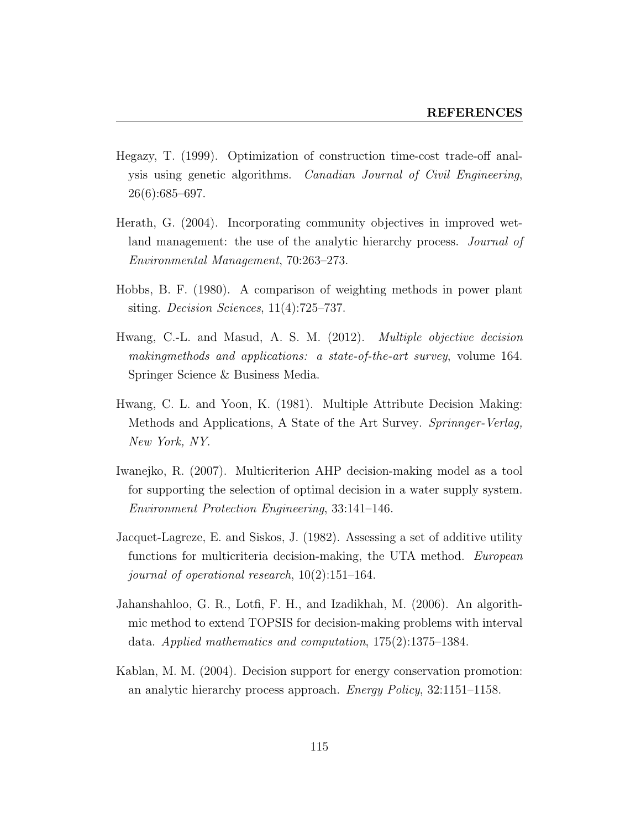- Hegazy, T. (1999). Optimization of construction time-cost trade-off analysis using genetic algorithms. Canadian Journal of Civil Engineering, 26(6):685–697.
- Herath, G. (2004). Incorporating community objectives in improved wetland management: the use of the analytic hierarchy process. *Journal of* Environmental Management, 70:263–273.
- Hobbs, B. F. (1980). A comparison of weighting methods in power plant siting. Decision Sciences,  $11(4)$ :725–737.
- Hwang, C.-L. and Masud, A. S. M. (2012). Multiple objective decision makingmethods and applications: a state-of-the-art survey, volume 164. Springer Science & Business Media.
- Hwang, C. L. and Yoon, K. (1981). Multiple Attribute Decision Making: Methods and Applications, A State of the Art Survey. Sprinnger-Verlag, New York, NY.
- Iwanejko, R. (2007). Multicriterion AHP decision-making model as a tool for supporting the selection of optimal decision in a water supply system. Environment Protection Engineering, 33:141–146.
- Jacquet-Lagreze, E. and Siskos, J. (1982). Assessing a set of additive utility functions for multicriteria decision-making, the UTA method. European journal of operational research, 10(2):151–164.
- Jahanshahloo, G. R., Lotfi, F. H., and Izadikhah, M. (2006). An algorithmic method to extend TOPSIS for decision-making problems with interval data. Applied mathematics and computation, 175(2):1375–1384.
- Kablan, M. M. (2004). Decision support for energy conservation promotion: an analytic hierarchy process approach. Energy Policy, 32:1151–1158.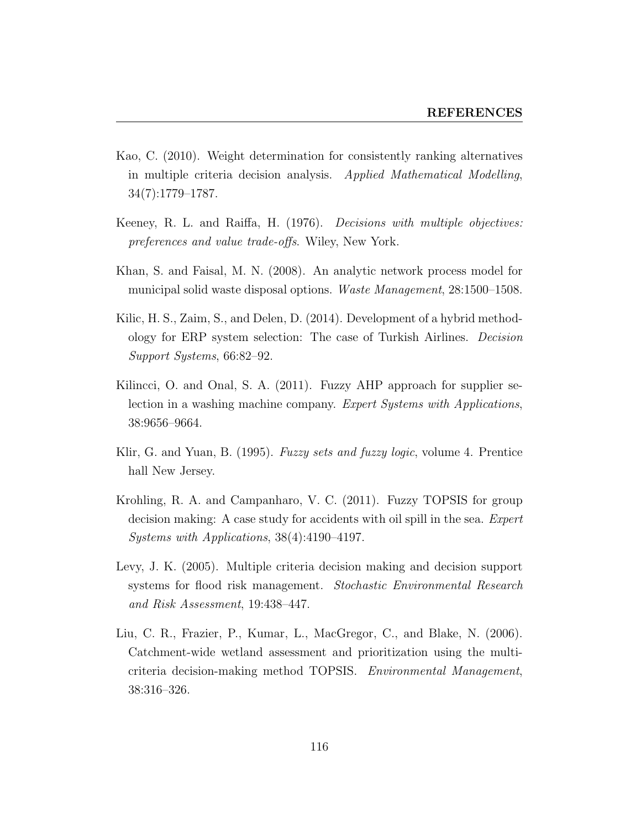- Kao, C. (2010). Weight determination for consistently ranking alternatives in multiple criteria decision analysis. Applied Mathematical Modelling, 34(7):1779–1787.
- Keeney, R. L. and Raiffa, H. (1976). Decisions with multiple objectives: preferences and value trade-offs. Wiley, New York.
- Khan, S. and Faisal, M. N. (2008). An analytic network process model for municipal solid waste disposal options. Waste Management, 28:1500–1508.
- Kilic, H. S., Zaim, S., and Delen, D. (2014). Development of a hybrid methodology for ERP system selection: The case of Turkish Airlines. Decision Support Systems, 66:82–92.
- Kilincci, O. and Onal, S. A. (2011). Fuzzy AHP approach for supplier selection in a washing machine company. Expert Systems with Applications, 38:9656–9664.
- Klir, G. and Yuan, B. (1995). *Fuzzy sets and fuzzy logic*, volume 4. Prentice hall New Jersey.
- Krohling, R. A. and Campanharo, V. C. (2011). Fuzzy TOPSIS for group decision making: A case study for accidents with oil spill in the sea. Expert Systems with Applications, 38(4):4190–4197.
- Levy, J. K. (2005). Multiple criteria decision making and decision support systems for flood risk management. Stochastic Environmental Research and Risk Assessment, 19:438–447.
- Liu, C. R., Frazier, P., Kumar, L., MacGregor, C., and Blake, N. (2006). Catchment-wide wetland assessment and prioritization using the multicriteria decision-making method TOPSIS. Environmental Management, 38:316–326.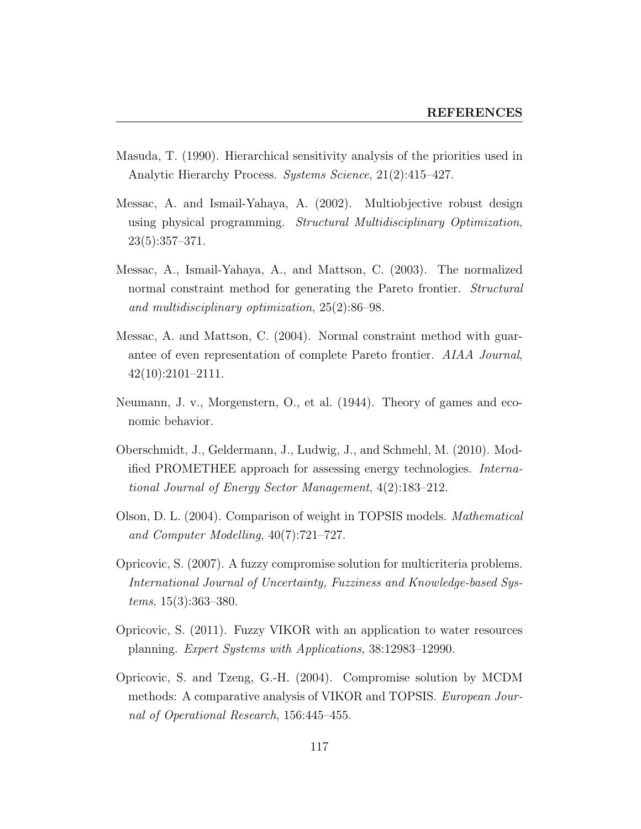- Masuda, T. (1990). Hierarchical sensitivity analysis of the priorities used in Analytic Hierarchy Process. Systems Science, 21(2):415–427.
- Messac, A. and Ismail-Yahaya, A. (2002). Multiobjective robust design using physical programming. Structural Multidisciplinary Optimization,  $23(5):357-371.$
- Messac, A., Ismail-Yahaya, A., and Mattson, C. (2003). The normalized normal constraint method for generating the Pareto frontier. *Structural* and multidisciplinary optimization, 25(2):86–98.
- Messac, A. and Mattson, C. (2004). Normal constraint method with guarantee of even representation of complete Pareto frontier. AIAA Journal, 42(10):2101–2111.
- Neumann, J. v., Morgenstern, O., et al. (1944). Theory of games and economic behavior.
- Oberschmidt, J., Geldermann, J., Ludwig, J., and Schmehl, M. (2010). Modified PROMETHEE approach for assessing energy technologies. International Journal of Energy Sector Management, 4(2):183–212.
- Olson, D. L. (2004). Comparison of weight in TOPSIS models. Mathematical and Computer Modelling, 40(7):721–727.
- Opricovic, S. (2007). A fuzzy compromise solution for multicriteria problems. International Journal of Uncertainty, Fuzziness and Knowledge-based Systems, 15(3):363–380.
- Opricovic, S. (2011). Fuzzy VIKOR with an application to water resources planning. Expert Systems with Applications, 38:12983–12990.
- Opricovic, S. and Tzeng, G.-H. (2004). Compromise solution by MCDM methods: A comparative analysis of VIKOR and TOPSIS. European Journal of Operational Research, 156:445–455.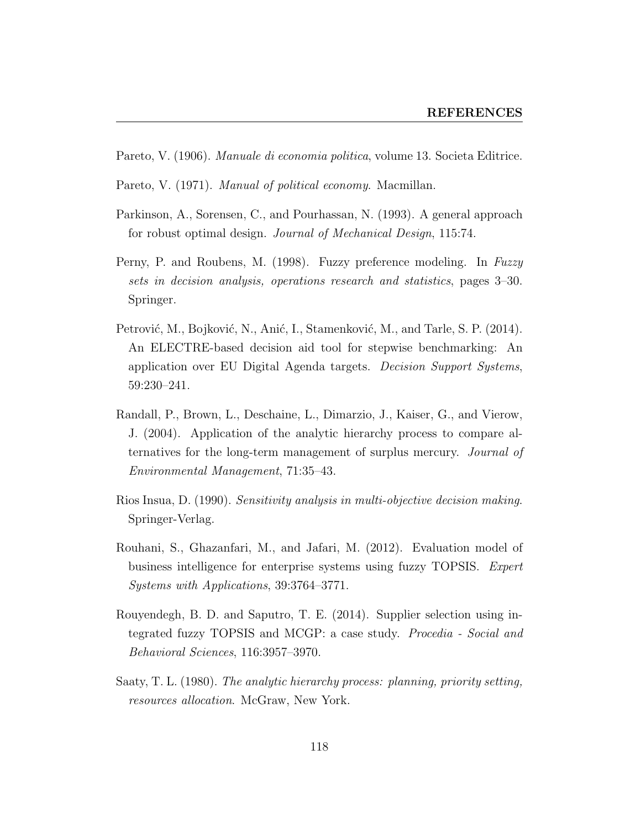- Pareto, V. (1906). Manuale di economia politica, volume 13. Societa Editrice.
- Pareto, V. (1971). Manual of political economy. Macmillan.
- Parkinson, A., Sorensen, C., and Pourhassan, N. (1993). A general approach for robust optimal design. Journal of Mechanical Design, 115:74.
- Perny, P. and Roubens, M. (1998). Fuzzy preference modeling. In Fuzzy sets in decision analysis, operations research and statistics, pages 3–30. Springer.
- Petrović, M., Bojković, N., Anić, I., Stamenković, M., and Tarle, S. P. (2014). An ELECTRE-based decision aid tool for stepwise benchmarking: An application over EU Digital Agenda targets. Decision Support Systems, 59:230–241.
- Randall, P., Brown, L., Deschaine, L., Dimarzio, J., Kaiser, G., and Vierow, J. (2004). Application of the analytic hierarchy process to compare alternatives for the long-term management of surplus mercury. Journal of Environmental Management, 71:35–43.
- Rios Insua, D. (1990). Sensitivity analysis in multi-objective decision making. Springer-Verlag.
- Rouhani, S., Ghazanfari, M., and Jafari, M. (2012). Evaluation model of business intelligence for enterprise systems using fuzzy TOPSIS. Expert Systems with Applications, 39:3764–3771.
- Rouyendegh, B. D. and Saputro, T. E. (2014). Supplier selection using integrated fuzzy TOPSIS and MCGP: a case study. Procedia - Social and Behavioral Sciences, 116:3957–3970.
- Saaty, T. L. (1980). The analytic hierarchy process: planning, priority setting, resources allocation. McGraw, New York.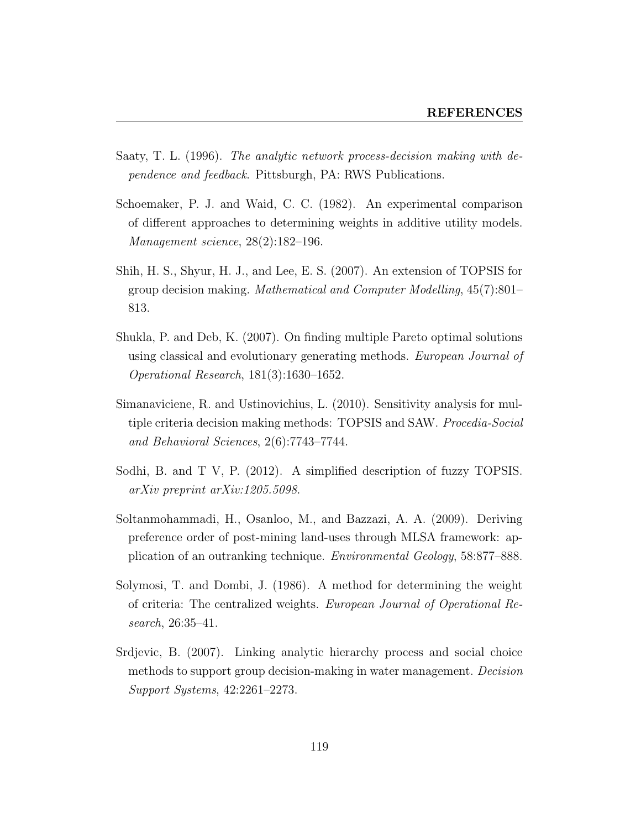- Saaty, T. L. (1996). The analytic network process-decision making with dependence and feedback. Pittsburgh, PA: RWS Publications.
- Schoemaker, P. J. and Waid, C. C. (1982). An experimental comparison of different approaches to determining weights in additive utility models. Management science, 28(2):182–196.
- Shih, H. S., Shyur, H. J., and Lee, E. S. (2007). An extension of TOPSIS for group decision making. Mathematical and Computer Modelling, 45(7):801– 813.
- Shukla, P. and Deb, K. (2007). On finding multiple Pareto optimal solutions using classical and evolutionary generating methods. European Journal of Operational Research, 181(3):1630–1652.
- Simanaviciene, R. and Ustinovichius, L. (2010). Sensitivity analysis for multiple criteria decision making methods: TOPSIS and SAW. Procedia-Social and Behavioral Sciences, 2(6):7743–7744.
- Sodhi, B. and T V, P. (2012). A simplified description of fuzzy TOPSIS. arXiv preprint arXiv:1205.5098.
- Soltanmohammadi, H., Osanloo, M., and Bazzazi, A. A. (2009). Deriving preference order of post-mining land-uses through MLSA framework: application of an outranking technique. Environmental Geology, 58:877–888.
- Solymosi, T. and Dombi, J. (1986). A method for determining the weight of criteria: The centralized weights. European Journal of Operational Research, 26:35–41.
- Srdjevic, B. (2007). Linking analytic hierarchy process and social choice methods to support group decision-making in water management. Decision Support Systems, 42:2261–2273.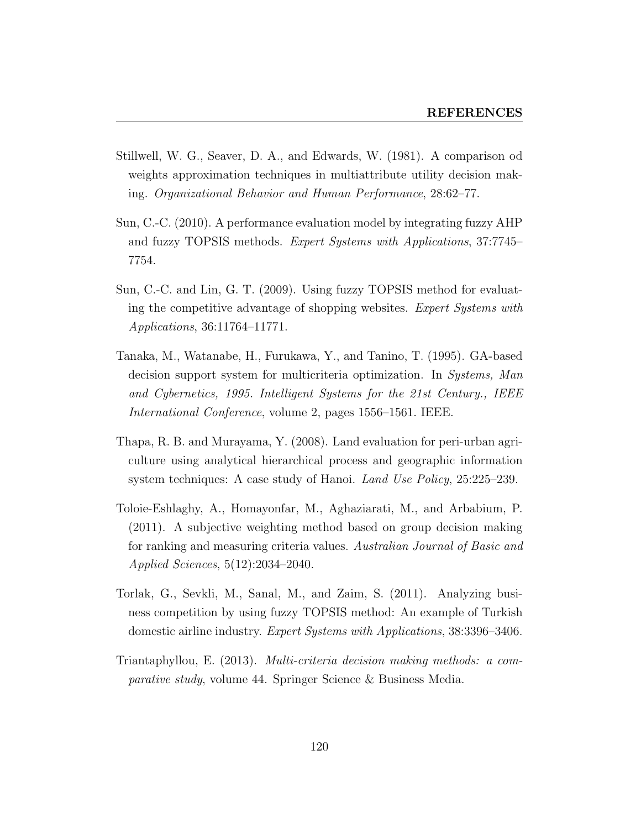- Stillwell, W. G., Seaver, D. A., and Edwards, W. (1981). A comparison od weights approximation techniques in multiattribute utility decision making. Organizational Behavior and Human Performance, 28:62–77.
- Sun, C.-C. (2010). A performance evaluation model by integrating fuzzy AHP and fuzzy TOPSIS methods. Expert Systems with Applications, 37:7745– 7754.
- Sun, C.-C. and Lin, G. T. (2009). Using fuzzy TOPSIS method for evaluating the competitive advantage of shopping websites. Expert Systems with Applications, 36:11764–11771.
- Tanaka, M., Watanabe, H., Furukawa, Y., and Tanino, T. (1995). GA-based decision support system for multicriteria optimization. In Systems, Man and Cybernetics, 1995. Intelligent Systems for the 21st Century., IEEE International Conference, volume 2, pages 1556–1561. IEEE.
- Thapa, R. B. and Murayama, Y. (2008). Land evaluation for peri-urban agriculture using analytical hierarchical process and geographic information system techniques: A case study of Hanoi. Land Use Policy, 25:225–239.
- Toloie-Eshlaghy, A., Homayonfar, M., Aghaziarati, M., and Arbabium, P. (2011). A subjective weighting method based on group decision making for ranking and measuring criteria values. Australian Journal of Basic and Applied Sciences, 5(12):2034–2040.
- Torlak, G., Sevkli, M., Sanal, M., and Zaim, S. (2011). Analyzing business competition by using fuzzy TOPSIS method: An example of Turkish domestic airline industry. Expert Systems with Applications, 38:3396–3406.
- Triantaphyllou, E. (2013). Multi-criteria decision making methods: a comparative study, volume 44. Springer Science & Business Media.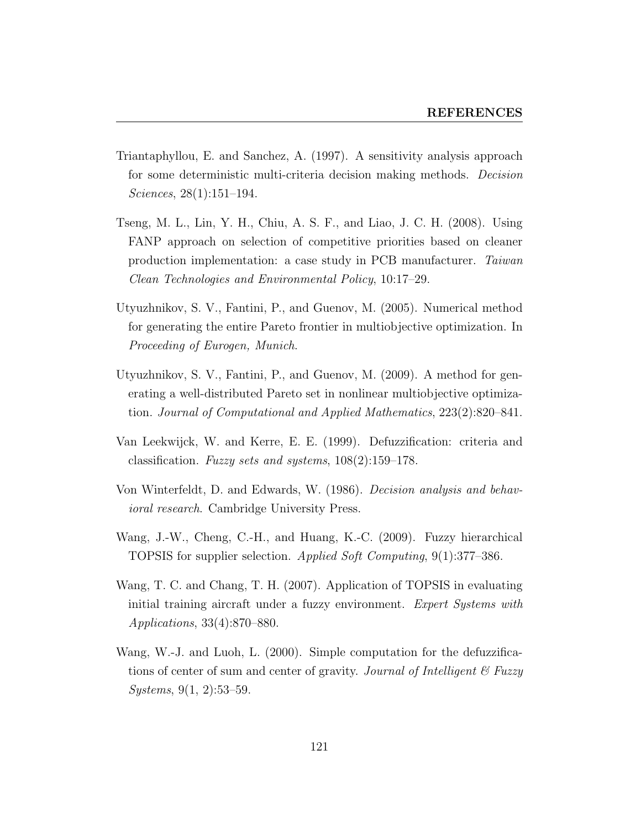- Triantaphyllou, E. and Sanchez, A. (1997). A sensitivity analysis approach for some deterministic multi-criteria decision making methods. Decision Sciences, 28(1):151–194.
- Tseng, M. L., Lin, Y. H., Chiu, A. S. F., and Liao, J. C. H. (2008). Using FANP approach on selection of competitive priorities based on cleaner production implementation: a case study in PCB manufacturer. Taiwan Clean Technologies and Environmental Policy, 10:17–29.
- Utyuzhnikov, S. V., Fantini, P., and Guenov, M. (2005). Numerical method for generating the entire Pareto frontier in multiobjective optimization. In Proceeding of Eurogen, Munich.
- Utyuzhnikov, S. V., Fantini, P., and Guenov, M. (2009). A method for generating a well-distributed Pareto set in nonlinear multiobjective optimization. Journal of Computational and Applied Mathematics, 223(2):820–841.
- Van Leekwijck, W. and Kerre, E. E. (1999). Defuzzification: criteria and classification. Fuzzy sets and systems, 108(2):159–178.
- Von Winterfeldt, D. and Edwards, W. (1986). Decision analysis and behavioral research. Cambridge University Press.
- Wang, J.-W., Cheng, C.-H., and Huang, K.-C. (2009). Fuzzy hierarchical TOPSIS for supplier selection. Applied Soft Computing, 9(1):377–386.
- Wang, T. C. and Chang, T. H. (2007). Application of TOPSIS in evaluating initial training aircraft under a fuzzy environment. Expert Systems with Applications, 33(4):870–880.
- Wang, W.-J. and Luoh, L. (2000). Simple computation for the defuzzifications of center of sum and center of gravity. Journal of Intelligent  $\mathscr B$  Fuzzy Systems, 9(1, 2):53–59.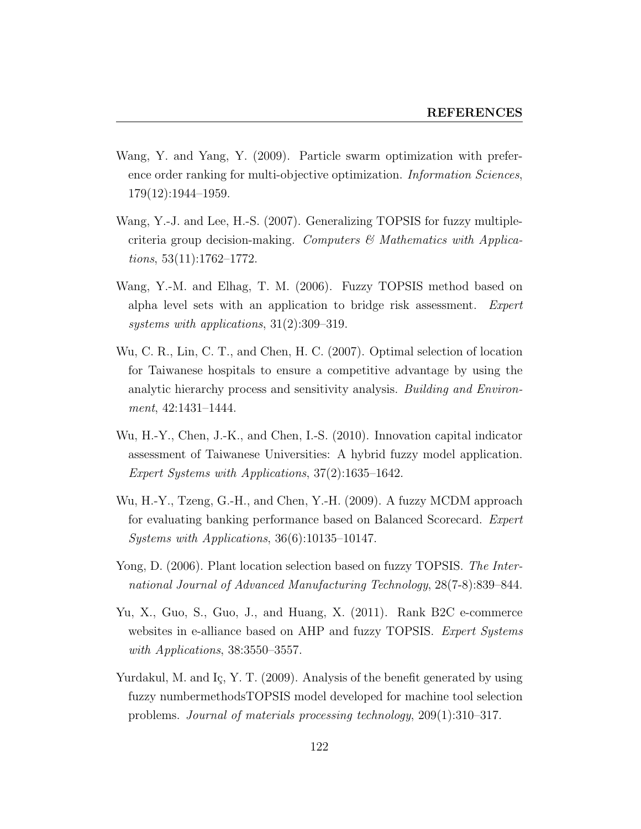- Wang, Y. and Yang, Y. (2009). Particle swarm optimization with preference order ranking for multi-objective optimization. *Information Sciences*, 179(12):1944–1959.
- Wang, Y.-J. and Lee, H.-S. (2007). Generalizing TOPSIS for fuzzy multiplecriteria group decision-making. Computers  $\mathcal C$  Mathematics with Applications,  $53(11):1762-1772$ .
- Wang, Y.-M. and Elhag, T. M. (2006). Fuzzy TOPSIS method based on alpha level sets with an application to bridge risk assessment. Expert systems with applications, 31(2):309–319.
- Wu, C. R., Lin, C. T., and Chen, H. C. (2007). Optimal selection of location for Taiwanese hospitals to ensure a competitive advantage by using the analytic hierarchy process and sensitivity analysis. Building and Environment, 42:1431–1444.
- Wu, H.-Y., Chen, J.-K., and Chen, I.-S. (2010). Innovation capital indicator assessment of Taiwanese Universities: A hybrid fuzzy model application. Expert Systems with Applications, 37(2):1635–1642.
- Wu, H.-Y., Tzeng, G.-H., and Chen, Y.-H. (2009). A fuzzy MCDM approach for evaluating banking performance based on Balanced Scorecard. Expert Systems with Applications, 36(6):10135–10147.
- Yong, D. (2006). Plant location selection based on fuzzy TOPSIS. The International Journal of Advanced Manufacturing Technology, 28(7-8):839–844.
- Yu, X., Guo, S., Guo, J., and Huang, X. (2011). Rank B2C e-commerce websites in e-alliance based on AHP and fuzzy TOPSIS. Expert Systems with Applications, 38:3550-3557.
- Yurdakul, M. and Iç, Y. T. (2009). Analysis of the benefit generated by using fuzzy numbermethodsTOPSIS model developed for machine tool selection problems. Journal of materials processing technology, 209(1):310–317.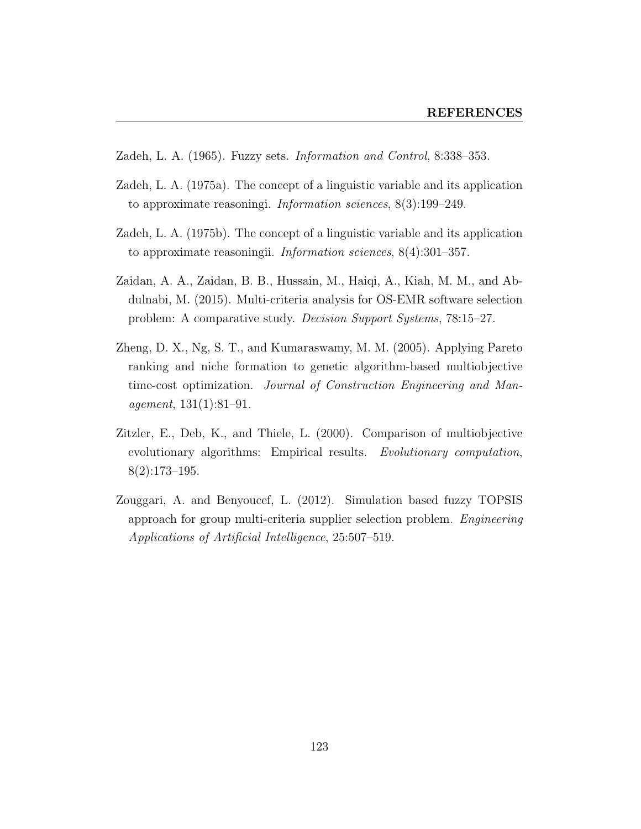- Zadeh, L. A. (1965). Fuzzy sets. Information and Control, 8:338–353.
- Zadeh, L. A. (1975a). The concept of a linguistic variable and its application to approximate reasoningi. Information sciences, 8(3):199–249.
- Zadeh, L. A. (1975b). The concept of a linguistic variable and its application to approximate reasoningii. Information sciences, 8(4):301–357.
- Zaidan, A. A., Zaidan, B. B., Hussain, M., Haiqi, A., Kiah, M. M., and Abdulnabi, M. (2015). Multi-criteria analysis for OS-EMR software selection problem: A comparative study. Decision Support Systems, 78:15–27.
- Zheng, D. X., Ng, S. T., and Kumaraswamy, M. M. (2005). Applying Pareto ranking and niche formation to genetic algorithm-based multiobjective time-cost optimization. Journal of Construction Engineering and Management, 131(1):81–91.
- Zitzler, E., Deb, K., and Thiele, L. (2000). Comparison of multiobjective evolutionary algorithms: Empirical results. Evolutionary computation, 8(2):173–195.
- Zouggari, A. and Benyoucef, L. (2012). Simulation based fuzzy TOPSIS approach for group multi-criteria supplier selection problem. Engineering Applications of Artificial Intelligence, 25:507–519.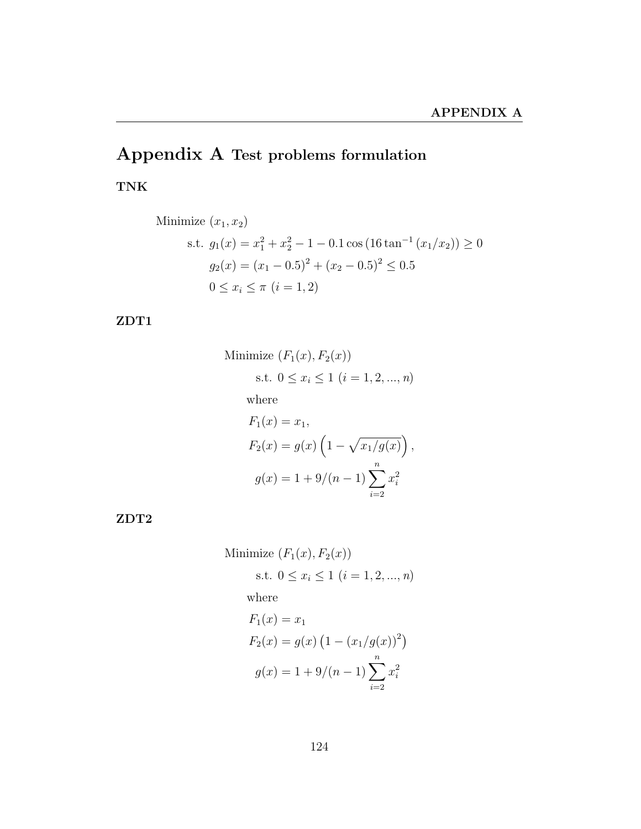# Appendix A Test problems formulation

TNK

Minimize 
$$
(x_1, x_2)
$$
  
\ns.t.  $g_1(x) = x_1^2 + x_2^2 - 1 - 0.1 \cos(16 \tan^{-1}(x_1/x_2)) \ge 0$   
\n $g_2(x) = (x_1 - 0.5)^2 + (x_2 - 0.5)^2 \le 0.5$   
\n $0 \le x_i \le \pi \ (i = 1, 2)$ 

#### ZDT1

Minimize 
$$
(F_1(x), F_2(x))
$$
  
\ns.t.  $0 \le x_i \le 1$   $(i = 1, 2, ..., n)$   
\nwhere  
\n $F_1(x) = x_1,$   
\n $F_2(x) = g(x) \left(1 - \sqrt{x_1/g(x)}\right),$   
\n $g(x) = 1 + 9/(n - 1) \sum_{i=2}^n x_i^2$ 

ZDT2

Minimize 
$$
(F_1(x), F_2(x))
$$
  
s.t.  $0 \le x_i \le 1$   $(i = 1, 2, ..., n)$   
where  
 $F_1(x) = x_1$   
 $F_2(x) = g(x) (1 - (x_1/g(x))^2)$   
 $g(x) = 1 + 9/(n - 1) \sum_{i=1}^{n} x_i^2$ 

 $i=2$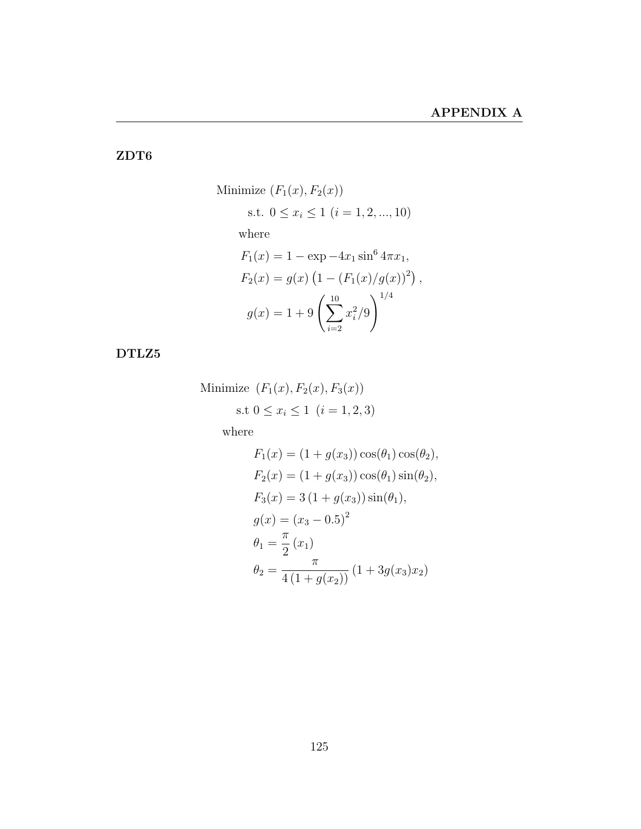#### ZDT6

Minimize 
$$
(F_1(x), F_2(x))
$$
  
\ns.t.  $0 \le x_i \le 1$   $(i = 1, 2, ..., 10)$   
\nwhere  
\n $F_1(x) = 1 - \exp(-4x_1 \sin^6 4\pi x_1,$   
\n $F_2(x) = g(x) (1 - (F_1(x)/g(x))^2),$   
\n $g(x) = 1 + 9 \left(\sum_{i=2}^{10} x_i^2/9\right)^{1/4}$ 

#### DTLZ5

Minimize  $(F_1(x), F_2(x), F_3(x))$ s.t  $0 \le x_i \le 1$   $(i = 1, 2, 3)$ 

where

$$
F_1(x) = (1 + g(x_3)) \cos(\theta_1) \cos(\theta_2),
$$
  
\n
$$
F_2(x) = (1 + g(x_3)) \cos(\theta_1) \sin(\theta_2),
$$
  
\n
$$
F_3(x) = 3 (1 + g(x_3)) \sin(\theta_1),
$$
  
\n
$$
g(x) = (x_3 - 0.5)^2
$$
  
\n
$$
\theta_1 = \frac{\pi}{2} (x_1)
$$
  
\n
$$
\theta_2 = \frac{\pi}{4 (1 + g(x_2))} (1 + 3g(x_3)x_2)
$$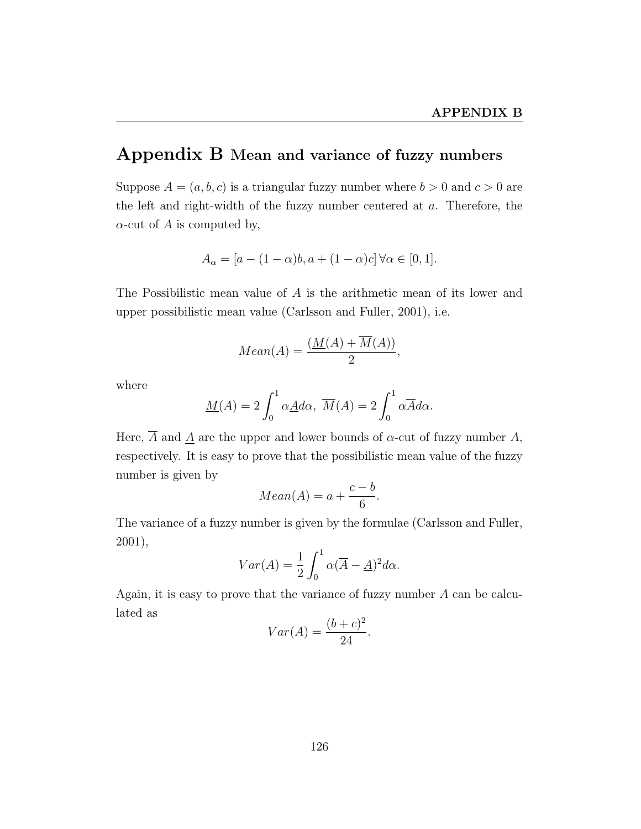### Appendix B Mean and variance of fuzzy numbers

Suppose  $A = (a, b, c)$  is a triangular fuzzy number where  $b > 0$  and  $c > 0$  are the left and right-width of the fuzzy number centered at a. Therefore, the  $\alpha$ -cut of A is computed by,

$$
A_{\alpha} = [a - (1 - \alpha)b, a + (1 - \alpha)c] \forall \alpha \in [0, 1].
$$

The Possibilistic mean value of A is the arithmetic mean of its lower and upper possibilistic mean value (Carlsson and Fuller, 2001), i.e.

$$
Mean(A) = \frac{(M(A) + \overline{M}(A))}{2},
$$

where

$$
\underline{M}(A) = 2 \int_0^1 \alpha \underline{A} d\alpha, \ \overline{M}(A) = 2 \int_0^1 \alpha \overline{A} d\alpha.
$$

Here,  $\overline{A}$  and A are the upper and lower bounds of  $\alpha$ -cut of fuzzy number A, respectively. It is easy to prove that the possibilistic mean value of the fuzzy number is given by

$$
Mean(A) = a + \frac{c - b}{6}.
$$

The variance of a fuzzy number is given by the formulae (Carlsson and Fuller, 2001),

$$
Var(A) = \frac{1}{2} \int_0^1 \alpha (\overline{A} - \underline{A})^2 d\alpha.
$$

Again, it is easy to prove that the variance of fuzzy number A can be calculated as

$$
Var(A) = \frac{(b+c)^2}{24}.
$$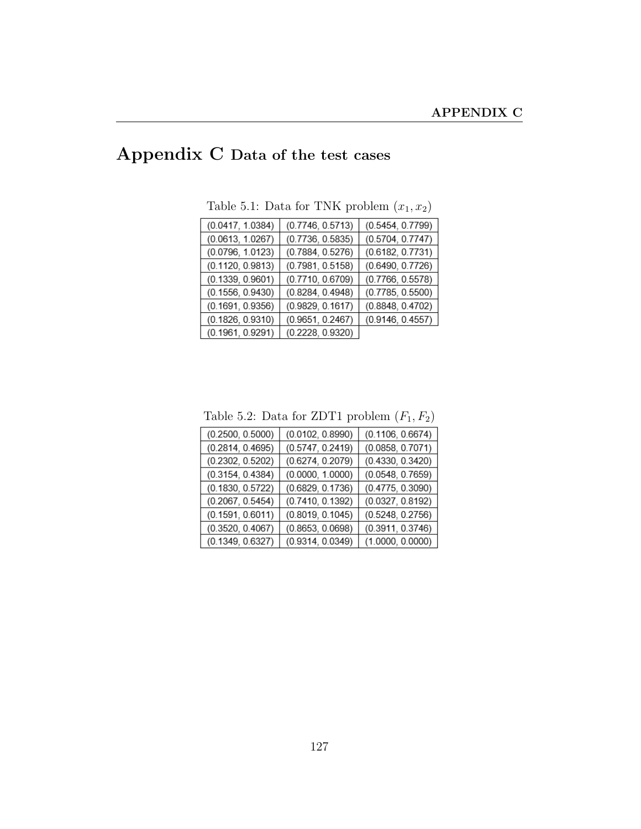# Appendix C Data of the test cases

| (0.0417, 1.0384) | (0.7746, 0.5713) | (0.5454, 0.7799) |
|------------------|------------------|------------------|
| (0.0613, 1.0267) | (0.7736, 0.5835) | (0.5704, 0.7747) |
| (0.0796, 1.0123) | (0.7884, 0.5276) | (0.6182, 0.7731) |
| (0.1120, 0.9813) | (0.7981, 0.5158) | (0.6490, 0.7726) |
| (0.1339, 0.9601) | (0.7710, 0.6709) | (0.7766, 0.5578) |
| (0.1556, 0.9430) | (0.8284, 0.4948) | (0.7785, 0.5500) |
| (0.1691, 0.9356) | (0.9829, 0.1617) | (0.8848, 0.4702) |
| (0.1826, 0.9310) | (0.9651, 0.2467) | (0.9146, 0.4557) |
| (0.1961, 0.9291) | (0.2228, 0.9320) |                  |

Table 5.1: Data for TNK problem  $(x_1, x_2)$ 

Table 5.2: Data for ZDT1 problem  $(F_1, F_2)$ 

| (0.2500, 0.5000) | (0.0102, 0.8990) | (0.1106, 0.6674) |
|------------------|------------------|------------------|
| (0.2814, 0.4695) | (0.5747, 0.2419) | (0.0858, 0.7071) |
| (0.2302, 0.5202) | (0.6274, 0.2079) | (0.4330, 0.3420) |
| (0.3154, 0.4384) | (0.0000, 1.0000) | (0.0548, 0.7659) |
| (0.1830, 0.5722) | (0.6829, 0.1736) | (0.4775, 0.3090) |
| (0.2067, 0.5454) | (0.7410, 0.1392) | (0.0327, 0.8192) |
| (0.1591, 0.6011) | (0.8019, 0.1045) | (0.5248, 0.2756) |
| (0.3520, 0.4067) | (0.8653, 0.0698) | (0.3911, 0.3746) |
| (0.1349, 0.6327) | (0.9314, 0.0349) | (1.0000, 0.0000) |
|                  |                  |                  |